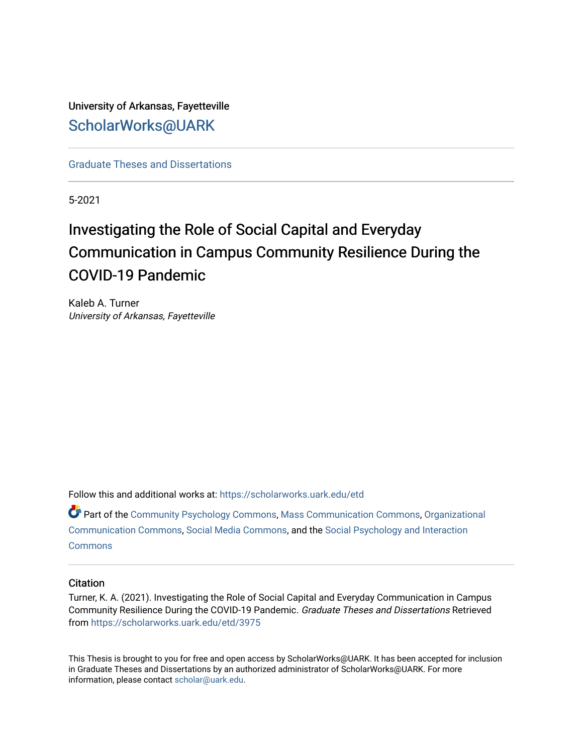University of Arkansas, Fayetteville [ScholarWorks@UARK](https://scholarworks.uark.edu/) 

[Graduate Theses and Dissertations](https://scholarworks.uark.edu/etd) 

5-2021

# Investigating the Role of Social Capital and Everyday Communication in Campus Community Resilience During the COVID-19 Pandemic

Kaleb A. Turner University of Arkansas, Fayetteville

Follow this and additional works at: [https://scholarworks.uark.edu/etd](https://scholarworks.uark.edu/etd?utm_source=scholarworks.uark.edu%2Fetd%2F3975&utm_medium=PDF&utm_campaign=PDFCoverPages)

Part of the [Community Psychology Commons,](http://network.bepress.com/hgg/discipline/409?utm_source=scholarworks.uark.edu%2Fetd%2F3975&utm_medium=PDF&utm_campaign=PDFCoverPages) [Mass Communication Commons](http://network.bepress.com/hgg/discipline/334?utm_source=scholarworks.uark.edu%2Fetd%2F3975&utm_medium=PDF&utm_campaign=PDFCoverPages), [Organizational](http://network.bepress.com/hgg/discipline/335?utm_source=scholarworks.uark.edu%2Fetd%2F3975&utm_medium=PDF&utm_campaign=PDFCoverPages) [Communication Commons](http://network.bepress.com/hgg/discipline/335?utm_source=scholarworks.uark.edu%2Fetd%2F3975&utm_medium=PDF&utm_campaign=PDFCoverPages), [Social Media Commons,](http://network.bepress.com/hgg/discipline/1249?utm_source=scholarworks.uark.edu%2Fetd%2F3975&utm_medium=PDF&utm_campaign=PDFCoverPages) and the [Social Psychology and Interaction](http://network.bepress.com/hgg/discipline/430?utm_source=scholarworks.uark.edu%2Fetd%2F3975&utm_medium=PDF&utm_campaign=PDFCoverPages) **[Commons](http://network.bepress.com/hgg/discipline/430?utm_source=scholarworks.uark.edu%2Fetd%2F3975&utm_medium=PDF&utm_campaign=PDFCoverPages)** 

# **Citation**

Turner, K. A. (2021). Investigating the Role of Social Capital and Everyday Communication in Campus Community Resilience During the COVID-19 Pandemic. Graduate Theses and Dissertations Retrieved from [https://scholarworks.uark.edu/etd/3975](https://scholarworks.uark.edu/etd/3975?utm_source=scholarworks.uark.edu%2Fetd%2F3975&utm_medium=PDF&utm_campaign=PDFCoverPages) 

This Thesis is brought to you for free and open access by ScholarWorks@UARK. It has been accepted for inclusion in Graduate Theses and Dissertations by an authorized administrator of ScholarWorks@UARK. For more information, please contact [scholar@uark.edu.](mailto:scholar@uark.edu)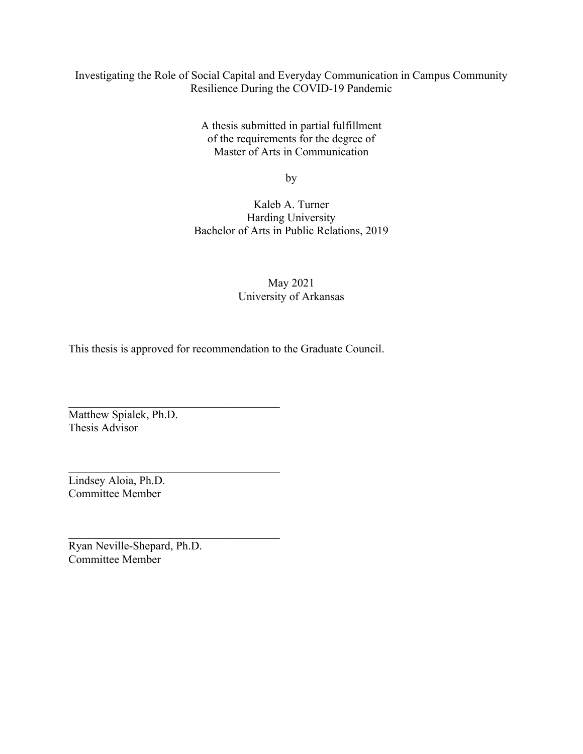# Investigating the Role of Social Capital and Everyday Communication in Campus Community Resilience During the COVID-19 Pandemic

A thesis submitted in partial fulfillment of the requirements for the degree of Master of Arts in Communication

by

Kaleb A. Turner Harding University Bachelor of Arts in Public Relations, 2019

# May 2021 University of Arkansas

This thesis is approved for recommendation to the Graduate Council.

Matthew Spialek, Ph.D. Thesis Advisor

Lindsey Aloia, Ph.D. Committee Member

Ryan Neville-Shepard, Ph.D. Committee Member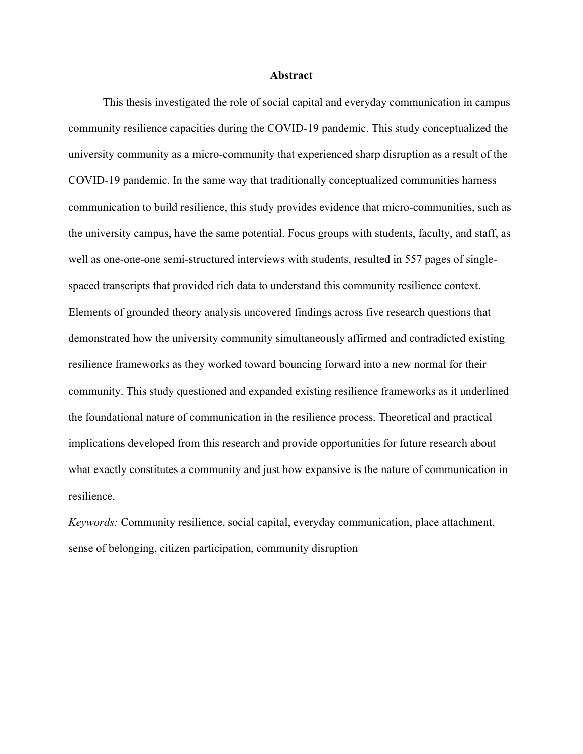#### **Abstract**

This thesis investigated the role of social capital and everyday communication in campus community resilience capacities during the COVID-19 pandemic. This study conceptualized the university community as a micro-community that experienced sharp disruption as a result of the COVID-19 pandemic. In the same way that traditionally conceptualized communities harness communication to build resilience, this study provides evidence that micro-communities, such as the university campus, have the same potential. Focus groups with students, faculty, and staff, as well as one-one-one semi-structured interviews with students, resulted in 557 pages of singlespaced transcripts that provided rich data to understand this community resilience context. Elements of grounded theory analysis uncovered findings across five research questions that demonstrated how the university community simultaneously affirmed and contradicted existing resilience frameworks as they worked toward bouncing forward into a new normal for their community. This study questioned and expanded existing resilience frameworks as it underlined the foundational nature of communication in the resilience process. Theoretical and practical implications developed from this research and provide opportunities for future research about what exactly constitutes a community and just how expansive is the nature of communication in resilience.

*Keywords:* Community resilience, social capital, everyday communication, place attachment, sense of belonging, citizen participation, community disruption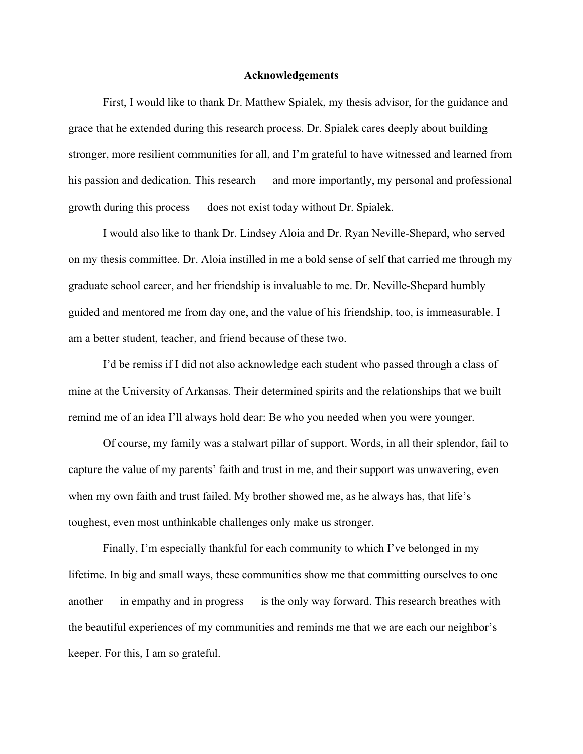#### **Acknowledgements**

First, I would like to thank Dr. Matthew Spialek, my thesis advisor, for the guidance and grace that he extended during this research process. Dr. Spialek cares deeply about building stronger, more resilient communities for all, and I'm grateful to have witnessed and learned from his passion and dedication. This research — and more importantly, my personal and professional growth during this process — does not exist today without Dr. Spialek.

I would also like to thank Dr. Lindsey Aloia and Dr. Ryan Neville-Shepard, who served on my thesis committee. Dr. Aloia instilled in me a bold sense of self that carried me through my graduate school career, and her friendship is invaluable to me. Dr. Neville-Shepard humbly guided and mentored me from day one, and the value of his friendship, too, is immeasurable. I am a better student, teacher, and friend because of these two.

I'd be remiss if I did not also acknowledge each student who passed through a class of mine at the University of Arkansas. Their determined spirits and the relationships that we built remind me of an idea I'll always hold dear: Be who you needed when you were younger.

Of course, my family was a stalwart pillar of support. Words, in all their splendor, fail to capture the value of my parents' faith and trust in me, and their support was unwavering, even when my own faith and trust failed. My brother showed me, as he always has, that life's toughest, even most unthinkable challenges only make us stronger.

Finally, I'm especially thankful for each community to which I've belonged in my lifetime. In big and small ways, these communities show me that committing ourselves to one another — in empathy and in progress — is the only way forward. This research breathes with the beautiful experiences of my communities and reminds me that we are each our neighbor's keeper. For this, I am so grateful.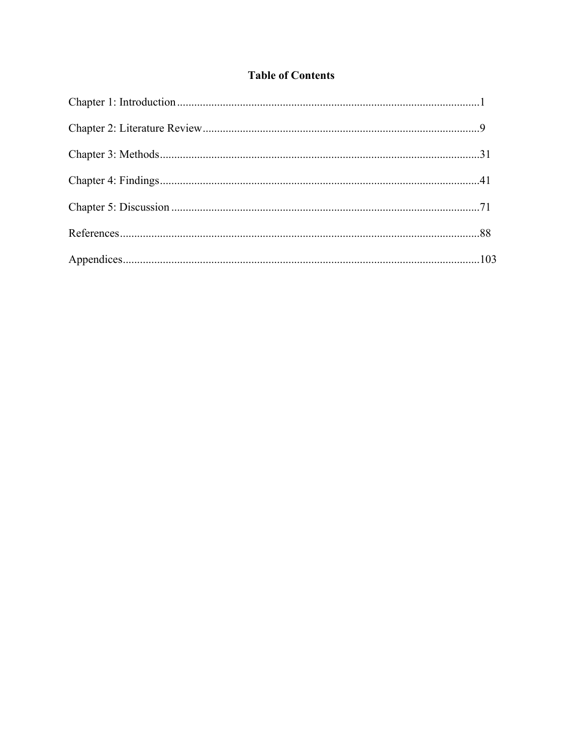# **Table of Contents**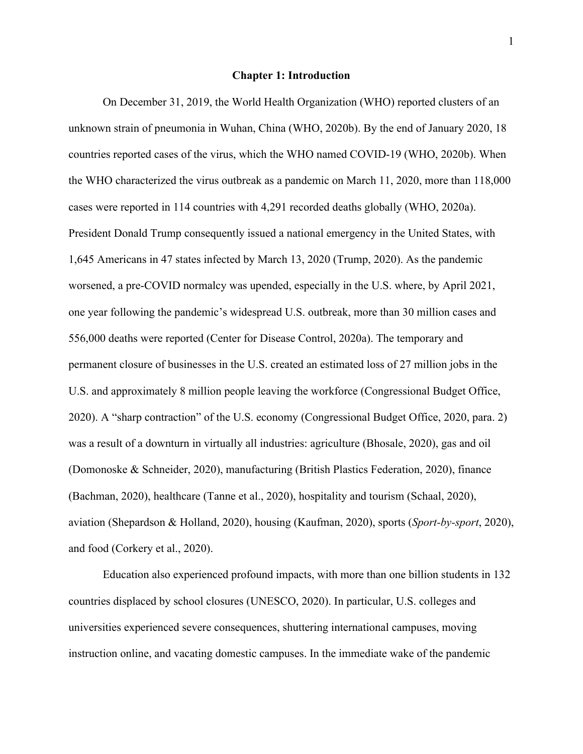#### **Chapter 1: Introduction**

On December 31, 2019, the World Health Organization (WHO) reported clusters of an unknown strain of pneumonia in Wuhan, China (WHO, 2020b). By the end of January 2020, 18 countries reported cases of the virus, which the WHO named COVID-19 (WHO, 2020b). When the WHO characterized the virus outbreak as a pandemic on March 11, 2020, more than 118,000 cases were reported in 114 countries with 4,291 recorded deaths globally (WHO, 2020a). President Donald Trump consequently issued a national emergency in the United States, with 1,645 Americans in 47 states infected by March 13, 2020 (Trump, 2020). As the pandemic worsened, a pre-COVID normalcy was upended, especially in the U.S. where, by April 2021, one year following the pandemic's widespread U.S. outbreak, more than 30 million cases and 556,000 deaths were reported (Center for Disease Control, 2020a). The temporary and permanent closure of businesses in the U.S. created an estimated loss of 27 million jobs in the U.S. and approximately 8 million people leaving the workforce (Congressional Budget Office, 2020). A "sharp contraction" of the U.S. economy (Congressional Budget Office, 2020, para. 2) was a result of a downturn in virtually all industries: agriculture (Bhosale, 2020), gas and oil (Domonoske & Schneider, 2020), manufacturing (British Plastics Federation, 2020), finance (Bachman, 2020), healthcare (Tanne et al., 2020), hospitality and tourism (Schaal, 2020), aviation (Shepardson & Holland, 2020), housing (Kaufman, 2020), sports (*Sport-by-sport*, 2020), and food (Corkery et al., 2020).

Education also experienced profound impacts, with more than one billion students in 132 countries displaced by school closures (UNESCO, 2020). In particular, U.S. colleges and universities experienced severe consequences, shuttering international campuses, moving instruction online, and vacating domestic campuses. In the immediate wake of the pandemic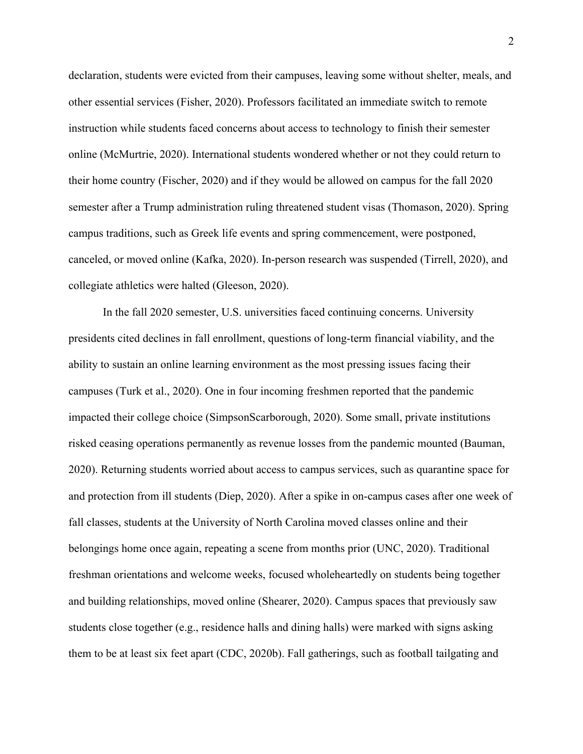declaration, students were evicted from their campuses, leaving some without shelter, meals, and other essential services (Fisher, 2020). Professors facilitated an immediate switch to remote instruction while students faced concerns about access to technology to finish their semester online (McMurtrie, 2020). International students wondered whether or not they could return to their home country (Fischer, 2020) and if they would be allowed on campus for the fall 2020 semester after a Trump administration ruling threatened student visas (Thomason, 2020). Spring campus traditions, such as Greek life events and spring commencement, were postponed, canceled, or moved online (Kafka, 2020). In-person research was suspended (Tirrell, 2020), and collegiate athletics were halted (Gleeson, 2020).

In the fall 2020 semester, U.S. universities faced continuing concerns. University presidents cited declines in fall enrollment, questions of long-term financial viability, and the ability to sustain an online learning environment as the most pressing issues facing their campuses (Turk et al., 2020). One in four incoming freshmen reported that the pandemic impacted their college choice (SimpsonScarborough, 2020). Some small, private institutions risked ceasing operations permanently as revenue losses from the pandemic mounted (Bauman, 2020). Returning students worried about access to campus services, such as quarantine space for and protection from ill students (Diep, 2020). After a spike in on-campus cases after one week of fall classes, students at the University of North Carolina moved classes online and their belongings home once again, repeating a scene from months prior (UNC, 2020). Traditional freshman orientations and welcome weeks, focused wholeheartedly on students being together and building relationships, moved online (Shearer, 2020). Campus spaces that previously saw students close together (e.g., residence halls and dining halls) were marked with signs asking them to be at least six feet apart (CDC, 2020b). Fall gatherings, such as football tailgating and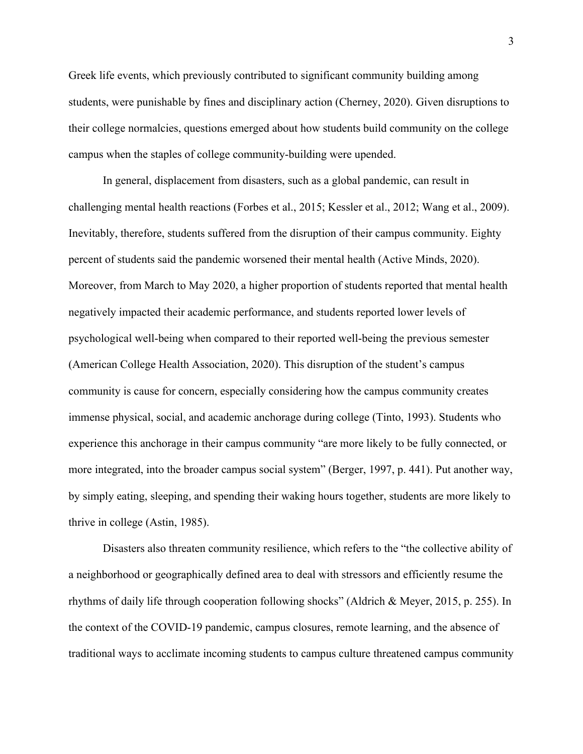Greek life events, which previously contributed to significant community building among students, were punishable by fines and disciplinary action (Cherney, 2020). Given disruptions to their college normalcies, questions emerged about how students build community on the college campus when the staples of college community-building were upended.

In general, displacement from disasters, such as a global pandemic, can result in challenging mental health reactions (Forbes et al., 2015; Kessler et al., 2012; Wang et al., 2009). Inevitably, therefore, students suffered from the disruption of their campus community. Eighty percent of students said the pandemic worsened their mental health (Active Minds, 2020). Moreover, from March to May 2020, a higher proportion of students reported that mental health negatively impacted their academic performance, and students reported lower levels of psychological well-being when compared to their reported well-being the previous semester (American College Health Association, 2020). This disruption of the student's campus community is cause for concern, especially considering how the campus community creates immense physical, social, and academic anchorage during college (Tinto, 1993). Students who experience this anchorage in their campus community "are more likely to be fully connected, or more integrated, into the broader campus social system" (Berger, 1997, p. 441). Put another way, by simply eating, sleeping, and spending their waking hours together, students are more likely to thrive in college (Astin, 1985).

Disasters also threaten community resilience, which refers to the "the collective ability of a neighborhood or geographically defined area to deal with stressors and efficiently resume the rhythms of daily life through cooperation following shocks" (Aldrich & Meyer, 2015, p. 255). In the context of the COVID-19 pandemic, campus closures, remote learning, and the absence of traditional ways to acclimate incoming students to campus culture threatened campus community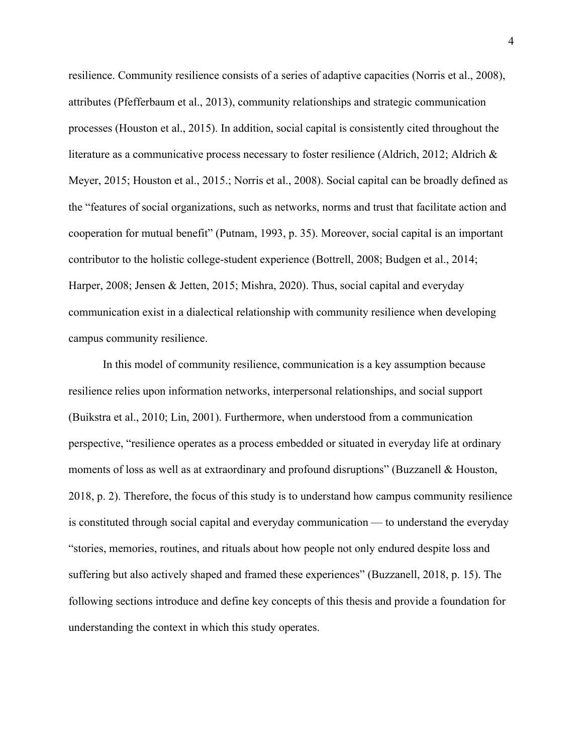resilience. Community resilience consists of a series of adaptive capacities (Norris et al., 2008), attributes (Pfefferbaum et al., 2013), community relationships and strategic communication processes (Houston et al., 2015). In addition, social capital is consistently cited throughout the literature as a communicative process necessary to foster resilience (Aldrich, 2012; Aldrich & Meyer, 2015; Houston et al., 2015.; Norris et al., 2008). Social capital can be broadly defined as the "features of social organizations, such as networks, norms and trust that facilitate action and cooperation for mutual benefit" (Putnam, 1993, p. 35). Moreover, social capital is an important contributor to the holistic college-student experience (Bottrell, 2008; Budgen et al., 2014; Harper, 2008; Jensen & Jetten, 2015; Mishra, 2020). Thus, social capital and everyday communication exist in a dialectical relationship with community resilience when developing campus community resilience.

In this model of community resilience, communication is a key assumption because resilience relies upon information networks, interpersonal relationships, and social support (Buikstra et al., 2010; Lin, 2001). Furthermore, when understood from a communication perspective, "resilience operates as a process embedded or situated in everyday life at ordinary moments of loss as well as at extraordinary and profound disruptions" (Buzzanell & Houston, 2018, p. 2). Therefore, the focus of this study is to understand how campus community resilience is constituted through social capital and everyday communication — to understand the everyday "stories, memories, routines, and rituals about how people not only endured despite loss and suffering but also actively shaped and framed these experiences" (Buzzanell, 2018, p. 15). The following sections introduce and define key concepts of this thesis and provide a foundation for understanding the context in which this study operates.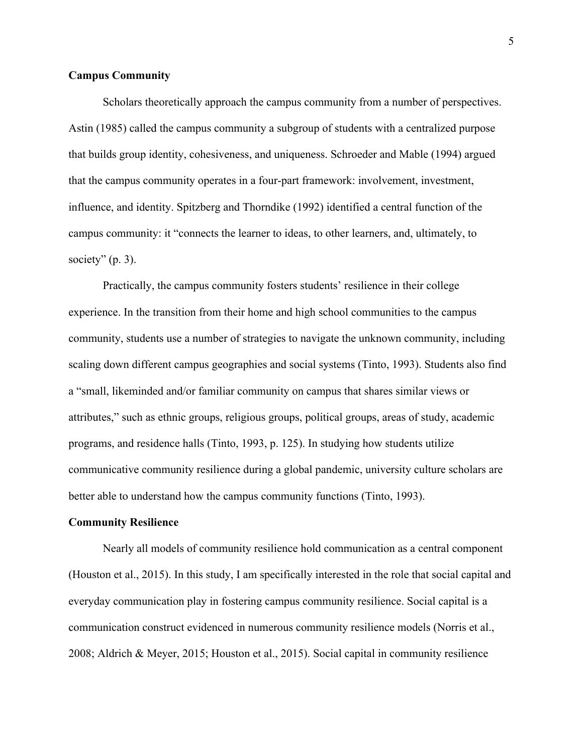# **Campus Community**

Scholars theoretically approach the campus community from a number of perspectives. Astin (1985) called the campus community a subgroup of students with a centralized purpose that builds group identity, cohesiveness, and uniqueness. Schroeder and Mable (1994) argued that the campus community operates in a four-part framework: involvement, investment, influence, and identity. Spitzberg and Thorndike (1992) identified a central function of the campus community: it "connects the learner to ideas, to other learners, and, ultimately, to society"  $(p. 3)$ .

Practically, the campus community fosters students' resilience in their college experience. In the transition from their home and high school communities to the campus community, students use a number of strategies to navigate the unknown community, including scaling down different campus geographies and social systems (Tinto, 1993). Students also find a "small, likeminded and/or familiar community on campus that shares similar views or attributes," such as ethnic groups, religious groups, political groups, areas of study, academic programs, and residence halls (Tinto, 1993, p. 125). In studying how students utilize communicative community resilience during a global pandemic, university culture scholars are better able to understand how the campus community functions (Tinto, 1993).

#### **Community Resilience**

Nearly all models of community resilience hold communication as a central component (Houston et al., 2015). In this study, I am specifically interested in the role that social capital and everyday communication play in fostering campus community resilience. Social capital is a communication construct evidenced in numerous community resilience models (Norris et al., 2008; Aldrich & Meyer, 2015; Houston et al., 2015). Social capital in community resilience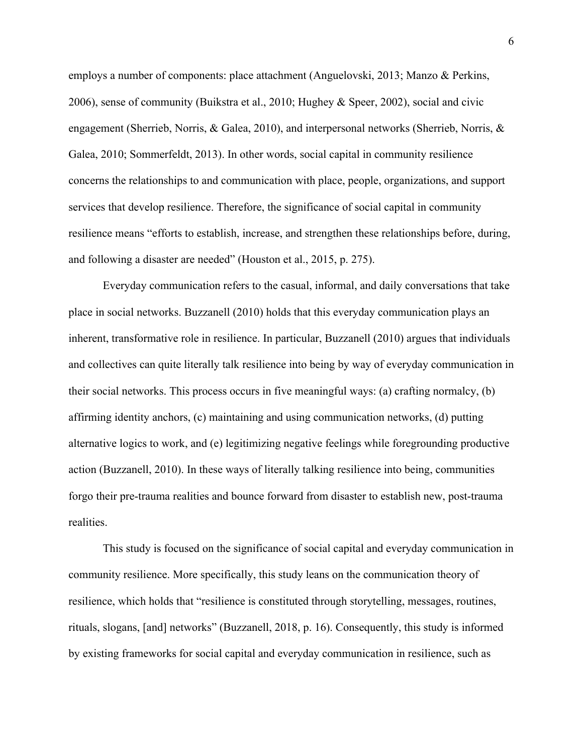employs a number of components: place attachment (Anguelovski, 2013; Manzo & Perkins, 2006), sense of community (Buikstra et al., 2010; Hughey & Speer, 2002), social and civic engagement (Sherrieb, Norris, & Galea, 2010), and interpersonal networks (Sherrieb, Norris, & Galea, 2010; Sommerfeldt, 2013). In other words, social capital in community resilience concerns the relationships to and communication with place, people, organizations, and support services that develop resilience. Therefore, the significance of social capital in community resilience means "efforts to establish, increase, and strengthen these relationships before, during, and following a disaster are needed" (Houston et al., 2015, p. 275).

Everyday communication refers to the casual, informal, and daily conversations that take place in social networks. Buzzanell (2010) holds that this everyday communication plays an inherent, transformative role in resilience. In particular, Buzzanell (2010) argues that individuals and collectives can quite literally talk resilience into being by way of everyday communication in their social networks. This process occurs in five meaningful ways: (a) crafting normalcy, (b) affirming identity anchors, (c) maintaining and using communication networks, (d) putting alternative logics to work, and (e) legitimizing negative feelings while foregrounding productive action (Buzzanell, 2010). In these ways of literally talking resilience into being, communities forgo their pre-trauma realities and bounce forward from disaster to establish new, post-trauma realities.

This study is focused on the significance of social capital and everyday communication in community resilience. More specifically, this study leans on the communication theory of resilience, which holds that "resilience is constituted through storytelling, messages, routines, rituals, slogans, [and] networks" (Buzzanell, 2018, p. 16). Consequently, this study is informed by existing frameworks for social capital and everyday communication in resilience, such as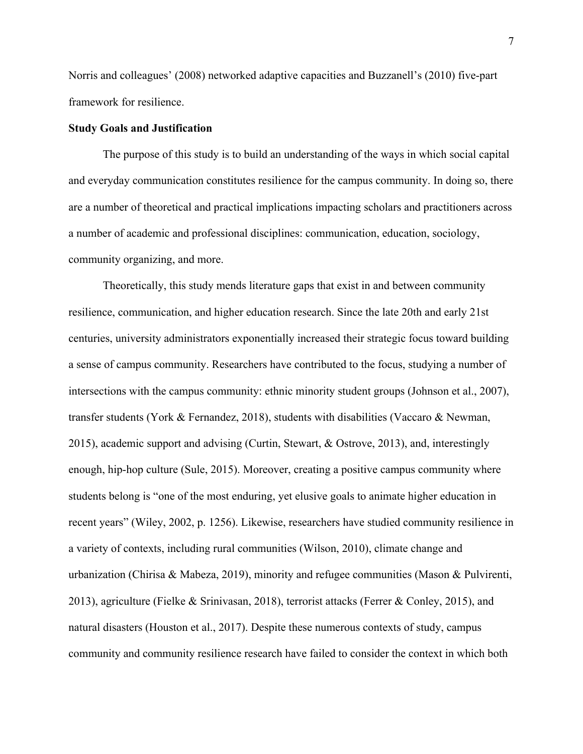Norris and colleagues' (2008) networked adaptive capacities and Buzzanell's (2010) five-part framework for resilience.

# **Study Goals and Justification**

The purpose of this study is to build an understanding of the ways in which social capital and everyday communication constitutes resilience for the campus community. In doing so, there are a number of theoretical and practical implications impacting scholars and practitioners across a number of academic and professional disciplines: communication, education, sociology, community organizing, and more.

Theoretically, this study mends literature gaps that exist in and between community resilience, communication, and higher education research. Since the late 20th and early 21st centuries, university administrators exponentially increased their strategic focus toward building a sense of campus community. Researchers have contributed to the focus, studying a number of intersections with the campus community: ethnic minority student groups (Johnson et al., 2007), transfer students (York & Fernandez, 2018), students with disabilities (Vaccaro & Newman, 2015), academic support and advising (Curtin, Stewart, & Ostrove, 2013), and, interestingly enough, hip-hop culture (Sule, 2015). Moreover, creating a positive campus community where students belong is "one of the most enduring, yet elusive goals to animate higher education in recent years" (Wiley, 2002, p. 1256). Likewise, researchers have studied community resilience in a variety of contexts, including rural communities (Wilson, 2010), climate change and urbanization (Chirisa & Mabeza, 2019), minority and refugee communities (Mason & Pulvirenti, 2013), agriculture (Fielke & Srinivasan, 2018), terrorist attacks (Ferrer & Conley, 2015), and natural disasters (Houston et al., 2017). Despite these numerous contexts of study, campus community and community resilience research have failed to consider the context in which both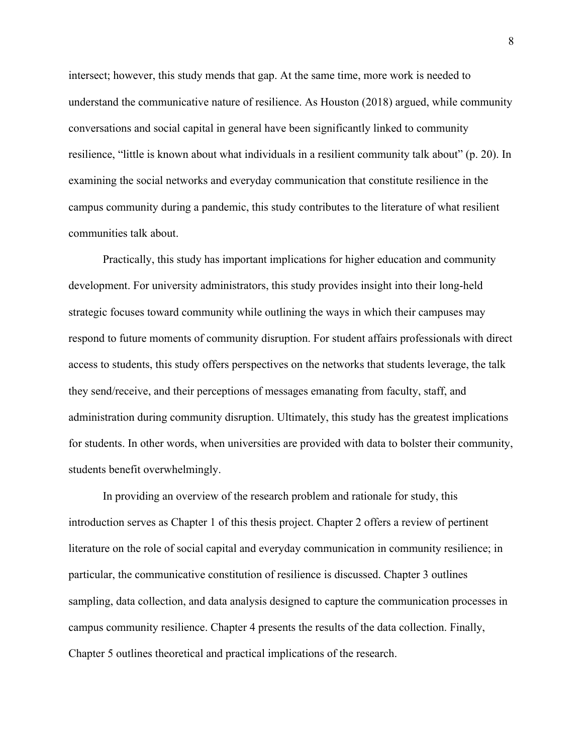intersect; however, this study mends that gap. At the same time, more work is needed to understand the communicative nature of resilience. As Houston (2018) argued, while community conversations and social capital in general have been significantly linked to community resilience, "little is known about what individuals in a resilient community talk about" (p. 20). In examining the social networks and everyday communication that constitute resilience in the campus community during a pandemic, this study contributes to the literature of what resilient communities talk about.

Practically, this study has important implications for higher education and community development. For university administrators, this study provides insight into their long-held strategic focuses toward community while outlining the ways in which their campuses may respond to future moments of community disruption. For student affairs professionals with direct access to students, this study offers perspectives on the networks that students leverage, the talk they send/receive, and their perceptions of messages emanating from faculty, staff, and administration during community disruption. Ultimately, this study has the greatest implications for students. In other words, when universities are provided with data to bolster their community, students benefit overwhelmingly.

In providing an overview of the research problem and rationale for study, this introduction serves as Chapter 1 of this thesis project. Chapter 2 offers a review of pertinent literature on the role of social capital and everyday communication in community resilience; in particular, the communicative constitution of resilience is discussed. Chapter 3 outlines sampling, data collection, and data analysis designed to capture the communication processes in campus community resilience. Chapter 4 presents the results of the data collection. Finally, Chapter 5 outlines theoretical and practical implications of the research.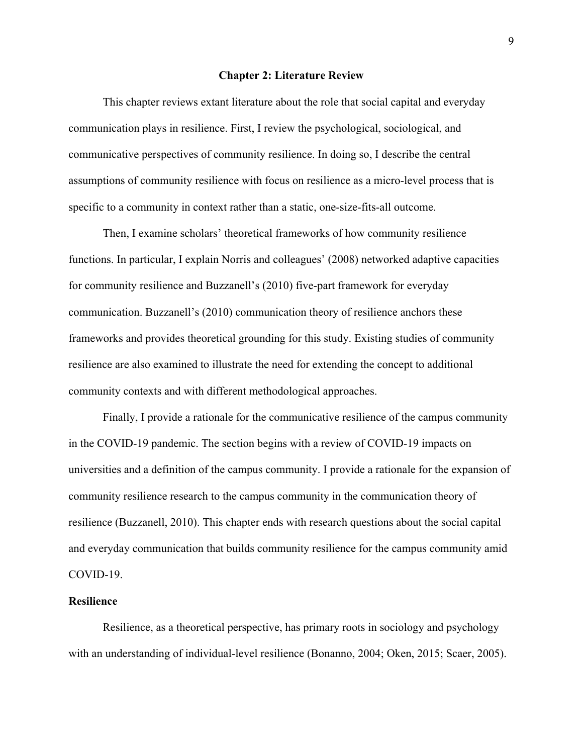#### **Chapter 2: Literature Review**

This chapter reviews extant literature about the role that social capital and everyday communication plays in resilience. First, I review the psychological, sociological, and communicative perspectives of community resilience. In doing so, I describe the central assumptions of community resilience with focus on resilience as a micro-level process that is specific to a community in context rather than a static, one-size-fits-all outcome.

Then, I examine scholars' theoretical frameworks of how community resilience functions. In particular, I explain Norris and colleagues' (2008) networked adaptive capacities for community resilience and Buzzanell's (2010) five-part framework for everyday communication. Buzzanell's (2010) communication theory of resilience anchors these frameworks and provides theoretical grounding for this study. Existing studies of community resilience are also examined to illustrate the need for extending the concept to additional community contexts and with different methodological approaches.

Finally, I provide a rationale for the communicative resilience of the campus community in the COVID-19 pandemic. The section begins with a review of COVID-19 impacts on universities and a definition of the campus community. I provide a rationale for the expansion of community resilience research to the campus community in the communication theory of resilience (Buzzanell, 2010). This chapter ends with research questions about the social capital and everyday communication that builds community resilience for the campus community amid COVID-19.

#### **Resilience**

Resilience, as a theoretical perspective, has primary roots in sociology and psychology with an understanding of individual-level resilience (Bonanno, 2004; Oken, 2015; Scaer, 2005).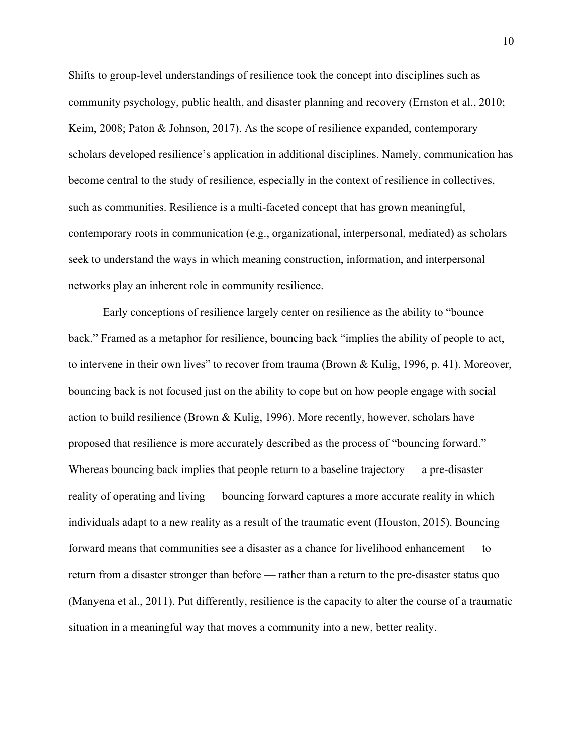Shifts to group-level understandings of resilience took the concept into disciplines such as community psychology, public health, and disaster planning and recovery (Ernston et al., 2010; Keim, 2008; Paton & Johnson, 2017). As the scope of resilience expanded, contemporary scholars developed resilience's application in additional disciplines. Namely, communication has become central to the study of resilience, especially in the context of resilience in collectives, such as communities. Resilience is a multi-faceted concept that has grown meaningful, contemporary roots in communication (e.g., organizational, interpersonal, mediated) as scholars seek to understand the ways in which meaning construction, information, and interpersonal networks play an inherent role in community resilience.

Early conceptions of resilience largely center on resilience as the ability to "bounce back." Framed as a metaphor for resilience, bouncing back "implies the ability of people to act, to intervene in their own lives" to recover from trauma (Brown & Kulig, 1996, p. 41). Moreover, bouncing back is not focused just on the ability to cope but on how people engage with social action to build resilience (Brown & Kulig, 1996). More recently, however, scholars have proposed that resilience is more accurately described as the process of "bouncing forward." Whereas bouncing back implies that people return to a baseline trajectory — a pre-disaster reality of operating and living — bouncing forward captures a more accurate reality in which individuals adapt to a new reality as a result of the traumatic event (Houston, 2015). Bouncing forward means that communities see a disaster as a chance for livelihood enhancement — to return from a disaster stronger than before — rather than a return to the pre-disaster status quo (Manyena et al., 2011). Put differently, resilience is the capacity to alter the course of a traumatic situation in a meaningful way that moves a community into a new, better reality.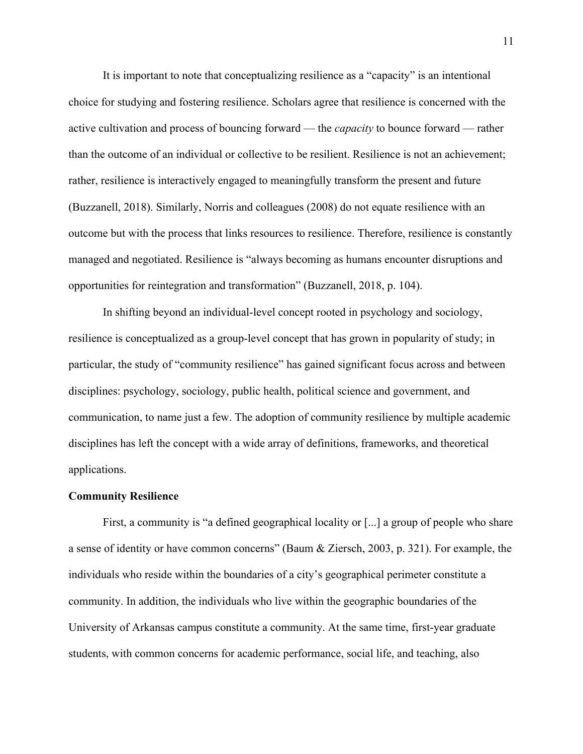It is important to note that conceptualizing resilience as a "capacity" is an intentional choice for studying and fostering resilience. Scholars agree that resilience is concerned with the active cultivation and process of bouncing forward — the *capacity* to bounce forward — rather than the outcome of an individual or collective to be resilient. Resilience is not an achievement; rather, resilience is interactively engaged to meaningfully transform the present and future (Buzzanell, 2018). Similarly, Norris and colleagues (2008) do not equate resilience with an outcome but with the process that links resources to resilience. Therefore, resilience is constantly managed and negotiated. Resilience is "always becoming as humans encounter disruptions and opportunities for reintegration and transformation" (Buzzanell, 2018, p. 104).

In shifting beyond an individual-level concept rooted in psychology and sociology, resilience is conceptualized as a group-level concept that has grown in popularity of study; in particular, the study of "community resilience" has gained significant focus across and between disciplines: psychology, sociology, public health, political science and government, and communication, to name just a few. The adoption of community resilience by multiple academic disciplines has left the concept with a wide array of definitions, frameworks, and theoretical applications.

#### **Community Resilience**

First, a community is "a defined geographical locality or [...] a group of people who share a sense of identity or have common concerns" (Baum & Ziersch, 2003, p. 321). For example, the individuals who reside within the boundaries of a city's geographical perimeter constitute a community. In addition, the individuals who live within the geographic boundaries of the University of Arkansas campus constitute a community. At the same time, first-year graduate students, with common concerns for academic performance, social life, and teaching, also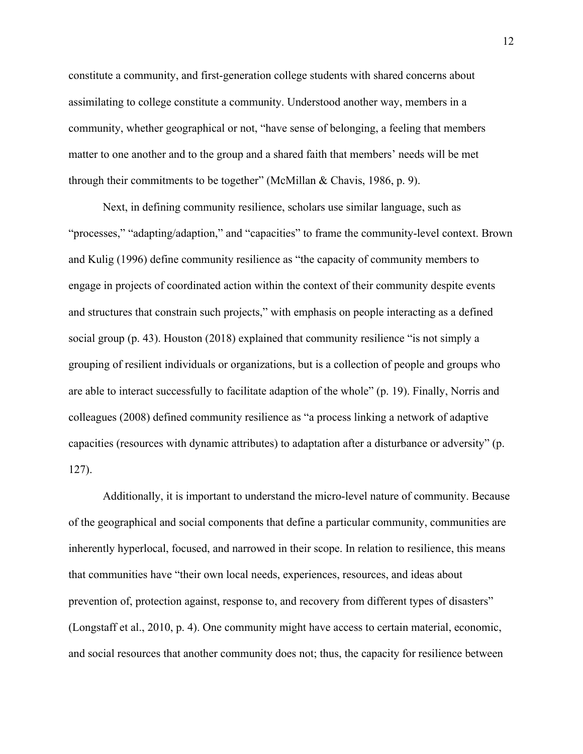constitute a community, and first-generation college students with shared concerns about assimilating to college constitute a community. Understood another way, members in a community, whether geographical or not, "have sense of belonging, a feeling that members matter to one another and to the group and a shared faith that members' needs will be met through their commitments to be together" (McMillan & Chavis, 1986, p. 9).

Next, in defining community resilience, scholars use similar language, such as "processes," "adapting/adaption," and "capacities" to frame the community-level context. Brown and Kulig (1996) define community resilience as "the capacity of community members to engage in projects of coordinated action within the context of their community despite events and structures that constrain such projects," with emphasis on people interacting as a defined social group (p. 43). Houston (2018) explained that community resilience "is not simply a grouping of resilient individuals or organizations, but is a collection of people and groups who are able to interact successfully to facilitate adaption of the whole" (p. 19). Finally, Norris and colleagues (2008) defined community resilience as "a process linking a network of adaptive capacities (resources with dynamic attributes) to adaptation after a disturbance or adversity" (p. 127).

Additionally, it is important to understand the micro-level nature of community. Because of the geographical and social components that define a particular community, communities are inherently hyperlocal, focused, and narrowed in their scope. In relation to resilience, this means that communities have "their own local needs, experiences, resources, and ideas about prevention of, protection against, response to, and recovery from different types of disasters" (Longstaff et al., 2010, p. 4). One community might have access to certain material, economic, and social resources that another community does not; thus, the capacity for resilience between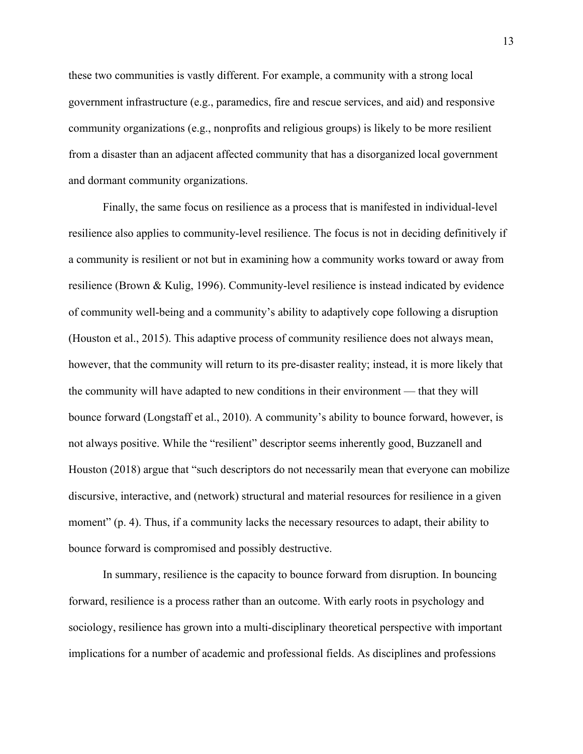these two communities is vastly different. For example, a community with a strong local government infrastructure (e.g., paramedics, fire and rescue services, and aid) and responsive community organizations (e.g., nonprofits and religious groups) is likely to be more resilient from a disaster than an adjacent affected community that has a disorganized local government and dormant community organizations.

Finally, the same focus on resilience as a process that is manifested in individual-level resilience also applies to community-level resilience. The focus is not in deciding definitively if a community is resilient or not but in examining how a community works toward or away from resilience (Brown & Kulig, 1996). Community-level resilience is instead indicated by evidence of community well-being and a community's ability to adaptively cope following a disruption (Houston et al., 2015). This adaptive process of community resilience does not always mean, however, that the community will return to its pre-disaster reality; instead, it is more likely that the community will have adapted to new conditions in their environment — that they will bounce forward (Longstaff et al., 2010). A community's ability to bounce forward, however, is not always positive. While the "resilient" descriptor seems inherently good, Buzzanell and Houston (2018) argue that "such descriptors do not necessarily mean that everyone can mobilize discursive, interactive, and (network) structural and material resources for resilience in a given moment" (p. 4). Thus, if a community lacks the necessary resources to adapt, their ability to bounce forward is compromised and possibly destructive.

In summary, resilience is the capacity to bounce forward from disruption. In bouncing forward, resilience is a process rather than an outcome. With early roots in psychology and sociology, resilience has grown into a multi-disciplinary theoretical perspective with important implications for a number of academic and professional fields. As disciplines and professions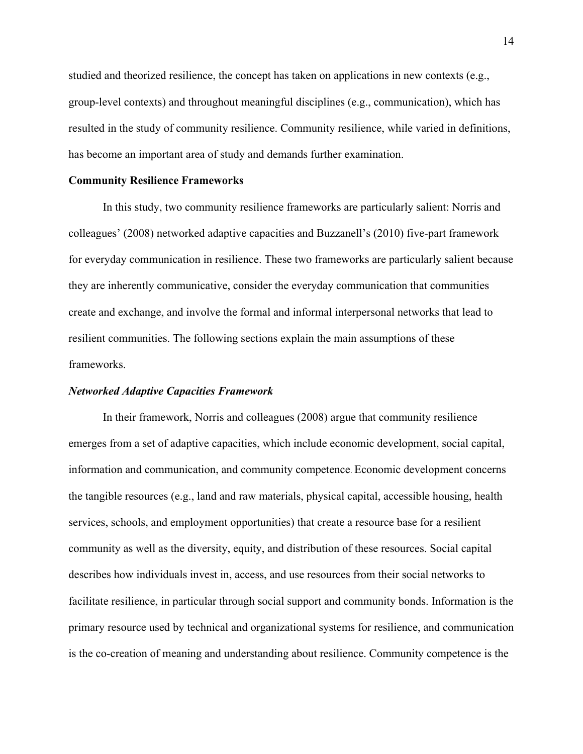studied and theorized resilience, the concept has taken on applications in new contexts (e.g., group-level contexts) and throughout meaningful disciplines (e.g., communication), which has resulted in the study of community resilience. Community resilience, while varied in definitions, has become an important area of study and demands further examination.

#### **Community Resilience Frameworks**

In this study, two community resilience frameworks are particularly salient: Norris and colleagues' (2008) networked adaptive capacities and Buzzanell's (2010) five-part framework for everyday communication in resilience. These two frameworks are particularly salient because they are inherently communicative, consider the everyday communication that communities create and exchange, and involve the formal and informal interpersonal networks that lead to resilient communities. The following sections explain the main assumptions of these frameworks.

#### *Networked Adaptive Capacities Framework*

In their framework, Norris and colleagues (2008) argue that community resilience emerges from a set of adaptive capacities, which include economic development, social capital, information and communication, and community competence. Economic development concerns the tangible resources (e.g., land and raw materials, physical capital, accessible housing, health services, schools, and employment opportunities) that create a resource base for a resilient community as well as the diversity, equity, and distribution of these resources. Social capital describes how individuals invest in, access, and use resources from their social networks to facilitate resilience, in particular through social support and community bonds. Information is the primary resource used by technical and organizational systems for resilience, and communication is the co-creation of meaning and understanding about resilience. Community competence is the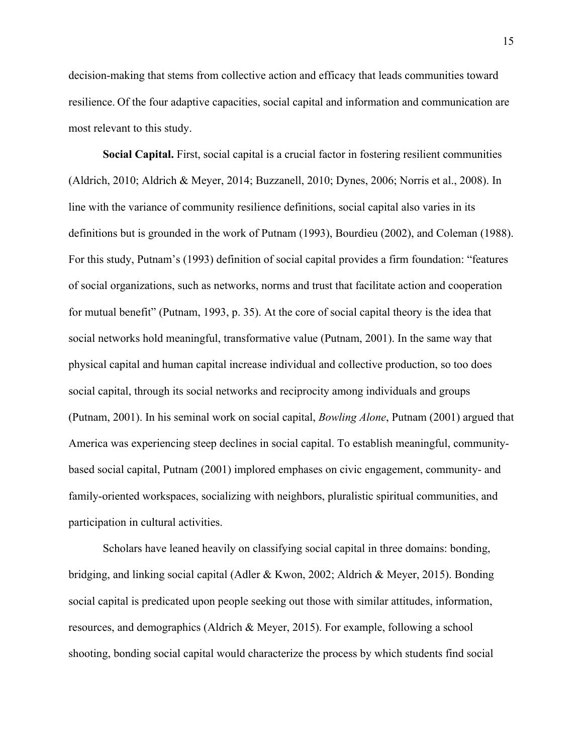decision-making that stems from collective action and efficacy that leads communities toward resilience. Of the four adaptive capacities, social capital and information and communication are most relevant to this study.

**Social Capital.** First, social capital is a crucial factor in fostering resilient communities (Aldrich, 2010; Aldrich & Meyer, 2014; Buzzanell, 2010; Dynes, 2006; Norris et al., 2008). In line with the variance of community resilience definitions, social capital also varies in its definitions but is grounded in the work of Putnam (1993), Bourdieu (2002), and Coleman (1988). For this study, Putnam's (1993) definition of social capital provides a firm foundation: "features of social organizations, such as networks, norms and trust that facilitate action and cooperation for mutual benefit" (Putnam, 1993, p. 35). At the core of social capital theory is the idea that social networks hold meaningful, transformative value (Putnam, 2001). In the same way that physical capital and human capital increase individual and collective production, so too does social capital, through its social networks and reciprocity among individuals and groups (Putnam, 2001). In his seminal work on social capital, *Bowling Alone*, Putnam (2001) argued that America was experiencing steep declines in social capital. To establish meaningful, communitybased social capital, Putnam (2001) implored emphases on civic engagement, community- and family-oriented workspaces, socializing with neighbors, pluralistic spiritual communities, and participation in cultural activities.

Scholars have leaned heavily on classifying social capital in three domains: bonding, bridging, and linking social capital (Adler & Kwon, 2002; Aldrich & Meyer, 2015). Bonding social capital is predicated upon people seeking out those with similar attitudes, information, resources, and demographics (Aldrich & Meyer, 2015). For example, following a school shooting, bonding social capital would characterize the process by which students find social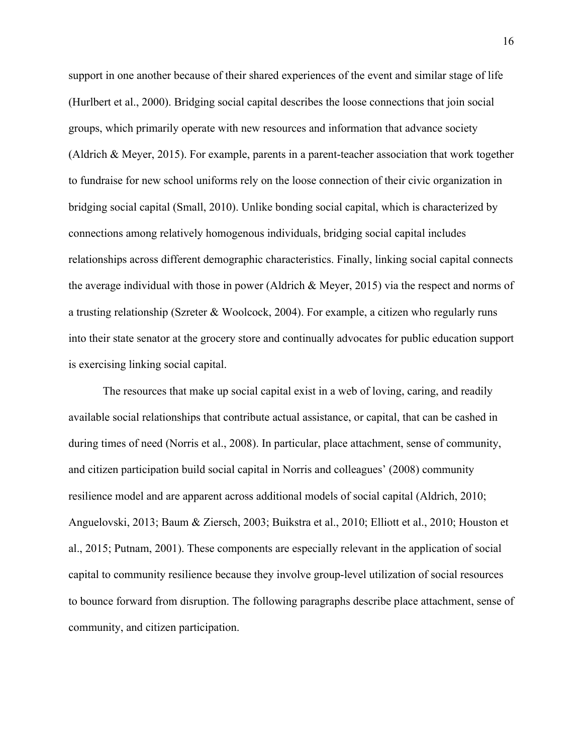support in one another because of their shared experiences of the event and similar stage of life (Hurlbert et al., 2000). Bridging social capital describes the loose connections that join social groups, which primarily operate with new resources and information that advance society (Aldrich & Meyer, 2015). For example, parents in a parent-teacher association that work together to fundraise for new school uniforms rely on the loose connection of their civic organization in bridging social capital (Small, 2010). Unlike bonding social capital, which is characterized by connections among relatively homogenous individuals, bridging social capital includes relationships across different demographic characteristics. Finally, linking social capital connects the average individual with those in power (Aldrich & Meyer, 2015) via the respect and norms of a trusting relationship (Szreter & Woolcock, 2004). For example, a citizen who regularly runs into their state senator at the grocery store and continually advocates for public education support is exercising linking social capital.

The resources that make up social capital exist in a web of loving, caring, and readily available social relationships that contribute actual assistance, or capital, that can be cashed in during times of need (Norris et al., 2008). In particular, place attachment, sense of community, and citizen participation build social capital in Norris and colleagues' (2008) community resilience model and are apparent across additional models of social capital (Aldrich, 2010; Anguelovski, 2013; Baum & Ziersch, 2003; Buikstra et al., 2010; Elliott et al., 2010; Houston et al., 2015; Putnam, 2001). These components are especially relevant in the application of social capital to community resilience because they involve group-level utilization of social resources to bounce forward from disruption. The following paragraphs describe place attachment, sense of community, and citizen participation.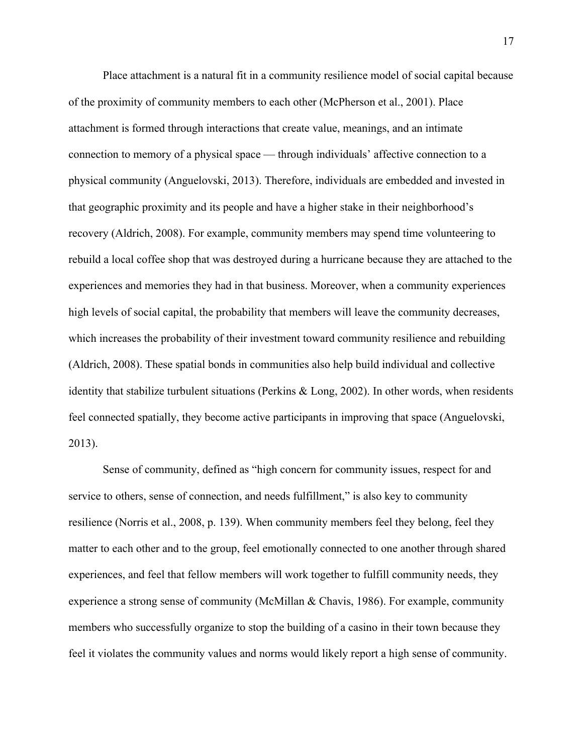Place attachment is a natural fit in a community resilience model of social capital because of the proximity of community members to each other (McPherson et al., 2001). Place attachment is formed through interactions that create value, meanings, and an intimate connection to memory of a physical space — through individuals' affective connection to a physical community (Anguelovski, 2013). Therefore, individuals are embedded and invested in that geographic proximity and its people and have a higher stake in their neighborhood's recovery (Aldrich, 2008). For example, community members may spend time volunteering to rebuild a local coffee shop that was destroyed during a hurricane because they are attached to the experiences and memories they had in that business. Moreover, when a community experiences high levels of social capital, the probability that members will leave the community decreases, which increases the probability of their investment toward community resilience and rebuilding (Aldrich, 2008). These spatial bonds in communities also help build individual and collective identity that stabilize turbulent situations (Perkins & Long, 2002). In other words, when residents feel connected spatially, they become active participants in improving that space (Anguelovski, 2013).

Sense of community, defined as "high concern for community issues, respect for and service to others, sense of connection, and needs fulfillment," is also key to community resilience (Norris et al., 2008, p. 139). When community members feel they belong, feel they matter to each other and to the group, feel emotionally connected to one another through shared experiences, and feel that fellow members will work together to fulfill community needs, they experience a strong sense of community (McMillan & Chavis, 1986). For example, community members who successfully organize to stop the building of a casino in their town because they feel it violates the community values and norms would likely report a high sense of community.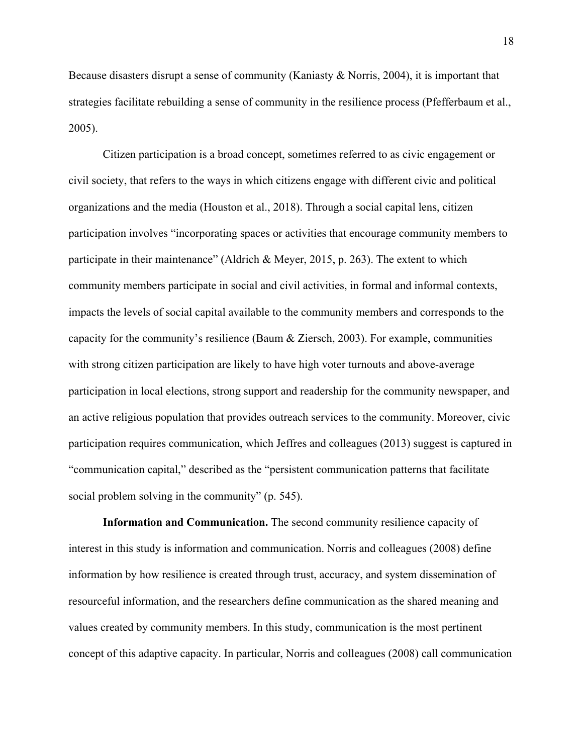Because disasters disrupt a sense of community (Kaniasty & Norris, 2004), it is important that strategies facilitate rebuilding a sense of community in the resilience process (Pfefferbaum et al., 2005).

Citizen participation is a broad concept, sometimes referred to as civic engagement or civil society, that refers to the ways in which citizens engage with different civic and political organizations and the media (Houston et al., 2018). Through a social capital lens, citizen participation involves "incorporating spaces or activities that encourage community members to participate in their maintenance" (Aldrich & Meyer, 2015, p. 263). The extent to which community members participate in social and civil activities, in formal and informal contexts, impacts the levels of social capital available to the community members and corresponds to the capacity for the community's resilience (Baum & Ziersch, 2003). For example, communities with strong citizen participation are likely to have high voter turnouts and above-average participation in local elections, strong support and readership for the community newspaper, and an active religious population that provides outreach services to the community. Moreover, civic participation requires communication, which Jeffres and colleagues (2013) suggest is captured in "communication capital," described as the "persistent communication patterns that facilitate social problem solving in the community" (p. 545).

**Information and Communication.** The second community resilience capacity of interest in this study is information and communication. Norris and colleagues (2008) define information by how resilience is created through trust, accuracy, and system dissemination of resourceful information, and the researchers define communication as the shared meaning and values created by community members. In this study, communication is the most pertinent concept of this adaptive capacity. In particular, Norris and colleagues (2008) call communication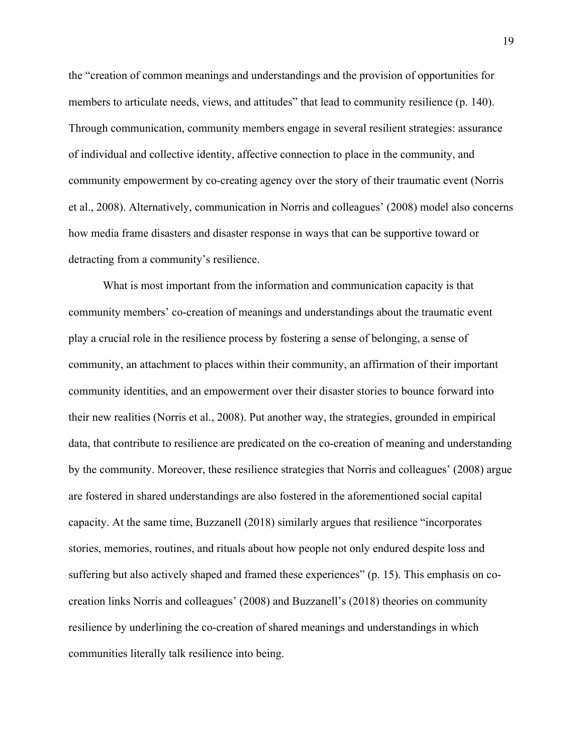the "creation of common meanings and understandings and the provision of opportunities for members to articulate needs, views, and attitudes" that lead to community resilience (p. 140). Through communication, community members engage in several resilient strategies: assurance of individual and collective identity, affective connection to place in the community, and community empowerment by co-creating agency over the story of their traumatic event (Norris et al., 2008). Alternatively, communication in Norris and colleagues' (2008) model also concerns how media frame disasters and disaster response in ways that can be supportive toward or detracting from a community's resilience.

What is most important from the information and communication capacity is that community members' co-creation of meanings and understandings about the traumatic event play a crucial role in the resilience process by fostering a sense of belonging, a sense of community, an attachment to places within their community, an affirmation of their important community identities, and an empowerment over their disaster stories to bounce forward into their new realities (Norris et al., 2008). Put another way, the strategies, grounded in empirical data, that contribute to resilience are predicated on the co-creation of meaning and understanding by the community. Moreover, these resilience strategies that Norris and colleagues' (2008) argue are fostered in shared understandings are also fostered in the aforementioned social capital capacity. At the same time, Buzzanell (2018) similarly argues that resilience "incorporates stories, memories, routines, and rituals about how people not only endured despite loss and suffering but also actively shaped and framed these experiences" (p. 15). This emphasis on cocreation links Norris and colleagues' (2008) and Buzzanell's (2018) theories on community resilience by underlining the co-creation of shared meanings and understandings in which communities literally talk resilience into being.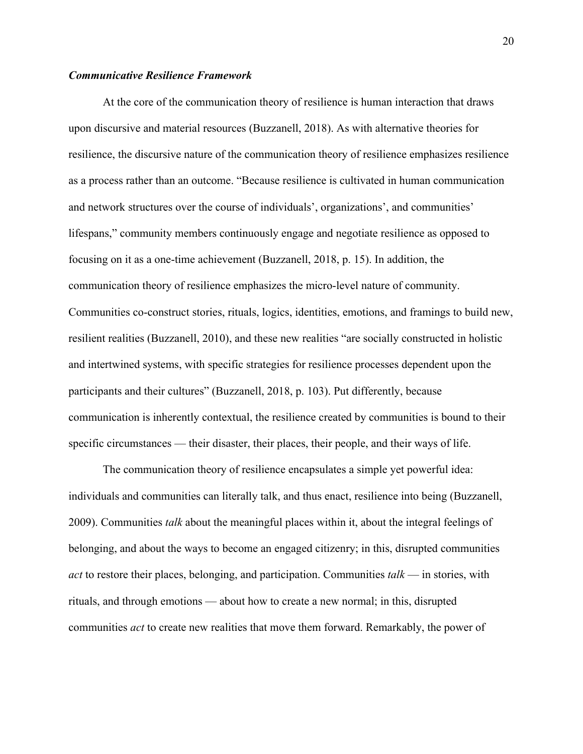# *Communicative Resilience Framework*

At the core of the communication theory of resilience is human interaction that draws upon discursive and material resources (Buzzanell, 2018). As with alternative theories for resilience, the discursive nature of the communication theory of resilience emphasizes resilience as a process rather than an outcome. "Because resilience is cultivated in human communication and network structures over the course of individuals', organizations', and communities' lifespans," community members continuously engage and negotiate resilience as opposed to focusing on it as a one-time achievement (Buzzanell, 2018, p. 15). In addition, the communication theory of resilience emphasizes the micro-level nature of community. Communities co-construct stories, rituals, logics, identities, emotions, and framings to build new, resilient realities (Buzzanell, 2010), and these new realities "are socially constructed in holistic and intertwined systems, with specific strategies for resilience processes dependent upon the participants and their cultures" (Buzzanell, 2018, p. 103). Put differently, because communication is inherently contextual, the resilience created by communities is bound to their specific circumstances — their disaster, their places, their people, and their ways of life.

The communication theory of resilience encapsulates a simple yet powerful idea: individuals and communities can literally talk, and thus enact, resilience into being (Buzzanell, 2009). Communities *talk* about the meaningful places within it, about the integral feelings of belonging, and about the ways to become an engaged citizenry; in this, disrupted communities *act* to restore their places, belonging, and participation. Communities *talk* — in stories, with rituals, and through emotions — about how to create a new normal; in this, disrupted communities *act* to create new realities that move them forward. Remarkably, the power of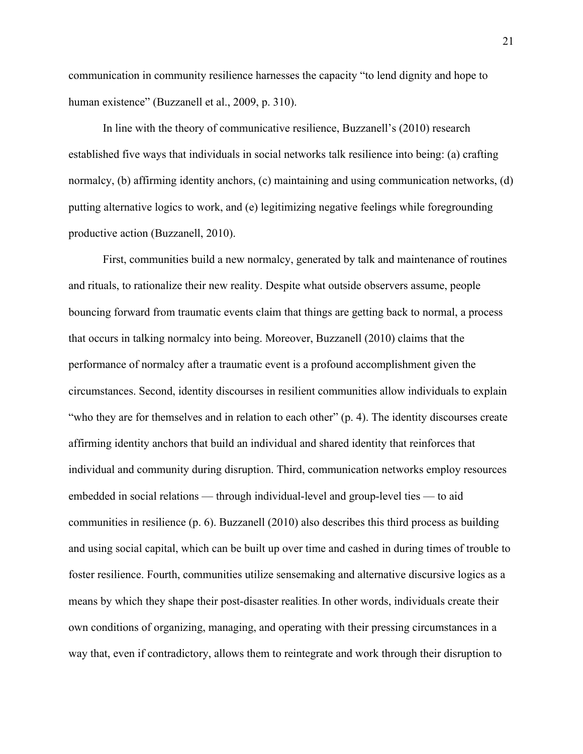communication in community resilience harnesses the capacity "to lend dignity and hope to human existence" (Buzzanell et al., 2009, p. 310).

In line with the theory of communicative resilience, Buzzanell's (2010) research established five ways that individuals in social networks talk resilience into being: (a) crafting normalcy, (b) affirming identity anchors, (c) maintaining and using communication networks, (d) putting alternative logics to work, and (e) legitimizing negative feelings while foregrounding productive action (Buzzanell, 2010).

First, communities build a new normalcy, generated by talk and maintenance of routines and rituals, to rationalize their new reality. Despite what outside observers assume, people bouncing forward from traumatic events claim that things are getting back to normal, a process that occurs in talking normalcy into being. Moreover, Buzzanell (2010) claims that the performance of normalcy after a traumatic event is a profound accomplishment given the circumstances. Second, identity discourses in resilient communities allow individuals to explain "who they are for themselves and in relation to each other" (p. 4). The identity discourses create affirming identity anchors that build an individual and shared identity that reinforces that individual and community during disruption. Third, communication networks employ resources embedded in social relations — through individual-level and group-level ties — to aid communities in resilience (p. 6). Buzzanell (2010) also describes this third process as building and using social capital, which can be built up over time and cashed in during times of trouble to foster resilience. Fourth, communities utilize sensemaking and alternative discursive logics as a means by which they shape their post-disaster realities. In other words, individuals create their own conditions of organizing, managing, and operating with their pressing circumstances in a way that, even if contradictory, allows them to reintegrate and work through their disruption to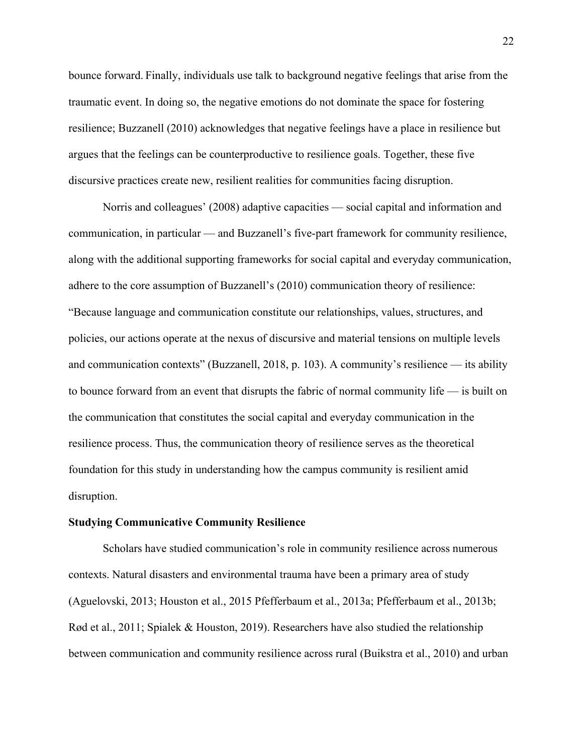bounce forward. Finally, individuals use talk to background negative feelings that arise from the traumatic event. In doing so, the negative emotions do not dominate the space for fostering resilience; Buzzanell (2010) acknowledges that negative feelings have a place in resilience but argues that the feelings can be counterproductive to resilience goals. Together, these five discursive practices create new, resilient realities for communities facing disruption.

Norris and colleagues' (2008) adaptive capacities — social capital and information and communication, in particular — and Buzzanell's five-part framework for community resilience, along with the additional supporting frameworks for social capital and everyday communication, adhere to the core assumption of Buzzanell's (2010) communication theory of resilience: "Because language and communication constitute our relationships, values, structures, and policies, our actions operate at the nexus of discursive and material tensions on multiple levels and communication contexts" (Buzzanell, 2018, p. 103). A community's resilience — its ability to bounce forward from an event that disrupts the fabric of normal community life — is built on the communication that constitutes the social capital and everyday communication in the resilience process. Thus, the communication theory of resilience serves as the theoretical foundation for this study in understanding how the campus community is resilient amid disruption.

#### **Studying Communicative Community Resilience**

Scholars have studied communication's role in community resilience across numerous contexts. Natural disasters and environmental trauma have been a primary area of study (Aguelovski, 2013; Houston et al., 2015 Pfefferbaum et al., 2013a; Pfefferbaum et al., 2013b; Rød et al., 2011; Spialek & Houston, 2019). Researchers have also studied the relationship between communication and community resilience across rural (Buikstra et al., 2010) and urban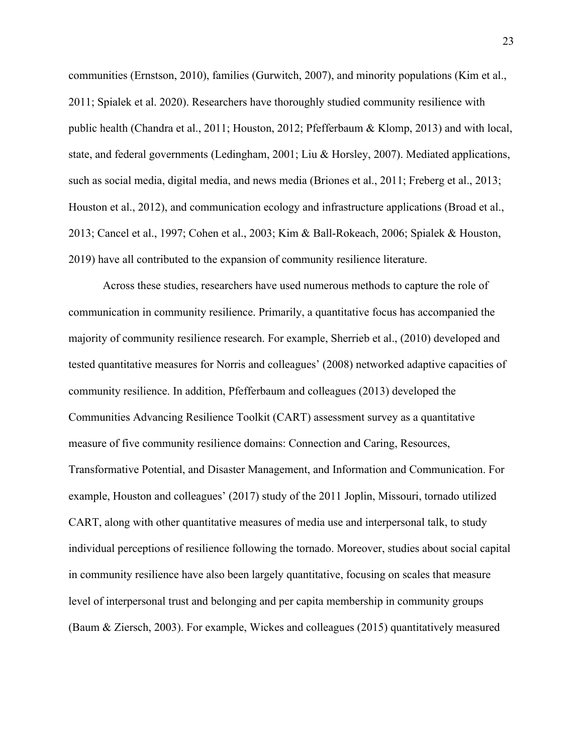communities (Ernstson, 2010), families (Gurwitch, 2007), and minority populations (Kim et al., 2011; Spialek et al. 2020). Researchers have thoroughly studied community resilience with public health (Chandra et al., 2011; Houston, 2012; Pfefferbaum & Klomp, 2013) and with local, state, and federal governments (Ledingham, 2001; Liu & Horsley, 2007). Mediated applications, such as social media, digital media, and news media (Briones et al., 2011; Freberg et al., 2013; Houston et al., 2012), and communication ecology and infrastructure applications (Broad et al., 2013; Cancel et al., 1997; Cohen et al., 2003; Kim & Ball-Rokeach, 2006; Spialek & Houston, 2019) have all contributed to the expansion of community resilience literature.

Across these studies, researchers have used numerous methods to capture the role of communication in community resilience. Primarily, a quantitative focus has accompanied the majority of community resilience research. For example, Sherrieb et al., (2010) developed and tested quantitative measures for Norris and colleagues' (2008) networked adaptive capacities of community resilience. In addition, Pfefferbaum and colleagues (2013) developed the Communities Advancing Resilience Toolkit (CART) assessment survey as a quantitative measure of five community resilience domains: Connection and Caring, Resources, Transformative Potential, and Disaster Management, and Information and Communication. For example, Houston and colleagues' (2017) study of the 2011 Joplin, Missouri, tornado utilized CART, along with other quantitative measures of media use and interpersonal talk, to study individual perceptions of resilience following the tornado. Moreover, studies about social capital in community resilience have also been largely quantitative, focusing on scales that measure level of interpersonal trust and belonging and per capita membership in community groups (Baum & Ziersch, 2003). For example, Wickes and colleagues (2015) quantitatively measured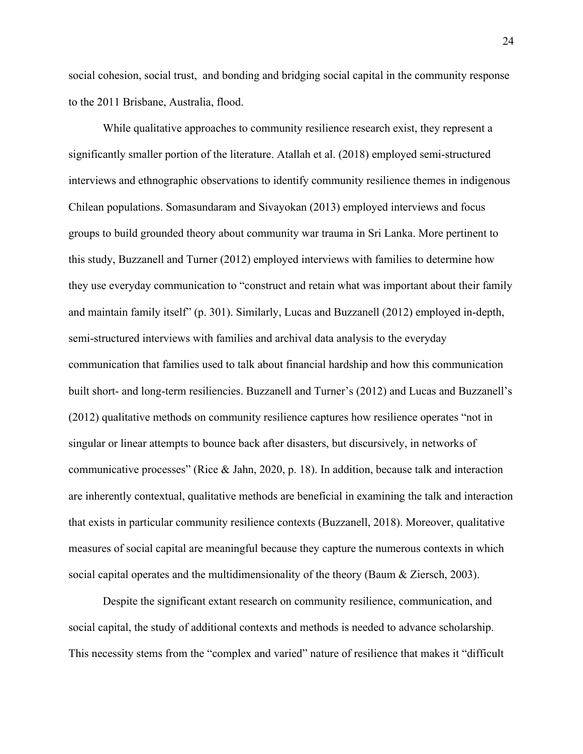social cohesion, social trust, and bonding and bridging social capital in the community response to the 2011 Brisbane, Australia, flood.

While qualitative approaches to community resilience research exist, they represent a significantly smaller portion of the literature. Atallah et al. (2018) employed semi-structured interviews and ethnographic observations to identify community resilience themes in indigenous Chilean populations. Somasundaram and Sivayokan (2013) employed interviews and focus groups to build grounded theory about community war trauma in Sri Lanka. More pertinent to this study, Buzzanell and Turner (2012) employed interviews with families to determine how they use everyday communication to "construct and retain what was important about their family and maintain family itself" (p. 301). Similarly, Lucas and Buzzanell (2012) employed in-depth, semi-structured interviews with families and archival data analysis to the everyday communication that families used to talk about financial hardship and how this communication built short- and long-term resiliencies. Buzzanell and Turner's (2012) and Lucas and Buzzanell's (2012) qualitative methods on community resilience captures how resilience operates "not in singular or linear attempts to bounce back after disasters, but discursively, in networks of communicative processes" (Rice & Jahn, 2020, p. 18). In addition, because talk and interaction are inherently contextual, qualitative methods are beneficial in examining the talk and interaction that exists in particular community resilience contexts (Buzzanell, 2018). Moreover, qualitative measures of social capital are meaningful because they capture the numerous contexts in which social capital operates and the multidimensionality of the theory (Baum & Ziersch, 2003).

Despite the significant extant research on community resilience, communication, and social capital, the study of additional contexts and methods is needed to advance scholarship. This necessity stems from the "complex and varied" nature of resilience that makes it "difficult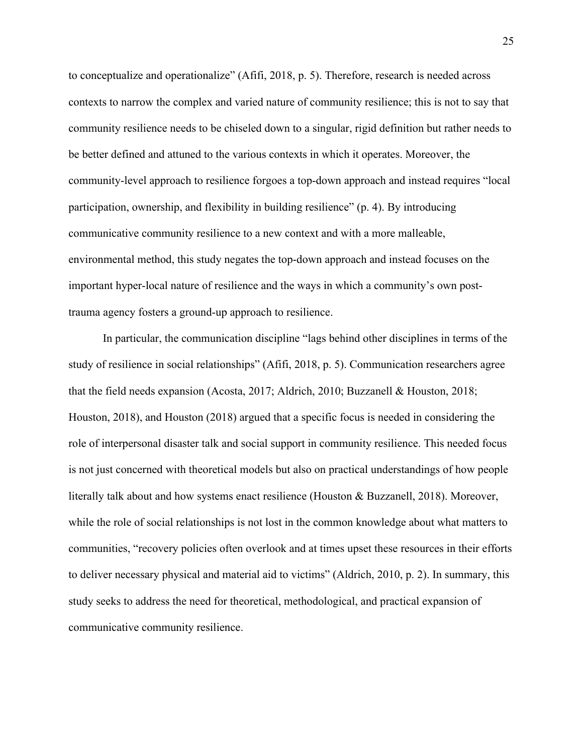to conceptualize and operationalize" (Afifi, 2018, p. 5). Therefore, research is needed across contexts to narrow the complex and varied nature of community resilience; this is not to say that community resilience needs to be chiseled down to a singular, rigid definition but rather needs to be better defined and attuned to the various contexts in which it operates. Moreover, the community-level approach to resilience forgoes a top-down approach and instead requires "local participation, ownership, and flexibility in building resilience" (p. 4). By introducing communicative community resilience to a new context and with a more malleable, environmental method, this study negates the top-down approach and instead focuses on the important hyper-local nature of resilience and the ways in which a community's own posttrauma agency fosters a ground-up approach to resilience.

In particular, the communication discipline "lags behind other disciplines in terms of the study of resilience in social relationships" (Afifi, 2018, p. 5). Communication researchers agree that the field needs expansion (Acosta, 2017; Aldrich, 2010; Buzzanell & Houston, 2018; Houston, 2018), and Houston (2018) argued that a specific focus is needed in considering the role of interpersonal disaster talk and social support in community resilience. This needed focus is not just concerned with theoretical models but also on practical understandings of how people literally talk about and how systems enact resilience (Houston & Buzzanell, 2018). Moreover, while the role of social relationships is not lost in the common knowledge about what matters to communities, "recovery policies often overlook and at times upset these resources in their efforts to deliver necessary physical and material aid to victims" (Aldrich, 2010, p. 2). In summary, this study seeks to address the need for theoretical, methodological, and practical expansion of communicative community resilience.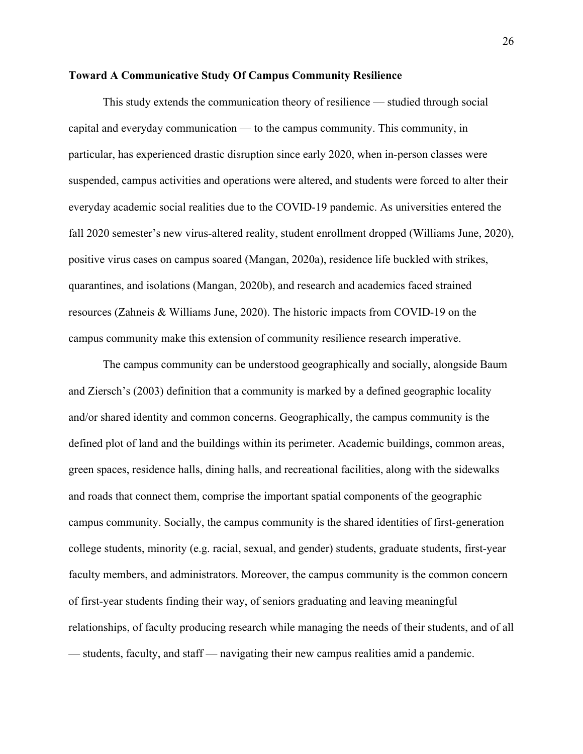#### **Toward A Communicative Study Of Campus Community Resilience**

This study extends the communication theory of resilience — studied through social capital and everyday communication — to the campus community. This community, in particular, has experienced drastic disruption since early 2020, when in-person classes were suspended, campus activities and operations were altered, and students were forced to alter their everyday academic social realities due to the COVID-19 pandemic. As universities entered the fall 2020 semester's new virus-altered reality, student enrollment dropped (Williams June, 2020), positive virus cases on campus soared (Mangan, 2020a), residence life buckled with strikes, quarantines, and isolations (Mangan, 2020b), and research and academics faced strained resources (Zahneis & Williams June, 2020). The historic impacts from COVID-19 on the campus community make this extension of community resilience research imperative.

The campus community can be understood geographically and socially, alongside Baum and Ziersch's (2003) definition that a community is marked by a defined geographic locality and/or shared identity and common concerns. Geographically, the campus community is the defined plot of land and the buildings within its perimeter. Academic buildings, common areas, green spaces, residence halls, dining halls, and recreational facilities, along with the sidewalks and roads that connect them, comprise the important spatial components of the geographic campus community. Socially, the campus community is the shared identities of first-generation college students, minority (e.g. racial, sexual, and gender) students, graduate students, first-year faculty members, and administrators. Moreover, the campus community is the common concern of first-year students finding their way, of seniors graduating and leaving meaningful relationships, of faculty producing research while managing the needs of their students, and of all — students, faculty, and staff — navigating their new campus realities amid a pandemic.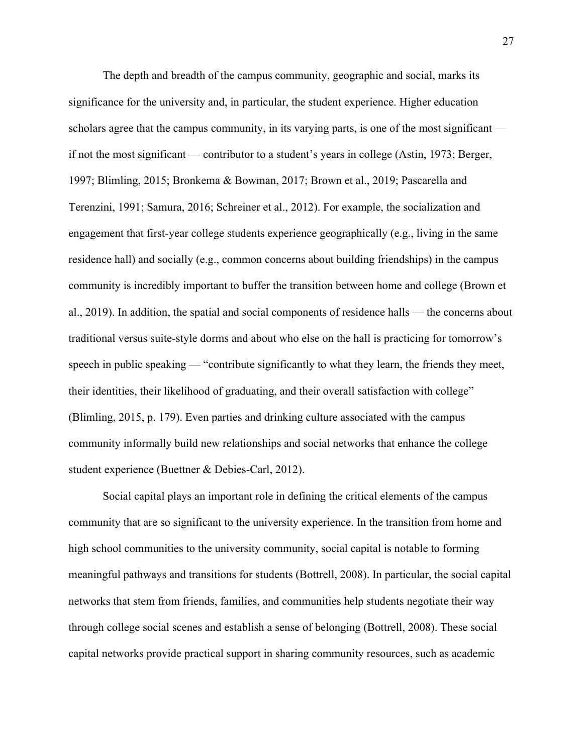The depth and breadth of the campus community, geographic and social, marks its significance for the university and, in particular, the student experience. Higher education scholars agree that the campus community, in its varying parts, is one of the most significant if not the most significant — contributor to a student's years in college (Astin, 1973; Berger, 1997; Blimling, 2015; Bronkema & Bowman, 2017; Brown et al., 2019; Pascarella and Terenzini, 1991; Samura, 2016; Schreiner et al., 2012). For example, the socialization and engagement that first-year college students experience geographically (e.g., living in the same residence hall) and socially (e.g., common concerns about building friendships) in the campus community is incredibly important to buffer the transition between home and college (Brown et al., 2019). In addition, the spatial and social components of residence halls — the concerns about traditional versus suite-style dorms and about who else on the hall is practicing for tomorrow's speech in public speaking — "contribute significantly to what they learn, the friends they meet, their identities, their likelihood of graduating, and their overall satisfaction with college" (Blimling, 2015, p. 179). Even parties and drinking culture associated with the campus community informally build new relationships and social networks that enhance the college student experience (Buettner & Debies-Carl, 2012).

Social capital plays an important role in defining the critical elements of the campus community that are so significant to the university experience. In the transition from home and high school communities to the university community, social capital is notable to forming meaningful pathways and transitions for students (Bottrell, 2008). In particular, the social capital networks that stem from friends, families, and communities help students negotiate their way through college social scenes and establish a sense of belonging (Bottrell, 2008). These social capital networks provide practical support in sharing community resources, such as academic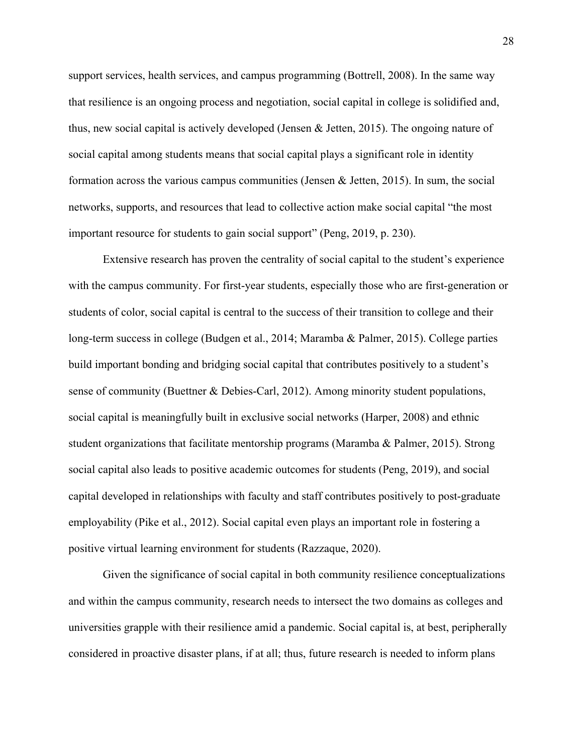support services, health services, and campus programming (Bottrell, 2008). In the same way that resilience is an ongoing process and negotiation, social capital in college is solidified and, thus, new social capital is actively developed (Jensen & Jetten, 2015). The ongoing nature of social capital among students means that social capital plays a significant role in identity formation across the various campus communities (Jensen & Jetten, 2015). In sum, the social networks, supports, and resources that lead to collective action make social capital "the most important resource for students to gain social support" (Peng, 2019, p. 230).

Extensive research has proven the centrality of social capital to the student's experience with the campus community. For first-year students, especially those who are first-generation or students of color, social capital is central to the success of their transition to college and their long-term success in college (Budgen et al., 2014; Maramba & Palmer, 2015). College parties build important bonding and bridging social capital that contributes positively to a student's sense of community (Buettner & Debies-Carl, 2012). Among minority student populations, social capital is meaningfully built in exclusive social networks (Harper, 2008) and ethnic student organizations that facilitate mentorship programs (Maramba & Palmer, 2015). Strong social capital also leads to positive academic outcomes for students (Peng, 2019), and social capital developed in relationships with faculty and staff contributes positively to post-graduate employability (Pike et al., 2012). Social capital even plays an important role in fostering a positive virtual learning environment for students (Razzaque, 2020).

Given the significance of social capital in both community resilience conceptualizations and within the campus community, research needs to intersect the two domains as colleges and universities grapple with their resilience amid a pandemic. Social capital is, at best, peripherally considered in proactive disaster plans, if at all; thus, future research is needed to inform plans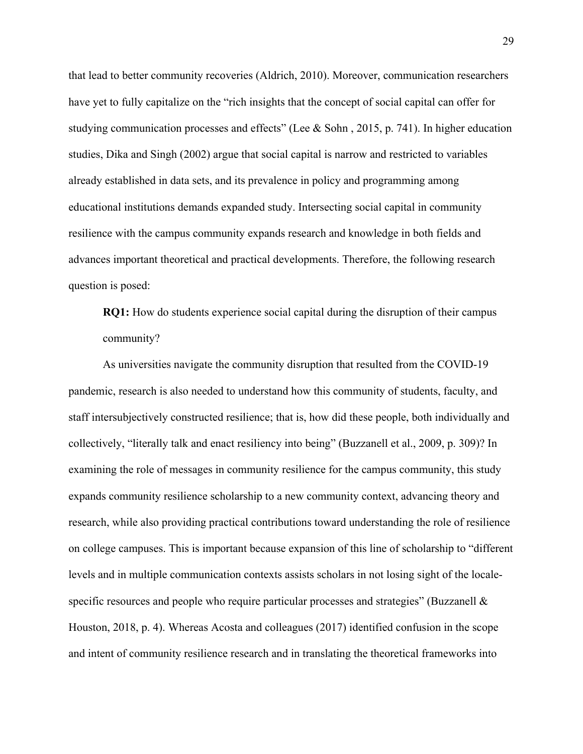that lead to better community recoveries (Aldrich, 2010). Moreover, communication researchers have yet to fully capitalize on the "rich insights that the concept of social capital can offer for studying communication processes and effects" (Lee & Sohn, 2015, p. 741). In higher education studies, Dika and Singh (2002) argue that social capital is narrow and restricted to variables already established in data sets, and its prevalence in policy and programming among educational institutions demands expanded study. Intersecting social capital in community resilience with the campus community expands research and knowledge in both fields and advances important theoretical and practical developments. Therefore, the following research question is posed:

**RQ1:** How do students experience social capital during the disruption of their campus community?

As universities navigate the community disruption that resulted from the COVID-19 pandemic, research is also needed to understand how this community of students, faculty, and staff intersubjectively constructed resilience; that is, how did these people, both individually and collectively, "literally talk and enact resiliency into being" (Buzzanell et al., 2009, p. 309)? In examining the role of messages in community resilience for the campus community, this study expands community resilience scholarship to a new community context, advancing theory and research, while also providing practical contributions toward understanding the role of resilience on college campuses. This is important because expansion of this line of scholarship to "different levels and in multiple communication contexts assists scholars in not losing sight of the localespecific resources and people who require particular processes and strategies" (Buzzanell & Houston, 2018, p. 4). Whereas Acosta and colleagues (2017) identified confusion in the scope and intent of community resilience research and in translating the theoretical frameworks into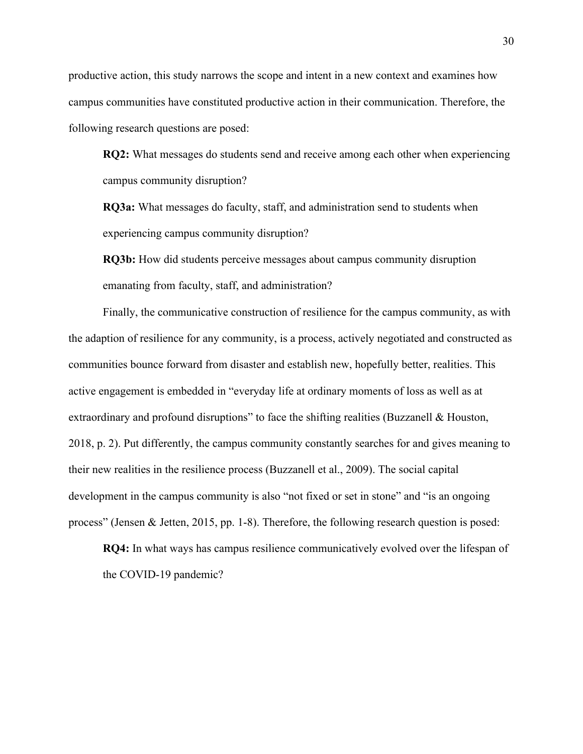productive action, this study narrows the scope and intent in a new context and examines how campus communities have constituted productive action in their communication. Therefore, the following research questions are posed:

**RQ2:** What messages do students send and receive among each other when experiencing campus community disruption?

**RQ3a:** What messages do faculty, staff, and administration send to students when experiencing campus community disruption?

**RQ3b:** How did students perceive messages about campus community disruption emanating from faculty, staff, and administration?

Finally, the communicative construction of resilience for the campus community, as with the adaption of resilience for any community, is a process, actively negotiated and constructed as communities bounce forward from disaster and establish new, hopefully better, realities. This active engagement is embedded in "everyday life at ordinary moments of loss as well as at extraordinary and profound disruptions" to face the shifting realities (Buzzanell & Houston, 2018, p. 2). Put differently, the campus community constantly searches for and gives meaning to their new realities in the resilience process (Buzzanell et al., 2009). The social capital development in the campus community is also "not fixed or set in stone" and "is an ongoing process" (Jensen & Jetten, 2015, pp. 1-8). Therefore, the following research question is posed:

**RQ4:** In what ways has campus resilience communicatively evolved over the lifespan of the COVID-19 pandemic?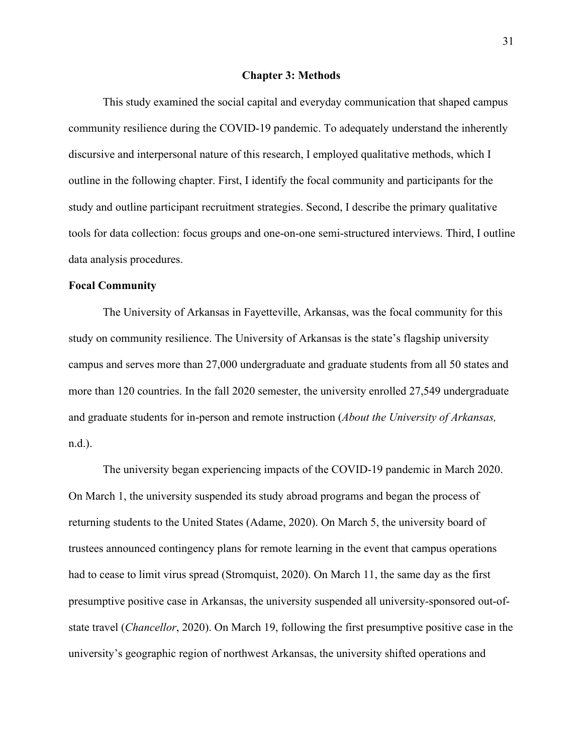#### **Chapter 3: Methods**

This study examined the social capital and everyday communication that shaped campus community resilience during the COVID-19 pandemic. To adequately understand the inherently discursive and interpersonal nature of this research, I employed qualitative methods, which I outline in the following chapter. First, I identify the focal community and participants for the study and outline participant recruitment strategies. Second, I describe the primary qualitative tools for data collection: focus groups and one-on-one semi-structured interviews. Third, I outline data analysis procedures.

#### **Focal Community**

The University of Arkansas in Fayetteville, Arkansas, was the focal community for this study on community resilience. The University of Arkansas is the state's flagship university campus and serves more than 27,000 undergraduate and graduate students from all 50 states and more than 120 countries. In the fall 2020 semester, the university enrolled 27,549 undergraduate and graduate students for in-person and remote instruction (*About the University of Arkansas,*  n.d.).

The university began experiencing impacts of the COVID-19 pandemic in March 2020. On March 1, the university suspended its study abroad programs and began the process of returning students to the United States (Adame, 2020). On March 5, the university board of trustees announced contingency plans for remote learning in the event that campus operations had to cease to limit virus spread (Stromquist, 2020). On March 11, the same day as the first presumptive positive case in Arkansas, the university suspended all university-sponsored out-ofstate travel (*Chancellor*, 2020). On March 19, following the first presumptive positive case in the university's geographic region of northwest Arkansas, the university shifted operations and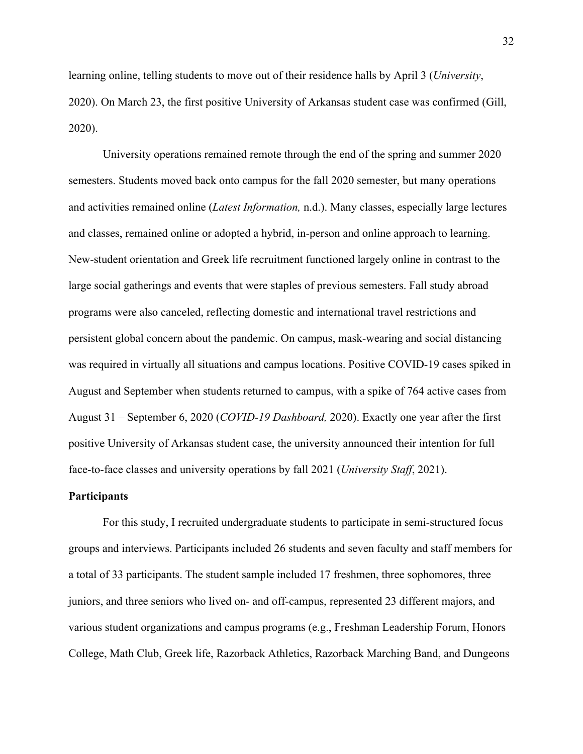learning online, telling students to move out of their residence halls by April 3 (*University*, 2020). On March 23, the first positive University of Arkansas student case was confirmed (Gill, 2020).

 University operations remained remote through the end of the spring and summer 2020 semesters. Students moved back onto campus for the fall 2020 semester, but many operations and activities remained online (*Latest Information,* n.d.). Many classes, especially large lectures and classes, remained online or adopted a hybrid, in-person and online approach to learning. New-student orientation and Greek life recruitment functioned largely online in contrast to the large social gatherings and events that were staples of previous semesters. Fall study abroad programs were also canceled, reflecting domestic and international travel restrictions and persistent global concern about the pandemic. On campus, mask-wearing and social distancing was required in virtually all situations and campus locations. Positive COVID-19 cases spiked in August and September when students returned to campus, with a spike of 764 active cases from August 31 – September 6, 2020 (*COVID-19 Dashboard,* 2020). Exactly one year after the first positive University of Arkansas student case, the university announced their intention for full face-to-face classes and university operations by fall 2021 (*University Staff*, 2021).

#### **Participants**

 For this study, I recruited undergraduate students to participate in semi-structured focus groups and interviews. Participants included 26 students and seven faculty and staff members for a total of 33 participants. The student sample included 17 freshmen, three sophomores, three juniors, and three seniors who lived on- and off-campus, represented 23 different majors, and various student organizations and campus programs (e.g., Freshman Leadership Forum, Honors College, Math Club, Greek life, Razorback Athletics, Razorback Marching Band, and Dungeons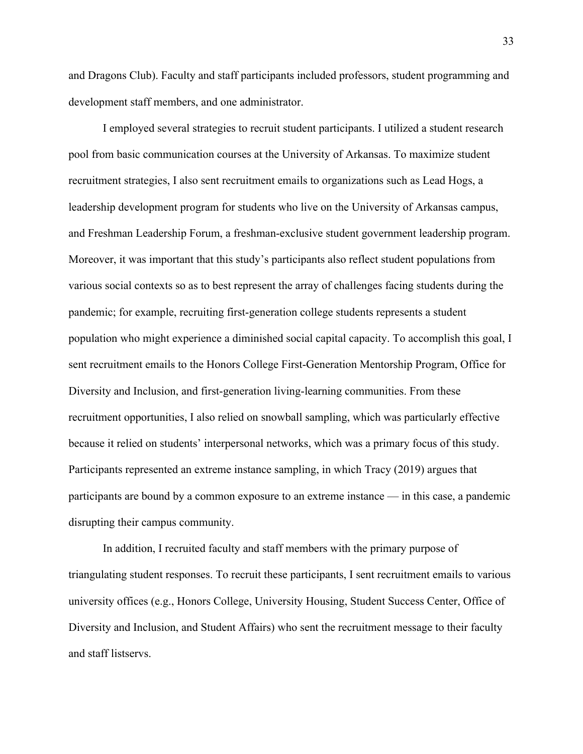and Dragons Club). Faculty and staff participants included professors, student programming and development staff members, and one administrator.

I employed several strategies to recruit student participants. I utilized a student research pool from basic communication courses at the University of Arkansas. To maximize student recruitment strategies, I also sent recruitment emails to organizations such as Lead Hogs, a leadership development program for students who live on the University of Arkansas campus, and Freshman Leadership Forum, a freshman-exclusive student government leadership program. Moreover, it was important that this study's participants also reflect student populations from various social contexts so as to best represent the array of challenges facing students during the pandemic; for example, recruiting first-generation college students represents a student population who might experience a diminished social capital capacity. To accomplish this goal, I sent recruitment emails to the Honors College First-Generation Mentorship Program, Office for Diversity and Inclusion, and first-generation living-learning communities. From these recruitment opportunities, I also relied on snowball sampling, which was particularly effective because it relied on students' interpersonal networks, which was a primary focus of this study. Participants represented an extreme instance sampling, in which Tracy (2019) argues that participants are bound by a common exposure to an extreme instance — in this case, a pandemic disrupting their campus community.

 In addition, I recruited faculty and staff members with the primary purpose of triangulating student responses. To recruit these participants, I sent recruitment emails to various university offices (e.g., Honors College, University Housing, Student Success Center, Office of Diversity and Inclusion, and Student Affairs) who sent the recruitment message to their faculty and staff listservs.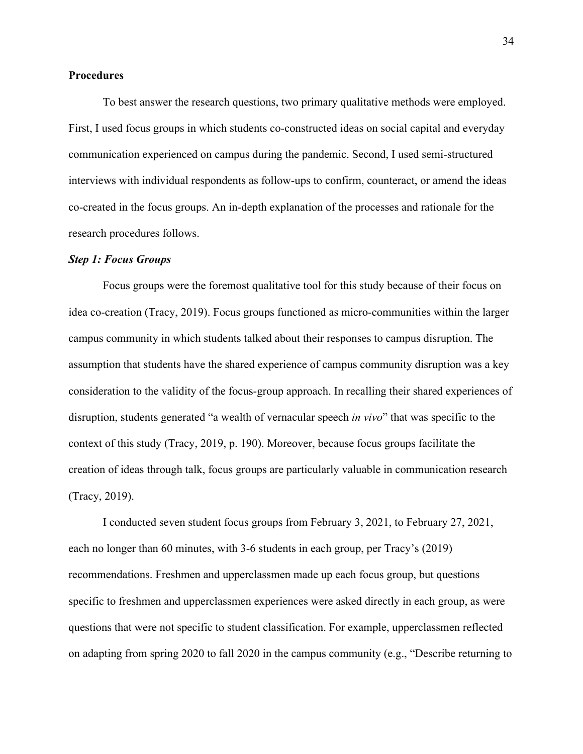#### **Procedures**

To best answer the research questions, two primary qualitative methods were employed. First, I used focus groups in which students co-constructed ideas on social capital and everyday communication experienced on campus during the pandemic. Second, I used semi-structured interviews with individual respondents as follow-ups to confirm, counteract, or amend the ideas co-created in the focus groups. An in-depth explanation of the processes and rationale for the research procedures follows.

#### *Step 1: Focus Groups*

Focus groups were the foremost qualitative tool for this study because of their focus on idea co-creation (Tracy, 2019). Focus groups functioned as micro-communities within the larger campus community in which students talked about their responses to campus disruption. The assumption that students have the shared experience of campus community disruption was a key consideration to the validity of the focus-group approach. In recalling their shared experiences of disruption, students generated "a wealth of vernacular speech *in vivo*" that was specific to the context of this study (Tracy, 2019, p. 190). Moreover, because focus groups facilitate the creation of ideas through talk, focus groups are particularly valuable in communication research (Tracy, 2019).

 I conducted seven student focus groups from February 3, 2021, to February 27, 2021, each no longer than 60 minutes, with 3-6 students in each group, per Tracy's (2019) recommendations. Freshmen and upperclassmen made up each focus group, but questions specific to freshmen and upperclassmen experiences were asked directly in each group, as were questions that were not specific to student classification. For example, upperclassmen reflected on adapting from spring 2020 to fall 2020 in the campus community (e.g., "Describe returning to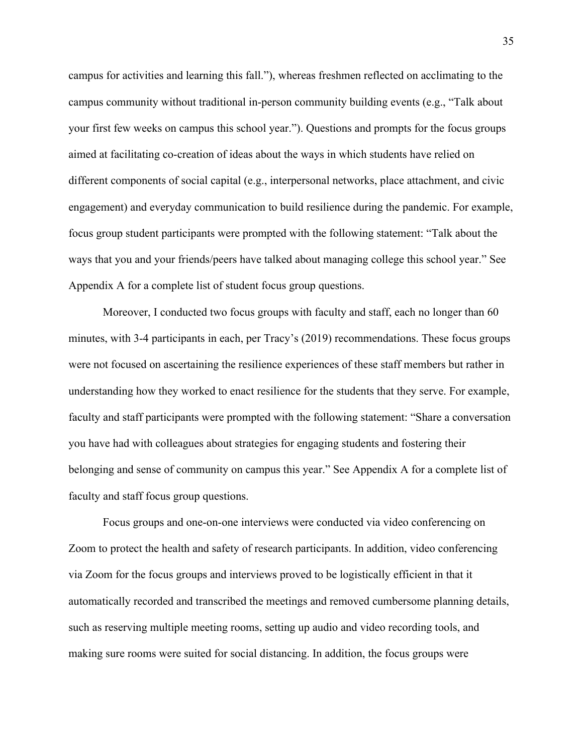campus for activities and learning this fall."), whereas freshmen reflected on acclimating to the campus community without traditional in-person community building events (e.g., "Talk about your first few weeks on campus this school year."). Questions and prompts for the focus groups aimed at facilitating co-creation of ideas about the ways in which students have relied on different components of social capital (e.g., interpersonal networks, place attachment, and civic engagement) and everyday communication to build resilience during the pandemic. For example, focus group student participants were prompted with the following statement: "Talk about the ways that you and your friends/peers have talked about managing college this school year." See Appendix A for a complete list of student focus group questions.

 Moreover, I conducted two focus groups with faculty and staff, each no longer than 60 minutes, with 3-4 participants in each, per Tracy's (2019) recommendations. These focus groups were not focused on ascertaining the resilience experiences of these staff members but rather in understanding how they worked to enact resilience for the students that they serve. For example, faculty and staff participants were prompted with the following statement: "Share a conversation you have had with colleagues about strategies for engaging students and fostering their belonging and sense of community on campus this year." See Appendix A for a complete list of faculty and staff focus group questions.

 Focus groups and one-on-one interviews were conducted via video conferencing on Zoom to protect the health and safety of research participants. In addition, video conferencing via Zoom for the focus groups and interviews proved to be logistically efficient in that it automatically recorded and transcribed the meetings and removed cumbersome planning details, such as reserving multiple meeting rooms, setting up audio and video recording tools, and making sure rooms were suited for social distancing. In addition, the focus groups were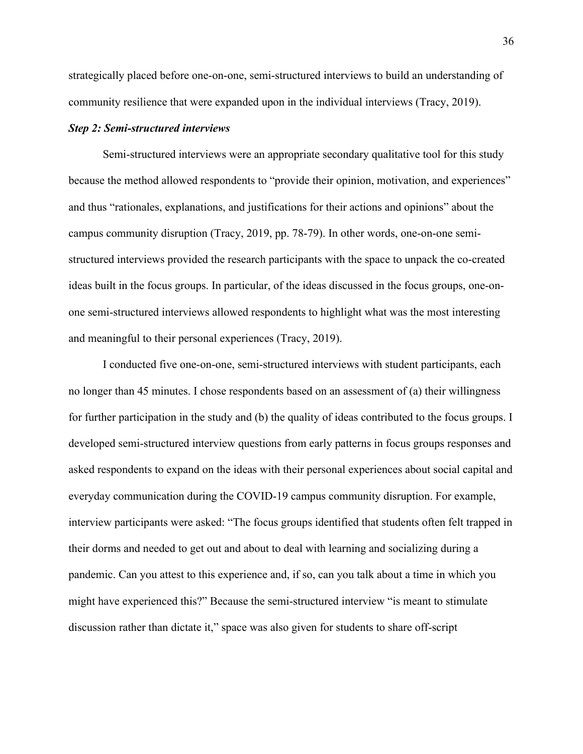strategically placed before one-on-one, semi-structured interviews to build an understanding of community resilience that were expanded upon in the individual interviews (Tracy, 2019).

#### *Step 2: Semi-structured interviews*

 Semi-structured interviews were an appropriate secondary qualitative tool for this study because the method allowed respondents to "provide their opinion, motivation, and experiences" and thus "rationales, explanations, and justifications for their actions and opinions" about the campus community disruption (Tracy, 2019, pp. 78-79). In other words, one-on-one semistructured interviews provided the research participants with the space to unpack the co-created ideas built in the focus groups. In particular, of the ideas discussed in the focus groups, one-onone semi-structured interviews allowed respondents to highlight what was the most interesting and meaningful to their personal experiences (Tracy, 2019).

 I conducted five one-on-one, semi-structured interviews with student participants, each no longer than 45 minutes. I chose respondents based on an assessment of (a) their willingness for further participation in the study and (b) the quality of ideas contributed to the focus groups. I developed semi-structured interview questions from early patterns in focus groups responses and asked respondents to expand on the ideas with their personal experiences about social capital and everyday communication during the COVID-19 campus community disruption. For example, interview participants were asked: "The focus groups identified that students often felt trapped in their dorms and needed to get out and about to deal with learning and socializing during a pandemic. Can you attest to this experience and, if so, can you talk about a time in which you might have experienced this?" Because the semi-structured interview "is meant to stimulate discussion rather than dictate it," space was also given for students to share off-script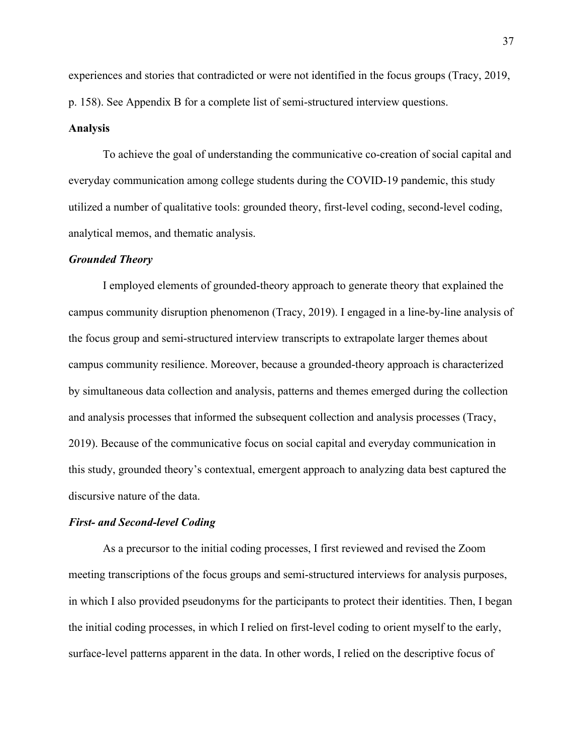experiences and stories that contradicted or were not identified in the focus groups (Tracy, 2019, p. 158). See Appendix B for a complete list of semi-structured interview questions.

#### **Analysis**

 To achieve the goal of understanding the communicative co-creation of social capital and everyday communication among college students during the COVID-19 pandemic, this study utilized a number of qualitative tools: grounded theory, first-level coding, second-level coding, analytical memos, and thematic analysis.

#### *Grounded Theory*

I employed elements of grounded-theory approach to generate theory that explained the campus community disruption phenomenon (Tracy, 2019). I engaged in a line-by-line analysis of the focus group and semi-structured interview transcripts to extrapolate larger themes about campus community resilience. Moreover, because a grounded-theory approach is characterized by simultaneous data collection and analysis, patterns and themes emerged during the collection and analysis processes that informed the subsequent collection and analysis processes (Tracy, 2019). Because of the communicative focus on social capital and everyday communication in this study, grounded theory's contextual, emergent approach to analyzing data best captured the discursive nature of the data.

#### *First- and Second-level Coding*

As a precursor to the initial coding processes, I first reviewed and revised the Zoom meeting transcriptions of the focus groups and semi-structured interviews for analysis purposes, in which I also provided pseudonyms for the participants to protect their identities. Then, I began the initial coding processes, in which I relied on first-level coding to orient myself to the early, surface-level patterns apparent in the data. In other words, I relied on the descriptive focus of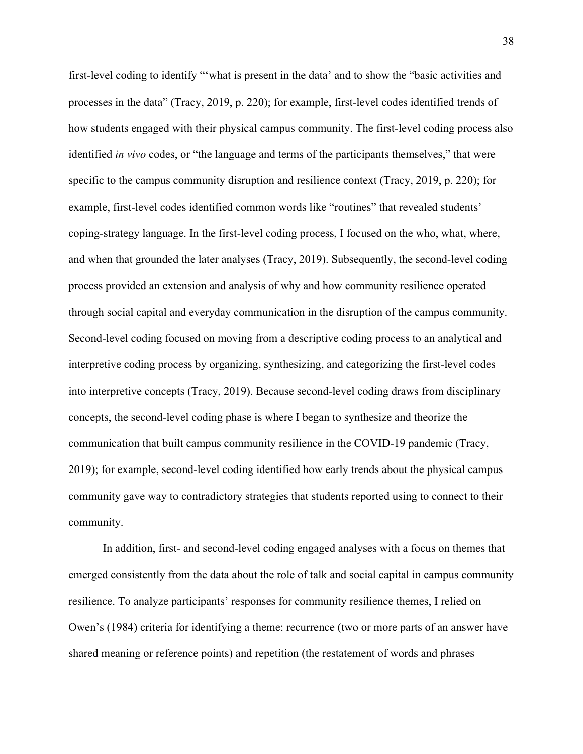first-level coding to identify "'what is present in the data' and to show the "basic activities and processes in the data" (Tracy, 2019, p. 220); for example, first-level codes identified trends of how students engaged with their physical campus community. The first-level coding process also identified *in vivo* codes, or "the language and terms of the participants themselves," that were specific to the campus community disruption and resilience context (Tracy, 2019, p. 220); for example, first-level codes identified common words like "routines" that revealed students' coping-strategy language. In the first-level coding process, I focused on the who, what, where, and when that grounded the later analyses (Tracy, 2019). Subsequently, the second-level coding process provided an extension and analysis of why and how community resilience operated through social capital and everyday communication in the disruption of the campus community. Second-level coding focused on moving from a descriptive coding process to an analytical and interpretive coding process by organizing, synthesizing, and categorizing the first-level codes into interpretive concepts (Tracy, 2019). Because second-level coding draws from disciplinary concepts, the second-level coding phase is where I began to synthesize and theorize the communication that built campus community resilience in the COVID-19 pandemic (Tracy, 2019); for example, second-level coding identified how early trends about the physical campus community gave way to contradictory strategies that students reported using to connect to their community.

In addition, first- and second-level coding engaged analyses with a focus on themes that emerged consistently from the data about the role of talk and social capital in campus community resilience. To analyze participants' responses for community resilience themes, I relied on Owen's (1984) criteria for identifying a theme: recurrence (two or more parts of an answer have shared meaning or reference points) and repetition (the restatement of words and phrases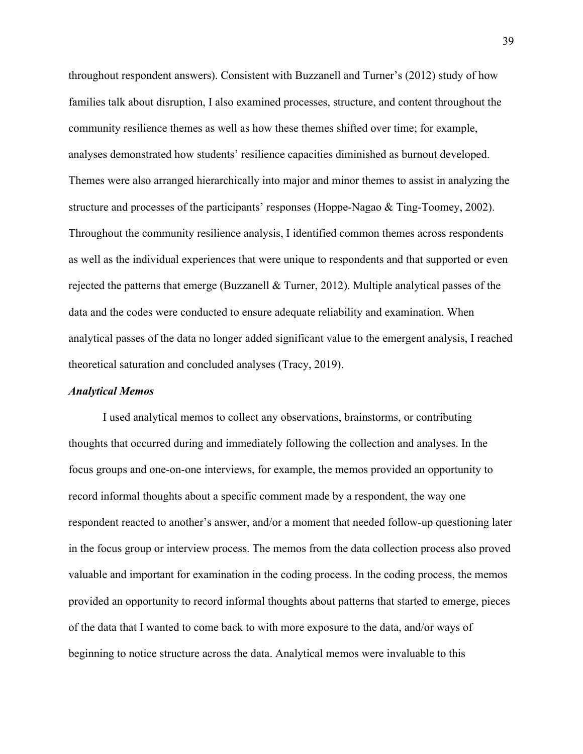throughout respondent answers). Consistent with Buzzanell and Turner's (2012) study of how families talk about disruption, I also examined processes, structure, and content throughout the community resilience themes as well as how these themes shifted over time; for example, analyses demonstrated how students' resilience capacities diminished as burnout developed. Themes were also arranged hierarchically into major and minor themes to assist in analyzing the structure and processes of the participants' responses (Hoppe-Nagao & Ting-Toomey, 2002). Throughout the community resilience analysis, I identified common themes across respondents as well as the individual experiences that were unique to respondents and that supported or even rejected the patterns that emerge (Buzzanell & Turner, 2012). Multiple analytical passes of the data and the codes were conducted to ensure adequate reliability and examination. When analytical passes of the data no longer added significant value to the emergent analysis, I reached theoretical saturation and concluded analyses (Tracy, 2019).

#### *Analytical Memos*

I used analytical memos to collect any observations, brainstorms, or contributing thoughts that occurred during and immediately following the collection and analyses. In the focus groups and one-on-one interviews, for example, the memos provided an opportunity to record informal thoughts about a specific comment made by a respondent, the way one respondent reacted to another's answer, and/or a moment that needed follow-up questioning later in the focus group or interview process. The memos from the data collection process also proved valuable and important for examination in the coding process. In the coding process, the memos provided an opportunity to record informal thoughts about patterns that started to emerge, pieces of the data that I wanted to come back to with more exposure to the data, and/or ways of beginning to notice structure across the data. Analytical memos were invaluable to this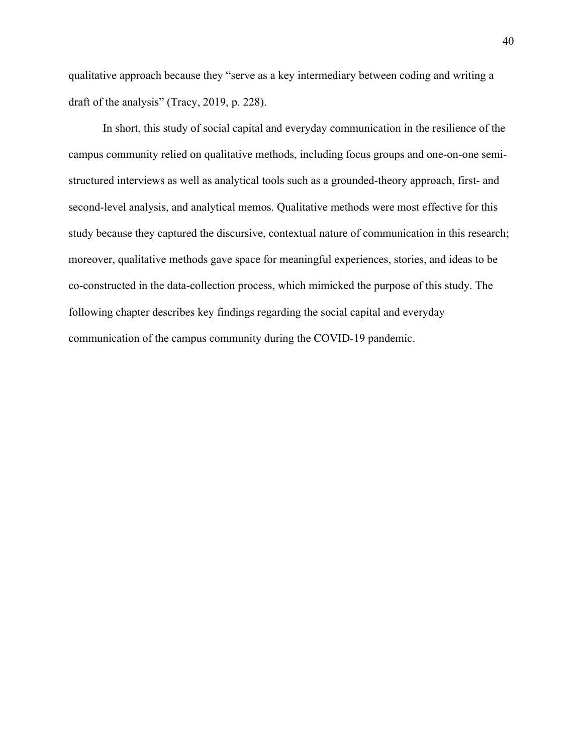qualitative approach because they "serve as a key intermediary between coding and writing a draft of the analysis" (Tracy, 2019, p. 228).

In short, this study of social capital and everyday communication in the resilience of the campus community relied on qualitative methods, including focus groups and one-on-one semistructured interviews as well as analytical tools such as a grounded-theory approach, first- and second-level analysis, and analytical memos. Qualitative methods were most effective for this study because they captured the discursive, contextual nature of communication in this research; moreover, qualitative methods gave space for meaningful experiences, stories, and ideas to be co-constructed in the data-collection process, which mimicked the purpose of this study. The following chapter describes key findings regarding the social capital and everyday communication of the campus community during the COVID-19 pandemic.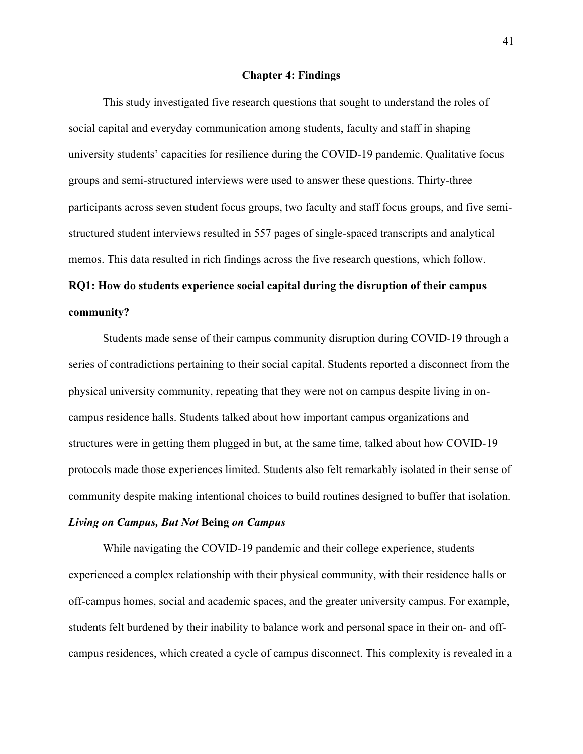#### **Chapter 4: Findings**

This study investigated five research questions that sought to understand the roles of social capital and everyday communication among students, faculty and staff in shaping university students' capacities for resilience during the COVID-19 pandemic. Qualitative focus groups and semi-structured interviews were used to answer these questions. Thirty-three participants across seven student focus groups, two faculty and staff focus groups, and five semistructured student interviews resulted in 557 pages of single-spaced transcripts and analytical memos. This data resulted in rich findings across the five research questions, which follow.

# **RQ1: How do students experience social capital during the disruption of their campus community?**

Students made sense of their campus community disruption during COVID-19 through a series of contradictions pertaining to their social capital. Students reported a disconnect from the physical university community, repeating that they were not on campus despite living in oncampus residence halls. Students talked about how important campus organizations and structures were in getting them plugged in but, at the same time, talked about how COVID-19 protocols made those experiences limited. Students also felt remarkably isolated in their sense of community despite making intentional choices to build routines designed to buffer that isolation.

#### *Living on Campus, But Not* **Being** *on Campus*

While navigating the COVID-19 pandemic and their college experience, students experienced a complex relationship with their physical community, with their residence halls or off-campus homes, social and academic spaces, and the greater university campus. For example, students felt burdened by their inability to balance work and personal space in their on- and offcampus residences, which created a cycle of campus disconnect. This complexity is revealed in a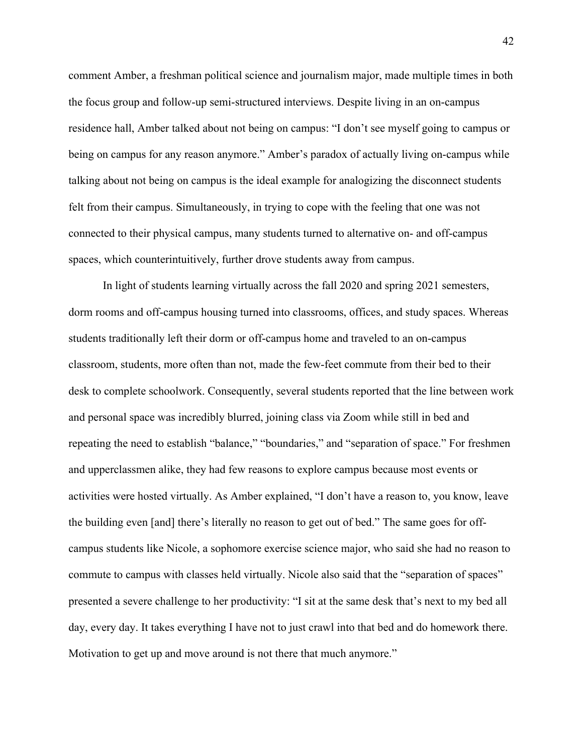comment Amber, a freshman political science and journalism major, made multiple times in both the focus group and follow-up semi-structured interviews. Despite living in an on-campus residence hall, Amber talked about not being on campus: "I don't see myself going to campus or being on campus for any reason anymore." Amber's paradox of actually living on-campus while talking about not being on campus is the ideal example for analogizing the disconnect students felt from their campus. Simultaneously, in trying to cope with the feeling that one was not connected to their physical campus, many students turned to alternative on- and off-campus spaces, which counterintuitively, further drove students away from campus.

In light of students learning virtually across the fall 2020 and spring 2021 semesters, dorm rooms and off-campus housing turned into classrooms, offices, and study spaces. Whereas students traditionally left their dorm or off-campus home and traveled to an on-campus classroom, students, more often than not, made the few-feet commute from their bed to their desk to complete schoolwork. Consequently, several students reported that the line between work and personal space was incredibly blurred, joining class via Zoom while still in bed and repeating the need to establish "balance," "boundaries," and "separation of space." For freshmen and upperclassmen alike, they had few reasons to explore campus because most events or activities were hosted virtually. As Amber explained, "I don't have a reason to, you know, leave the building even [and] there's literally no reason to get out of bed." The same goes for offcampus students like Nicole, a sophomore exercise science major, who said she had no reason to commute to campus with classes held virtually. Nicole also said that the "separation of spaces" presented a severe challenge to her productivity: "I sit at the same desk that's next to my bed all day, every day. It takes everything I have not to just crawl into that bed and do homework there. Motivation to get up and move around is not there that much anymore."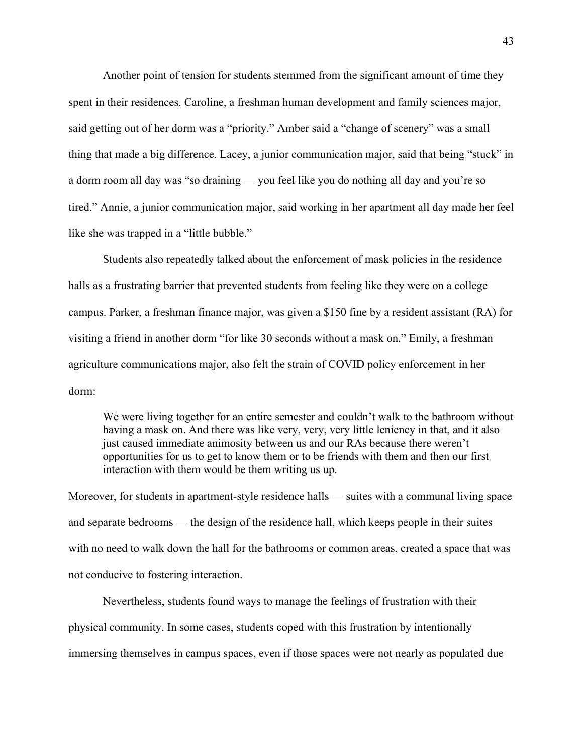Another point of tension for students stemmed from the significant amount of time they spent in their residences. Caroline, a freshman human development and family sciences major, said getting out of her dorm was a "priority." Amber said a "change of scenery" was a small thing that made a big difference. Lacey, a junior communication major, said that being "stuck" in a dorm room all day was "so draining — you feel like you do nothing all day and you're so tired." Annie, a junior communication major, said working in her apartment all day made her feel like she was trapped in a "little bubble."

Students also repeatedly talked about the enforcement of mask policies in the residence halls as a frustrating barrier that prevented students from feeling like they were on a college campus. Parker, a freshman finance major, was given a \$150 fine by a resident assistant (RA) for visiting a friend in another dorm "for like 30 seconds without a mask on." Emily, a freshman agriculture communications major, also felt the strain of COVID policy enforcement in her dorm:

We were living together for an entire semester and couldn't walk to the bathroom without having a mask on. And there was like very, very, very little leniency in that, and it also just caused immediate animosity between us and our RAs because there weren't opportunities for us to get to know them or to be friends with them and then our first interaction with them would be them writing us up.

Moreover, for students in apartment-style residence halls — suites with a communal living space and separate bedrooms — the design of the residence hall, which keeps people in their suites with no need to walk down the hall for the bathrooms or common areas, created a space that was not conducive to fostering interaction.

Nevertheless, students found ways to manage the feelings of frustration with their physical community. In some cases, students coped with this frustration by intentionally immersing themselves in campus spaces, even if those spaces were not nearly as populated due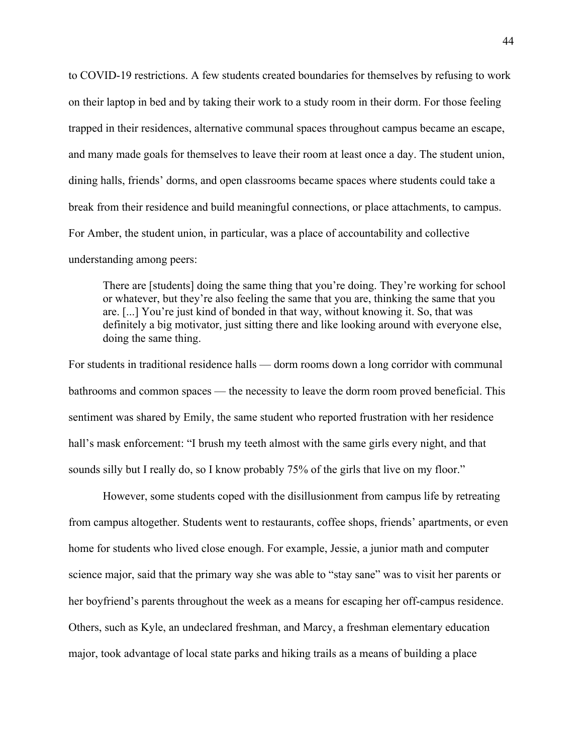to COVID-19 restrictions. A few students created boundaries for themselves by refusing to work on their laptop in bed and by taking their work to a study room in their dorm. For those feeling trapped in their residences, alternative communal spaces throughout campus became an escape, and many made goals for themselves to leave their room at least once a day. The student union, dining halls, friends' dorms, and open classrooms became spaces where students could take a break from their residence and build meaningful connections, or place attachments, to campus. For Amber, the student union, in particular, was a place of accountability and collective understanding among peers:

There are [students] doing the same thing that you're doing. They're working for school or whatever, but they're also feeling the same that you are, thinking the same that you are. [...] You're just kind of bonded in that way, without knowing it. So, that was definitely a big motivator, just sitting there and like looking around with everyone else, doing the same thing.

For students in traditional residence halls — dorm rooms down a long corridor with communal bathrooms and common spaces — the necessity to leave the dorm room proved beneficial. This sentiment was shared by Emily, the same student who reported frustration with her residence hall's mask enforcement: "I brush my teeth almost with the same girls every night, and that sounds silly but I really do, so I know probably 75% of the girls that live on my floor."

However, some students coped with the disillusionment from campus life by retreating from campus altogether. Students went to restaurants, coffee shops, friends' apartments, or even home for students who lived close enough. For example, Jessie, a junior math and computer science major, said that the primary way she was able to "stay sane" was to visit her parents or her boyfriend's parents throughout the week as a means for escaping her off-campus residence. Others, such as Kyle, an undeclared freshman, and Marcy, a freshman elementary education major, took advantage of local state parks and hiking trails as a means of building a place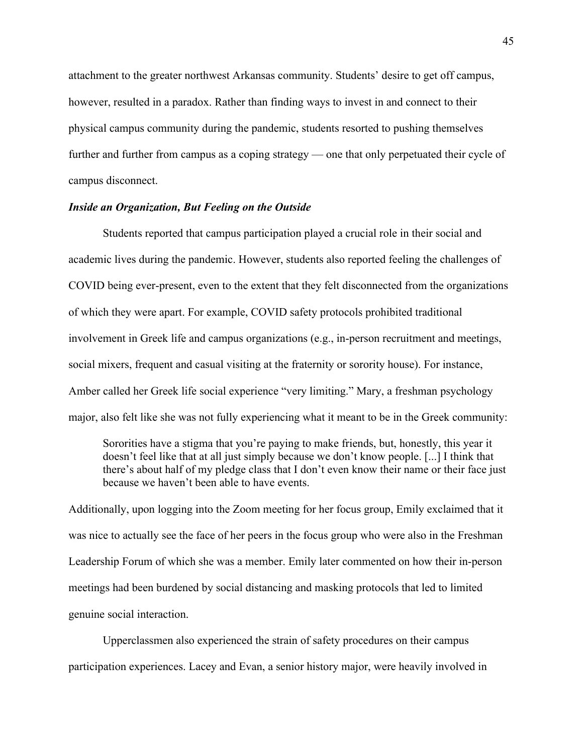attachment to the greater northwest Arkansas community. Students' desire to get off campus, however, resulted in a paradox. Rather than finding ways to invest in and connect to their physical campus community during the pandemic, students resorted to pushing themselves further and further from campus as a coping strategy — one that only perpetuated their cycle of campus disconnect.

#### *Inside an Organization, But Feeling on the Outside*

Students reported that campus participation played a crucial role in their social and academic lives during the pandemic. However, students also reported feeling the challenges of COVID being ever-present, even to the extent that they felt disconnected from the organizations of which they were apart. For example, COVID safety protocols prohibited traditional involvement in Greek life and campus organizations (e.g., in-person recruitment and meetings, social mixers, frequent and casual visiting at the fraternity or sorority house). For instance, Amber called her Greek life social experience "very limiting." Mary, a freshman psychology major, also felt like she was not fully experiencing what it meant to be in the Greek community:

Sororities have a stigma that you're paying to make friends, but, honestly, this year it doesn't feel like that at all just simply because we don't know people. [...] I think that there's about half of my pledge class that I don't even know their name or their face just because we haven't been able to have events.

Additionally, upon logging into the Zoom meeting for her focus group, Emily exclaimed that it was nice to actually see the face of her peers in the focus group who were also in the Freshman Leadership Forum of which she was a member. Emily later commented on how their in-person meetings had been burdened by social distancing and masking protocols that led to limited genuine social interaction.

Upperclassmen also experienced the strain of safety procedures on their campus participation experiences. Lacey and Evan, a senior history major, were heavily involved in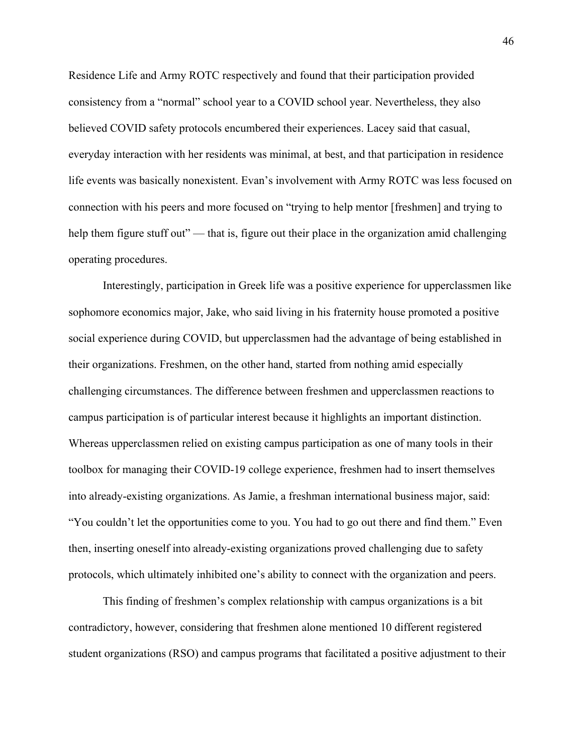Residence Life and Army ROTC respectively and found that their participation provided consistency from a "normal" school year to a COVID school year. Nevertheless, they also believed COVID safety protocols encumbered their experiences. Lacey said that casual, everyday interaction with her residents was minimal, at best, and that participation in residence life events was basically nonexistent. Evan's involvement with Army ROTC was less focused on connection with his peers and more focused on "trying to help mentor [freshmen] and trying to help them figure stuff out" — that is, figure out their place in the organization amid challenging operating procedures.

Interestingly, participation in Greek life was a positive experience for upperclassmen like sophomore economics major, Jake, who said living in his fraternity house promoted a positive social experience during COVID, but upperclassmen had the advantage of being established in their organizations. Freshmen, on the other hand, started from nothing amid especially challenging circumstances. The difference between freshmen and upperclassmen reactions to campus participation is of particular interest because it highlights an important distinction. Whereas upperclassmen relied on existing campus participation as one of many tools in their toolbox for managing their COVID-19 college experience, freshmen had to insert themselves into already-existing organizations. As Jamie, a freshman international business major, said: "You couldn't let the opportunities come to you. You had to go out there and find them." Even then, inserting oneself into already-existing organizations proved challenging due to safety protocols, which ultimately inhibited one's ability to connect with the organization and peers.

 This finding of freshmen's complex relationship with campus organizations is a bit contradictory, however, considering that freshmen alone mentioned 10 different registered student organizations (RSO) and campus programs that facilitated a positive adjustment to their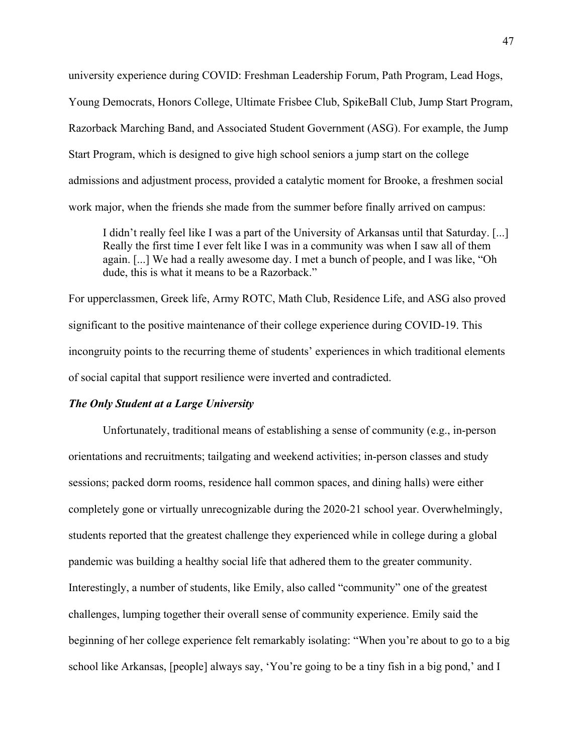university experience during COVID: Freshman Leadership Forum, Path Program, Lead Hogs, Young Democrats, Honors College, Ultimate Frisbee Club, SpikeBall Club, Jump Start Program, Razorback Marching Band, and Associated Student Government (ASG). For example, the Jump Start Program, which is designed to give high school seniors a jump start on the college admissions and adjustment process, provided a catalytic moment for Brooke, a freshmen social work major, when the friends she made from the summer before finally arrived on campus:

I didn't really feel like I was a part of the University of Arkansas until that Saturday. [...] Really the first time I ever felt like I was in a community was when I saw all of them again. [...] We had a really awesome day. I met a bunch of people, and I was like, "Oh dude, this is what it means to be a Razorback."

For upperclassmen, Greek life, Army ROTC, Math Club, Residence Life, and ASG also proved significant to the positive maintenance of their college experience during COVID-19. This incongruity points to the recurring theme of students' experiences in which traditional elements of social capital that support resilience were inverted and contradicted.

#### *The Only Student at a Large University*

Unfortunately, traditional means of establishing a sense of community (e.g., in-person orientations and recruitments; tailgating and weekend activities; in-person classes and study sessions; packed dorm rooms, residence hall common spaces, and dining halls) were either completely gone or virtually unrecognizable during the 2020-21 school year. Overwhelmingly, students reported that the greatest challenge they experienced while in college during a global pandemic was building a healthy social life that adhered them to the greater community. Interestingly, a number of students, like Emily, also called "community" one of the greatest challenges, lumping together their overall sense of community experience. Emily said the beginning of her college experience felt remarkably isolating: "When you're about to go to a big school like Arkansas, [people] always say, 'You're going to be a tiny fish in a big pond,' and I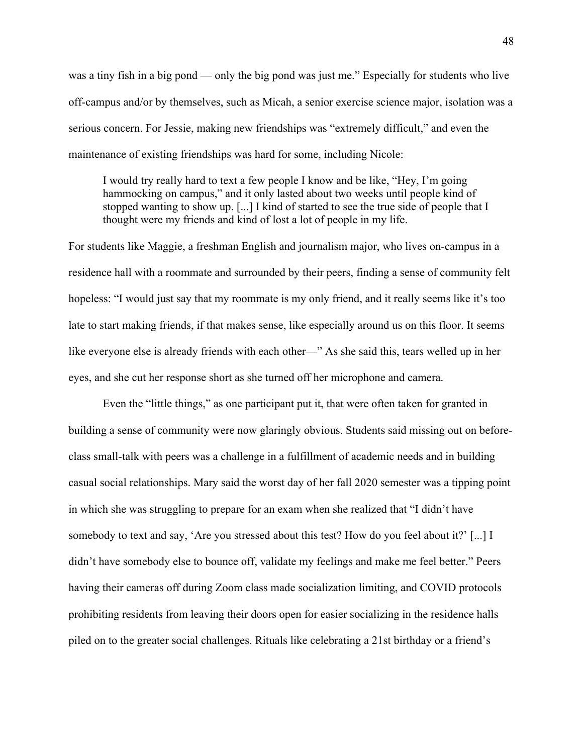was a tiny fish in a big pond — only the big pond was just me." Especially for students who live off-campus and/or by themselves, such as Micah, a senior exercise science major, isolation was a serious concern. For Jessie, making new friendships was "extremely difficult," and even the maintenance of existing friendships was hard for some, including Nicole:

I would try really hard to text a few people I know and be like, "Hey, I'm going hammocking on campus," and it only lasted about two weeks until people kind of stopped wanting to show up. [...] I kind of started to see the true side of people that I thought were my friends and kind of lost a lot of people in my life.

For students like Maggie, a freshman English and journalism major, who lives on-campus in a residence hall with a roommate and surrounded by their peers, finding a sense of community felt hopeless: "I would just say that my roommate is my only friend, and it really seems like it's too late to start making friends, if that makes sense, like especially around us on this floor. It seems like everyone else is already friends with each other—" As she said this, tears welled up in her eyes, and she cut her response short as she turned off her microphone and camera.

Even the "little things," as one participant put it, that were often taken for granted in building a sense of community were now glaringly obvious. Students said missing out on beforeclass small-talk with peers was a challenge in a fulfillment of academic needs and in building casual social relationships. Mary said the worst day of her fall 2020 semester was a tipping point in which she was struggling to prepare for an exam when she realized that "I didn't have somebody to text and say, 'Are you stressed about this test? How do you feel about it?' [...] I didn't have somebody else to bounce off, validate my feelings and make me feel better." Peers having their cameras off during Zoom class made socialization limiting, and COVID protocols prohibiting residents from leaving their doors open for easier socializing in the residence halls piled on to the greater social challenges. Rituals like celebrating a 21st birthday or a friend's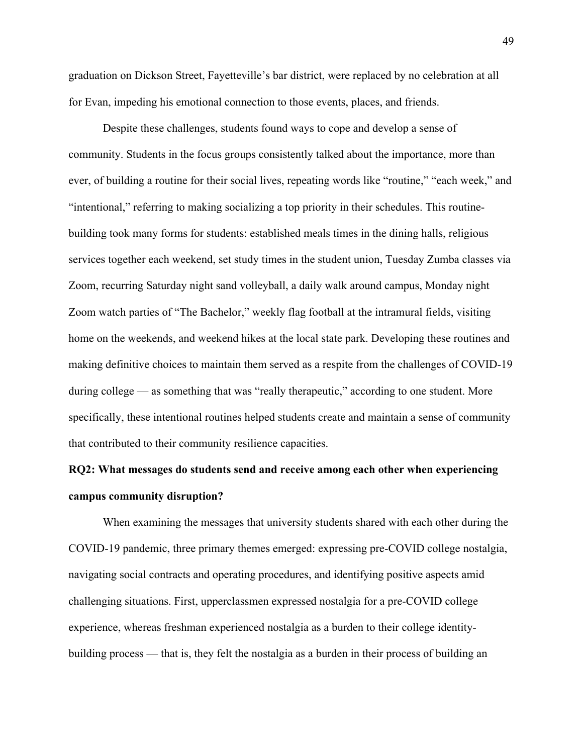graduation on Dickson Street, Fayetteville's bar district, were replaced by no celebration at all for Evan, impeding his emotional connection to those events, places, and friends.

 Despite these challenges, students found ways to cope and develop a sense of community. Students in the focus groups consistently talked about the importance, more than ever, of building a routine for their social lives, repeating words like "routine," "each week," and "intentional," referring to making socializing a top priority in their schedules. This routinebuilding took many forms for students: established meals times in the dining halls, religious services together each weekend, set study times in the student union, Tuesday Zumba classes via Zoom, recurring Saturday night sand volleyball, a daily walk around campus, Monday night Zoom watch parties of "The Bachelor," weekly flag football at the intramural fields, visiting home on the weekends, and weekend hikes at the local state park. Developing these routines and making definitive choices to maintain them served as a respite from the challenges of COVID-19 during college — as something that was "really therapeutic," according to one student. More specifically, these intentional routines helped students create and maintain a sense of community that contributed to their community resilience capacities.

## **RQ2: What messages do students send and receive among each other when experiencing campus community disruption?**

When examining the messages that university students shared with each other during the COVID-19 pandemic, three primary themes emerged: expressing pre-COVID college nostalgia, navigating social contracts and operating procedures, and identifying positive aspects amid challenging situations. First, upperclassmen expressed nostalgia for a pre-COVID college experience, whereas freshman experienced nostalgia as a burden to their college identitybuilding process — that is, they felt the nostalgia as a burden in their process of building an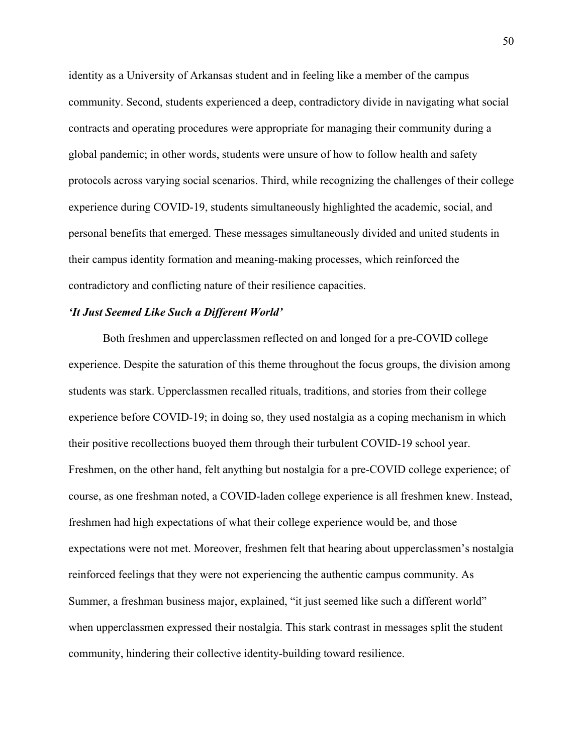identity as a University of Arkansas student and in feeling like a member of the campus community. Second, students experienced a deep, contradictory divide in navigating what social contracts and operating procedures were appropriate for managing their community during a global pandemic; in other words, students were unsure of how to follow health and safety protocols across varying social scenarios. Third, while recognizing the challenges of their college experience during COVID-19, students simultaneously highlighted the academic, social, and personal benefits that emerged. These messages simultaneously divided and united students in their campus identity formation and meaning-making processes, which reinforced the contradictory and conflicting nature of their resilience capacities.

#### *'It Just Seemed Like Such a Different World'*

 Both freshmen and upperclassmen reflected on and longed for a pre-COVID college experience. Despite the saturation of this theme throughout the focus groups, the division among students was stark. Upperclassmen recalled rituals, traditions, and stories from their college experience before COVID-19; in doing so, they used nostalgia as a coping mechanism in which their positive recollections buoyed them through their turbulent COVID-19 school year. Freshmen, on the other hand, felt anything but nostalgia for a pre-COVID college experience; of course, as one freshman noted, a COVID-laden college experience is all freshmen knew. Instead, freshmen had high expectations of what their college experience would be, and those expectations were not met. Moreover, freshmen felt that hearing about upperclassmen's nostalgia reinforced feelings that they were not experiencing the authentic campus community. As Summer, a freshman business major, explained, "it just seemed like such a different world" when upperclassmen expressed their nostalgia. This stark contrast in messages split the student community, hindering their collective identity-building toward resilience.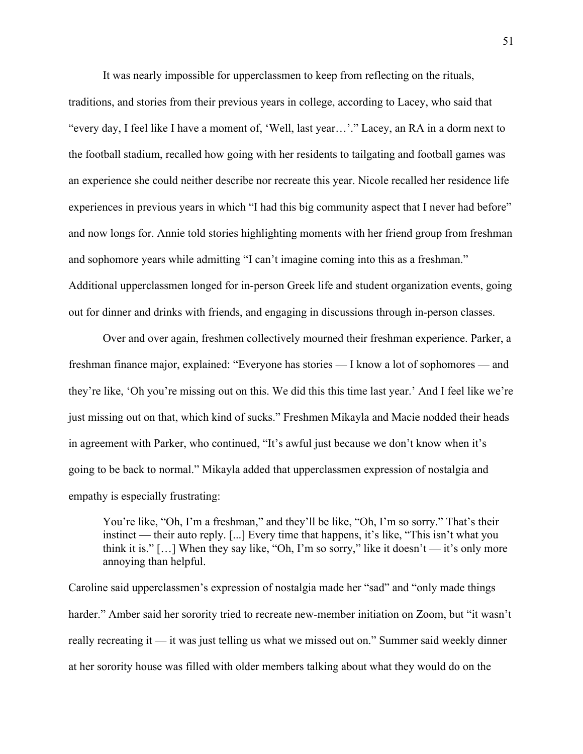It was nearly impossible for upperclassmen to keep from reflecting on the rituals,

traditions, and stories from their previous years in college, according to Lacey, who said that "every day, I feel like I have a moment of, 'Well, last year…'." Lacey, an RA in a dorm next to the football stadium, recalled how going with her residents to tailgating and football games was an experience she could neither describe nor recreate this year. Nicole recalled her residence life experiences in previous years in which "I had this big community aspect that I never had before" and now longs for. Annie told stories highlighting moments with her friend group from freshman and sophomore years while admitting "I can't imagine coming into this as a freshman." Additional upperclassmen longed for in-person Greek life and student organization events, going out for dinner and drinks with friends, and engaging in discussions through in-person classes.

Over and over again, freshmen collectively mourned their freshman experience. Parker, a freshman finance major, explained: "Everyone has stories — I know a lot of sophomores — and they're like, 'Oh you're missing out on this. We did this this time last year.' And I feel like we're just missing out on that, which kind of sucks." Freshmen Mikayla and Macie nodded their heads in agreement with Parker, who continued, "It's awful just because we don't know when it's going to be back to normal." Mikayla added that upperclassmen expression of nostalgia and empathy is especially frustrating:

You're like, "Oh, I'm a freshman," and they'll be like, "Oh, I'm so sorry." That's their instinct — their auto reply. [...] Every time that happens, it's like, "This isn't what you think it is."  $[...]$  When they say like, "Oh, I'm so sorry," like it doesn't — it's only more annoying than helpful.

Caroline said upperclassmen's expression of nostalgia made her "sad" and "only made things harder." Amber said her sorority tried to recreate new-member initiation on Zoom, but "it wasn't really recreating it — it was just telling us what we missed out on." Summer said weekly dinner at her sorority house was filled with older members talking about what they would do on the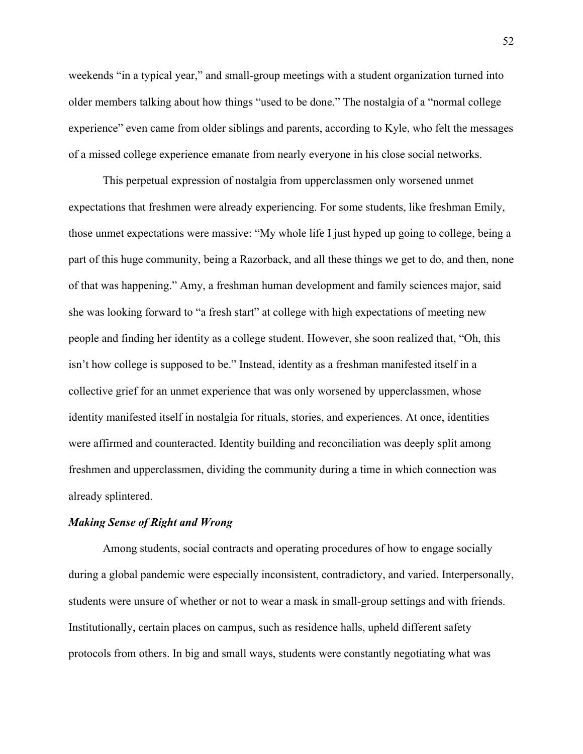weekends "in a typical year," and small-group meetings with a student organization turned into older members talking about how things "used to be done." The nostalgia of a "normal college experience" even came from older siblings and parents, according to Kyle, who felt the messages of a missed college experience emanate from nearly everyone in his close social networks.

This perpetual expression of nostalgia from upperclassmen only worsened unmet expectations that freshmen were already experiencing. For some students, like freshman Emily, those unmet expectations were massive: "My whole life I just hyped up going to college, being a part of this huge community, being a Razorback, and all these things we get to do, and then, none of that was happening." Amy, a freshman human development and family sciences major, said she was looking forward to "a fresh start" at college with high expectations of meeting new people and finding her identity as a college student. However, she soon realized that, "Oh, this isn't how college is supposed to be." Instead, identity as a freshman manifested itself in a collective grief for an unmet experience that was only worsened by upperclassmen, whose identity manifested itself in nostalgia for rituals, stories, and experiences. At once, identities were affirmed and counteracted. Identity building and reconciliation was deeply split among freshmen and upperclassmen, dividing the community during a time in which connection was already splintered.

#### *Making Sense of Right and Wrong*

 Among students, social contracts and operating procedures of how to engage socially during a global pandemic were especially inconsistent, contradictory, and varied. Interpersonally, students were unsure of whether or not to wear a mask in small-group settings and with friends. Institutionally, certain places on campus, such as residence halls, upheld different safety protocols from others. In big and small ways, students were constantly negotiating what was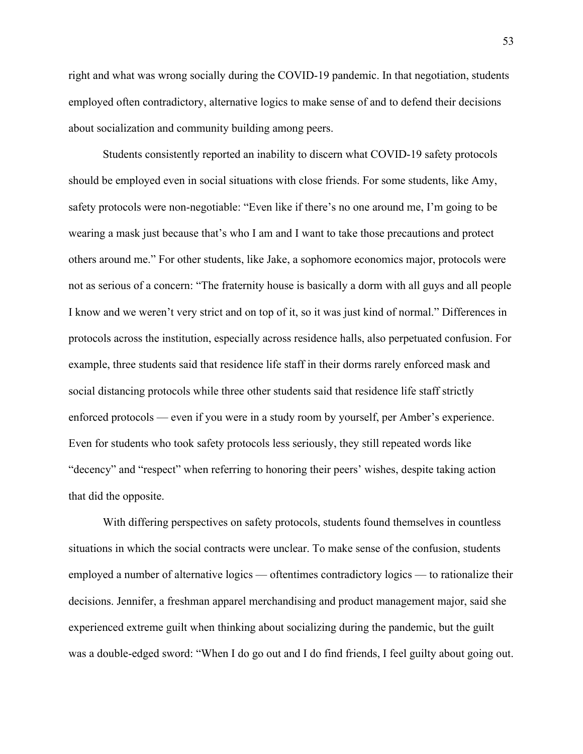right and what was wrong socially during the COVID-19 pandemic. In that negotiation, students employed often contradictory, alternative logics to make sense of and to defend their decisions about socialization and community building among peers.

 Students consistently reported an inability to discern what COVID-19 safety protocols should be employed even in social situations with close friends. For some students, like Amy, safety protocols were non-negotiable: "Even like if there's no one around me, I'm going to be wearing a mask just because that's who I am and I want to take those precautions and protect others around me." For other students, like Jake, a sophomore economics major, protocols were not as serious of a concern: "The fraternity house is basically a dorm with all guys and all people I know and we weren't very strict and on top of it, so it was just kind of normal." Differences in protocols across the institution, especially across residence halls, also perpetuated confusion. For example, three students said that residence life staff in their dorms rarely enforced mask and social distancing protocols while three other students said that residence life staff strictly enforced protocols — even if you were in a study room by yourself, per Amber's experience. Even for students who took safety protocols less seriously, they still repeated words like "decency" and "respect" when referring to honoring their peers' wishes, despite taking action that did the opposite.

With differing perspectives on safety protocols, students found themselves in countless situations in which the social contracts were unclear. To make sense of the confusion, students employed a number of alternative logics — oftentimes contradictory logics — to rationalize their decisions. Jennifer, a freshman apparel merchandising and product management major, said she experienced extreme guilt when thinking about socializing during the pandemic, but the guilt was a double-edged sword: "When I do go out and I do find friends, I feel guilty about going out.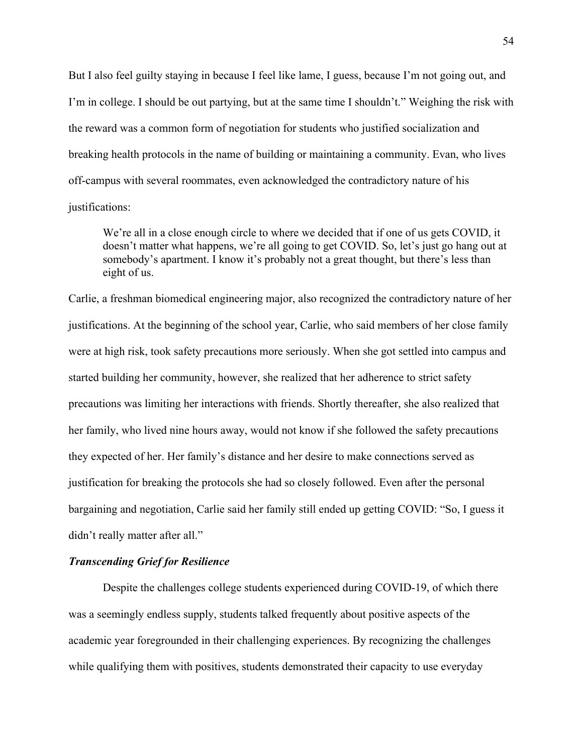But I also feel guilty staying in because I feel like lame, I guess, because I'm not going out, and I'm in college. I should be out partying, but at the same time I shouldn't." Weighing the risk with the reward was a common form of negotiation for students who justified socialization and breaking health protocols in the name of building or maintaining a community. Evan, who lives off-campus with several roommates, even acknowledged the contradictory nature of his justifications:

We're all in a close enough circle to where we decided that if one of us gets COVID, it doesn't matter what happens, we're all going to get COVID. So, let's just go hang out at somebody's apartment. I know it's probably not a great thought, but there's less than eight of us.

Carlie, a freshman biomedical engineering major, also recognized the contradictory nature of her justifications. At the beginning of the school year, Carlie, who said members of her close family were at high risk, took safety precautions more seriously. When she got settled into campus and started building her community, however, she realized that her adherence to strict safety precautions was limiting her interactions with friends. Shortly thereafter, she also realized that her family, who lived nine hours away, would not know if she followed the safety precautions they expected of her. Her family's distance and her desire to make connections served as justification for breaking the protocols she had so closely followed. Even after the personal bargaining and negotiation, Carlie said her family still ended up getting COVID: "So, I guess it didn't really matter after all."

### *Transcending Grief for Resilience*

 Despite the challenges college students experienced during COVID-19, of which there was a seemingly endless supply, students talked frequently about positive aspects of the academic year foregrounded in their challenging experiences. By recognizing the challenges while qualifying them with positives, students demonstrated their capacity to use everyday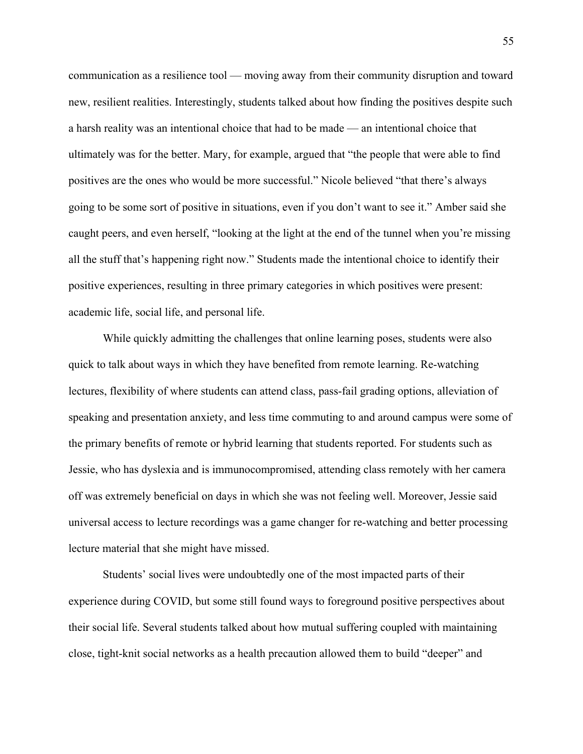communication as a resilience tool — moving away from their community disruption and toward new, resilient realities. Interestingly, students talked about how finding the positives despite such a harsh reality was an intentional choice that had to be made — an intentional choice that ultimately was for the better. Mary, for example, argued that "the people that were able to find positives are the ones who would be more successful." Nicole believed "that there's always going to be some sort of positive in situations, even if you don't want to see it." Amber said she caught peers, and even herself, "looking at the light at the end of the tunnel when you're missing all the stuff that's happening right now." Students made the intentional choice to identify their positive experiences, resulting in three primary categories in which positives were present: academic life, social life, and personal life.

 While quickly admitting the challenges that online learning poses, students were also quick to talk about ways in which they have benefited from remote learning. Re-watching lectures, flexibility of where students can attend class, pass-fail grading options, alleviation of speaking and presentation anxiety, and less time commuting to and around campus were some of the primary benefits of remote or hybrid learning that students reported. For students such as Jessie, who has dyslexia and is immunocompromised, attending class remotely with her camera off was extremely beneficial on days in which she was not feeling well. Moreover, Jessie said universal access to lecture recordings was a game changer for re-watching and better processing lecture material that she might have missed.

 Students' social lives were undoubtedly one of the most impacted parts of their experience during COVID, but some still found ways to foreground positive perspectives about their social life. Several students talked about how mutual suffering coupled with maintaining close, tight-knit social networks as a health precaution allowed them to build "deeper" and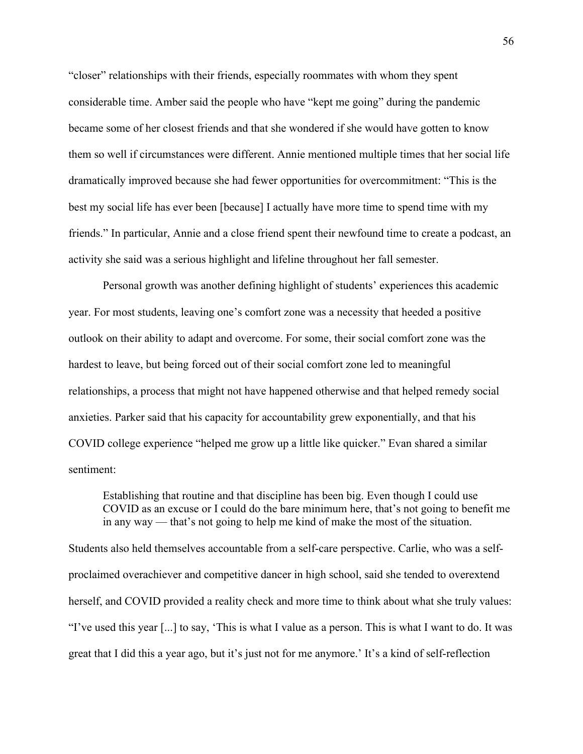"closer" relationships with their friends, especially roommates with whom they spent considerable time. Amber said the people who have "kept me going" during the pandemic became some of her closest friends and that she wondered if she would have gotten to know them so well if circumstances were different. Annie mentioned multiple times that her social life dramatically improved because she had fewer opportunities for overcommitment: "This is the best my social life has ever been [because] I actually have more time to spend time with my friends." In particular, Annie and a close friend spent their newfound time to create a podcast, an activity she said was a serious highlight and lifeline throughout her fall semester.

 Personal growth was another defining highlight of students' experiences this academic year. For most students, leaving one's comfort zone was a necessity that heeded a positive outlook on their ability to adapt and overcome. For some, their social comfort zone was the hardest to leave, but being forced out of their social comfort zone led to meaningful relationships, a process that might not have happened otherwise and that helped remedy social anxieties. Parker said that his capacity for accountability grew exponentially, and that his COVID college experience "helped me grow up a little like quicker." Evan shared a similar sentiment:

Establishing that routine and that discipline has been big. Even though I could use COVID as an excuse or I could do the bare minimum here, that's not going to benefit me in any way — that's not going to help me kind of make the most of the situation.

Students also held themselves accountable from a self-care perspective. Carlie, who was a selfproclaimed overachiever and competitive dancer in high school, said she tended to overextend herself, and COVID provided a reality check and more time to think about what she truly values: "I've used this year [...] to say, 'This is what I value as a person. This is what I want to do. It was great that I did this a year ago, but it's just not for me anymore.' It's a kind of self-reflection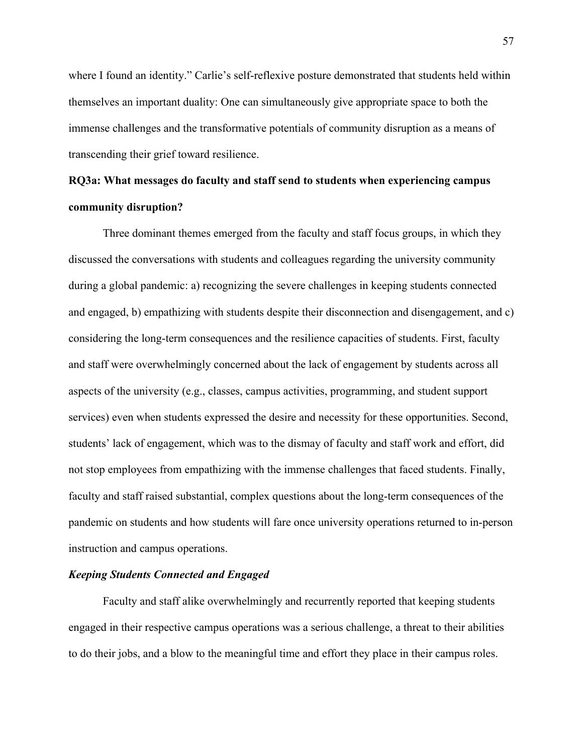where I found an identity." Carlie's self-reflexive posture demonstrated that students held within themselves an important duality: One can simultaneously give appropriate space to both the immense challenges and the transformative potentials of community disruption as a means of transcending their grief toward resilience.

# **RQ3a: What messages do faculty and staff send to students when experiencing campus community disruption?**

 Three dominant themes emerged from the faculty and staff focus groups, in which they discussed the conversations with students and colleagues regarding the university community during a global pandemic: a) recognizing the severe challenges in keeping students connected and engaged, b) empathizing with students despite their disconnection and disengagement, and c) considering the long-term consequences and the resilience capacities of students. First, faculty and staff were overwhelmingly concerned about the lack of engagement by students across all aspects of the university (e.g., classes, campus activities, programming, and student support services) even when students expressed the desire and necessity for these opportunities. Second, students' lack of engagement, which was to the dismay of faculty and staff work and effort, did not stop employees from empathizing with the immense challenges that faced students. Finally, faculty and staff raised substantial, complex questions about the long-term consequences of the pandemic on students and how students will fare once university operations returned to in-person instruction and campus operations.

#### *Keeping Students Connected and Engaged*

 Faculty and staff alike overwhelmingly and recurrently reported that keeping students engaged in their respective campus operations was a serious challenge, a threat to their abilities to do their jobs, and a blow to the meaningful time and effort they place in their campus roles.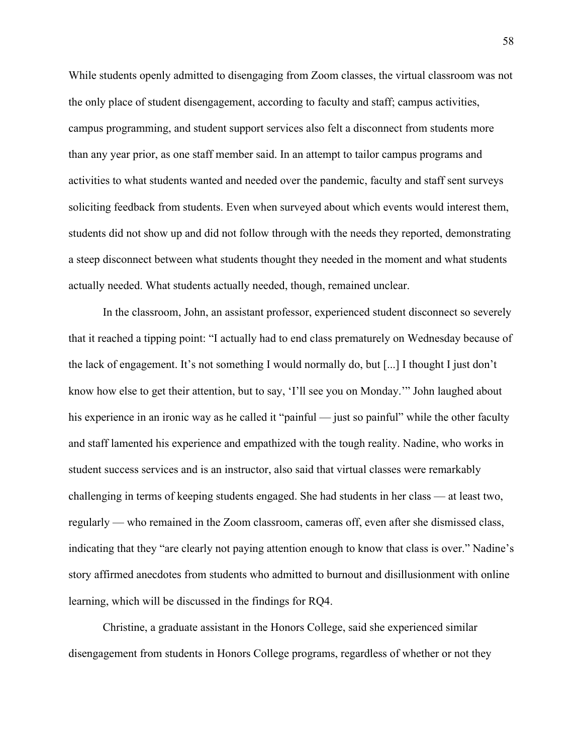While students openly admitted to disengaging from Zoom classes, the virtual classroom was not the only place of student disengagement, according to faculty and staff; campus activities, campus programming, and student support services also felt a disconnect from students more than any year prior, as one staff member said. In an attempt to tailor campus programs and activities to what students wanted and needed over the pandemic, faculty and staff sent surveys soliciting feedback from students. Even when surveyed about which events would interest them, students did not show up and did not follow through with the needs they reported, demonstrating a steep disconnect between what students thought they needed in the moment and what students actually needed. What students actually needed, though, remained unclear.

 In the classroom, John, an assistant professor, experienced student disconnect so severely that it reached a tipping point: "I actually had to end class prematurely on Wednesday because of the lack of engagement. It's not something I would normally do, but [...] I thought I just don't know how else to get their attention, but to say, 'I'll see you on Monday.'" John laughed about his experience in an ironic way as he called it "painful — just so painful" while the other faculty and staff lamented his experience and empathized with the tough reality. Nadine, who works in student success services and is an instructor, also said that virtual classes were remarkably challenging in terms of keeping students engaged. She had students in her class — at least two, regularly — who remained in the Zoom classroom, cameras off, even after she dismissed class, indicating that they "are clearly not paying attention enough to know that class is over." Nadine's story affirmed anecdotes from students who admitted to burnout and disillusionment with online learning, which will be discussed in the findings for RQ4.

Christine, a graduate assistant in the Honors College, said she experienced similar disengagement from students in Honors College programs, regardless of whether or not they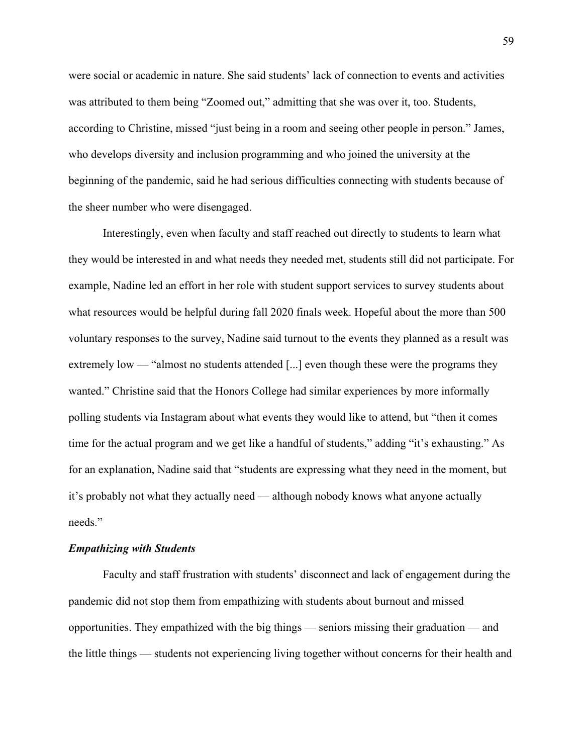were social or academic in nature. She said students' lack of connection to events and activities was attributed to them being "Zoomed out," admitting that she was over it, too. Students, according to Christine, missed "just being in a room and seeing other people in person." James, who develops diversity and inclusion programming and who joined the university at the beginning of the pandemic, said he had serious difficulties connecting with students because of the sheer number who were disengaged.

 Interestingly, even when faculty and staff reached out directly to students to learn what they would be interested in and what needs they needed met, students still did not participate. For example, Nadine led an effort in her role with student support services to survey students about what resources would be helpful during fall 2020 finals week. Hopeful about the more than 500 voluntary responses to the survey, Nadine said turnout to the events they planned as a result was extremely low — "almost no students attended [...] even though these were the programs they wanted." Christine said that the Honors College had similar experiences by more informally polling students via Instagram about what events they would like to attend, but "then it comes time for the actual program and we get like a handful of students," adding "it's exhausting." As for an explanation, Nadine said that "students are expressing what they need in the moment, but it's probably not what they actually need — although nobody knows what anyone actually needs."

#### *Empathizing with Students*

 Faculty and staff frustration with students' disconnect and lack of engagement during the pandemic did not stop them from empathizing with students about burnout and missed opportunities. They empathized with the big things — seniors missing their graduation — and the little things — students not experiencing living together without concerns for their health and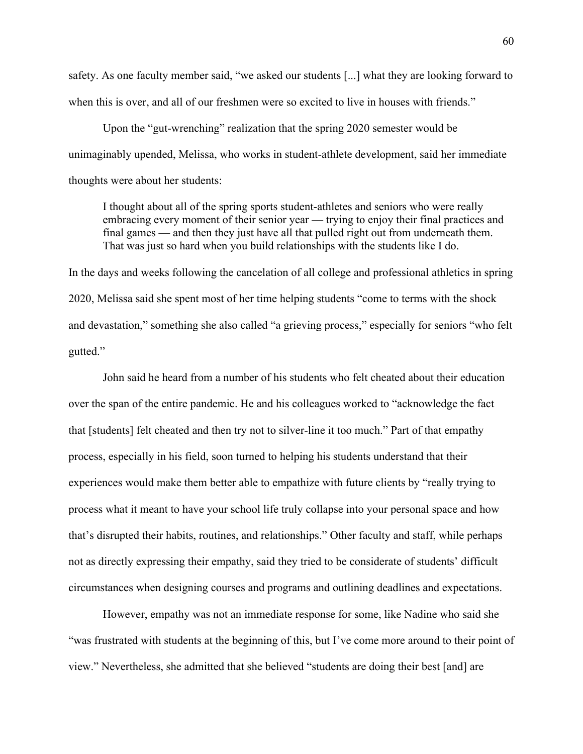safety. As one faculty member said, "we asked our students [...] what they are looking forward to when this is over, and all of our freshmen were so excited to live in houses with friends."

 Upon the "gut-wrenching" realization that the spring 2020 semester would be unimaginably upended, Melissa, who works in student-athlete development, said her immediate thoughts were about her students:

I thought about all of the spring sports student-athletes and seniors who were really embracing every moment of their senior year — trying to enjoy their final practices and final games — and then they just have all that pulled right out from underneath them. That was just so hard when you build relationships with the students like I do.

In the days and weeks following the cancelation of all college and professional athletics in spring 2020, Melissa said she spent most of her time helping students "come to terms with the shock and devastation," something she also called "a grieving process," especially for seniors "who felt gutted."

 John said he heard from a number of his students who felt cheated about their education over the span of the entire pandemic. He and his colleagues worked to "acknowledge the fact that [students] felt cheated and then try not to silver-line it too much." Part of that empathy process, especially in his field, soon turned to helping his students understand that their experiences would make them better able to empathize with future clients by "really trying to process what it meant to have your school life truly collapse into your personal space and how that's disrupted their habits, routines, and relationships." Other faculty and staff, while perhaps not as directly expressing their empathy, said they tried to be considerate of students' difficult circumstances when designing courses and programs and outlining deadlines and expectations.

 However, empathy was not an immediate response for some, like Nadine who said she "was frustrated with students at the beginning of this, but I've come more around to their point of view." Nevertheless, she admitted that she believed "students are doing their best [and] are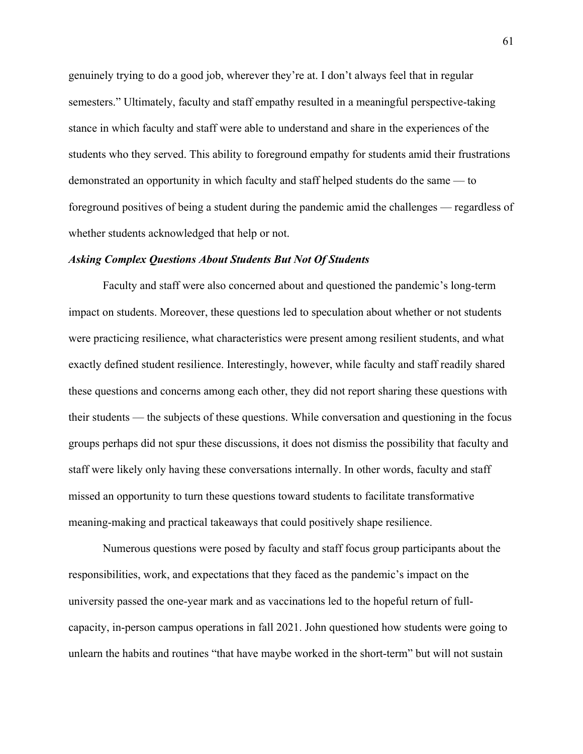genuinely trying to do a good job, wherever they're at. I don't always feel that in regular semesters." Ultimately, faculty and staff empathy resulted in a meaningful perspective-taking stance in which faculty and staff were able to understand and share in the experiences of the students who they served. This ability to foreground empathy for students amid their frustrations demonstrated an opportunity in which faculty and staff helped students do the same — to foreground positives of being a student during the pandemic amid the challenges — regardless of whether students acknowledged that help or not.

#### *Asking Complex Questions About Students But Not Of Students*

 Faculty and staff were also concerned about and questioned the pandemic's long-term impact on students. Moreover, these questions led to speculation about whether or not students were practicing resilience, what characteristics were present among resilient students, and what exactly defined student resilience. Interestingly, however, while faculty and staff readily shared these questions and concerns among each other, they did not report sharing these questions with their students — the subjects of these questions. While conversation and questioning in the focus groups perhaps did not spur these discussions, it does not dismiss the possibility that faculty and staff were likely only having these conversations internally. In other words, faculty and staff missed an opportunity to turn these questions toward students to facilitate transformative meaning-making and practical takeaways that could positively shape resilience.

 Numerous questions were posed by faculty and staff focus group participants about the responsibilities, work, and expectations that they faced as the pandemic's impact on the university passed the one-year mark and as vaccinations led to the hopeful return of fullcapacity, in-person campus operations in fall 2021. John questioned how students were going to unlearn the habits and routines "that have maybe worked in the short-term" but will not sustain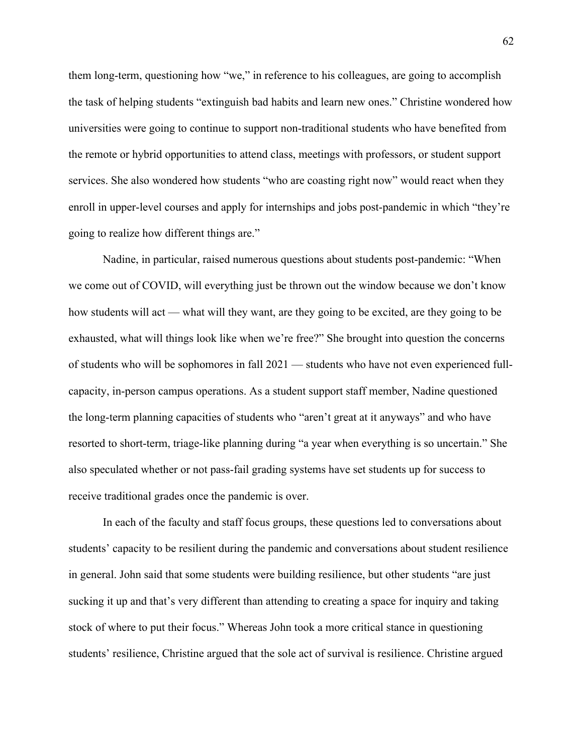them long-term, questioning how "we," in reference to his colleagues, are going to accomplish the task of helping students "extinguish bad habits and learn new ones." Christine wondered how universities were going to continue to support non-traditional students who have benefited from the remote or hybrid opportunities to attend class, meetings with professors, or student support services. She also wondered how students "who are coasting right now" would react when they enroll in upper-level courses and apply for internships and jobs post-pandemic in which "they're going to realize how different things are."

Nadine, in particular, raised numerous questions about students post-pandemic: "When we come out of COVID, will everything just be thrown out the window because we don't know how students will act — what will they want, are they going to be excited, are they going to be exhausted, what will things look like when we're free?" She brought into question the concerns of students who will be sophomores in fall 2021 — students who have not even experienced fullcapacity, in-person campus operations. As a student support staff member, Nadine questioned the long-term planning capacities of students who "aren't great at it anyways" and who have resorted to short-term, triage-like planning during "a year when everything is so uncertain." She also speculated whether or not pass-fail grading systems have set students up for success to receive traditional grades once the pandemic is over.

In each of the faculty and staff focus groups, these questions led to conversations about students' capacity to be resilient during the pandemic and conversations about student resilience in general. John said that some students were building resilience, but other students "are just sucking it up and that's very different than attending to creating a space for inquiry and taking stock of where to put their focus." Whereas John took a more critical stance in questioning students' resilience, Christine argued that the sole act of survival is resilience. Christine argued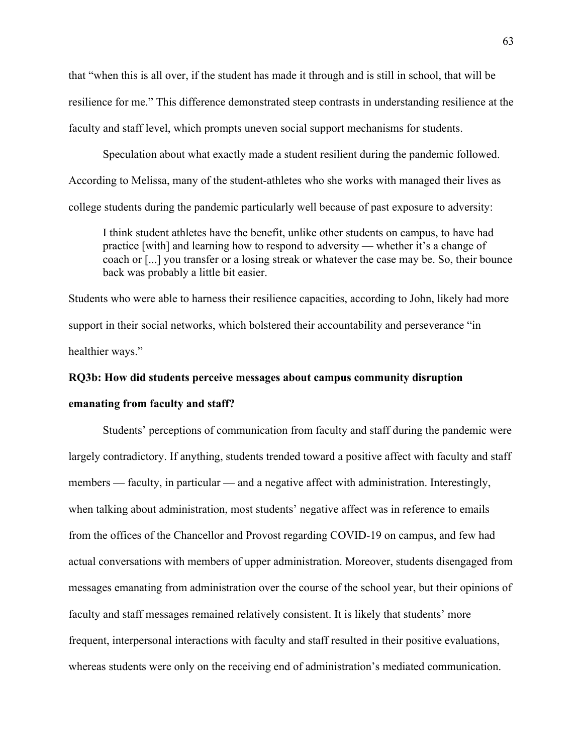that "when this is all over, if the student has made it through and is still in school, that will be resilience for me." This difference demonstrated steep contrasts in understanding resilience at the faculty and staff level, which prompts uneven social support mechanisms for students.

Speculation about what exactly made a student resilient during the pandemic followed. According to Melissa, many of the student-athletes who she works with managed their lives as college students during the pandemic particularly well because of past exposure to adversity:

I think student athletes have the benefit, unlike other students on campus, to have had practice [with] and learning how to respond to adversity — whether it's a change of coach or [...] you transfer or a losing streak or whatever the case may be. So, their bounce back was probably a little bit easier.

Students who were able to harness their resilience capacities, according to John, likely had more support in their social networks, which bolstered their accountability and perseverance "in healthier ways."

# **RQ3b: How did students perceive messages about campus community disruption**

### **emanating from faculty and staff?**

Students' perceptions of communication from faculty and staff during the pandemic were largely contradictory. If anything, students trended toward a positive affect with faculty and staff members — faculty, in particular — and a negative affect with administration. Interestingly, when talking about administration, most students' negative affect was in reference to emails from the offices of the Chancellor and Provost regarding COVID-19 on campus, and few had actual conversations with members of upper administration. Moreover, students disengaged from messages emanating from administration over the course of the school year, but their opinions of faculty and staff messages remained relatively consistent. It is likely that students' more frequent, interpersonal interactions with faculty and staff resulted in their positive evaluations, whereas students were only on the receiving end of administration's mediated communication.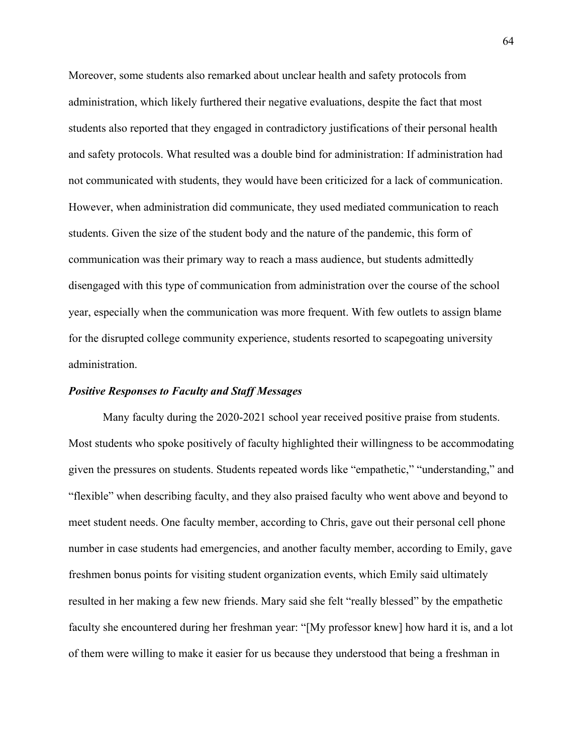Moreover, some students also remarked about unclear health and safety protocols from administration, which likely furthered their negative evaluations, despite the fact that most students also reported that they engaged in contradictory justifications of their personal health and safety protocols. What resulted was a double bind for administration: If administration had not communicated with students, they would have been criticized for a lack of communication. However, when administration did communicate, they used mediated communication to reach students. Given the size of the student body and the nature of the pandemic, this form of communication was their primary way to reach a mass audience, but students admittedly disengaged with this type of communication from administration over the course of the school year, especially when the communication was more frequent. With few outlets to assign blame for the disrupted college community experience, students resorted to scapegoating university administration.

#### *Positive Responses to Faculty and Staff Messages*

 Many faculty during the 2020-2021 school year received positive praise from students. Most students who spoke positively of faculty highlighted their willingness to be accommodating given the pressures on students. Students repeated words like "empathetic," "understanding," and "flexible" when describing faculty, and they also praised faculty who went above and beyond to meet student needs. One faculty member, according to Chris, gave out their personal cell phone number in case students had emergencies, and another faculty member, according to Emily, gave freshmen bonus points for visiting student organization events, which Emily said ultimately resulted in her making a few new friends. Mary said she felt "really blessed" by the empathetic faculty she encountered during her freshman year: "[My professor knew] how hard it is, and a lot of them were willing to make it easier for us because they understood that being a freshman in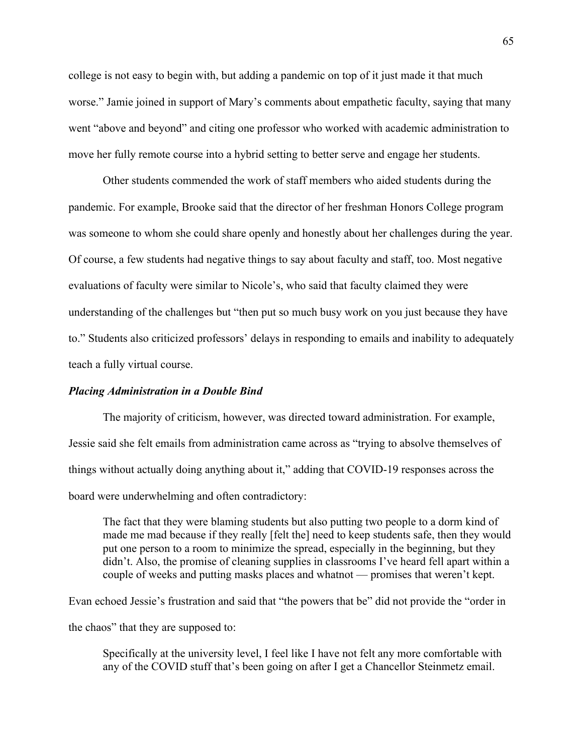college is not easy to begin with, but adding a pandemic on top of it just made it that much worse." Jamie joined in support of Mary's comments about empathetic faculty, saying that many went "above and beyond" and citing one professor who worked with academic administration to move her fully remote course into a hybrid setting to better serve and engage her students.

Other students commended the work of staff members who aided students during the pandemic. For example, Brooke said that the director of her freshman Honors College program was someone to whom she could share openly and honestly about her challenges during the year. Of course, a few students had negative things to say about faculty and staff, too. Most negative evaluations of faculty were similar to Nicole's, who said that faculty claimed they were understanding of the challenges but "then put so much busy work on you just because they have to." Students also criticized professors' delays in responding to emails and inability to adequately teach a fully virtual course.

#### *Placing Administration in a Double Bind*

 The majority of criticism, however, was directed toward administration. For example, Jessie said she felt emails from administration came across as "trying to absolve themselves of things without actually doing anything about it," adding that COVID-19 responses across the board were underwhelming and often contradictory:

The fact that they were blaming students but also putting two people to a dorm kind of made me mad because if they really [felt the] need to keep students safe, then they would put one person to a room to minimize the spread, especially in the beginning, but they didn't. Also, the promise of cleaning supplies in classrooms I've heard fell apart within a couple of weeks and putting masks places and whatnot — promises that weren't kept.

Evan echoed Jessie's frustration and said that "the powers that be" did not provide the "order in the chaos" that they are supposed to:

Specifically at the university level, I feel like I have not felt any more comfortable with any of the COVID stuff that's been going on after I get a Chancellor Steinmetz email.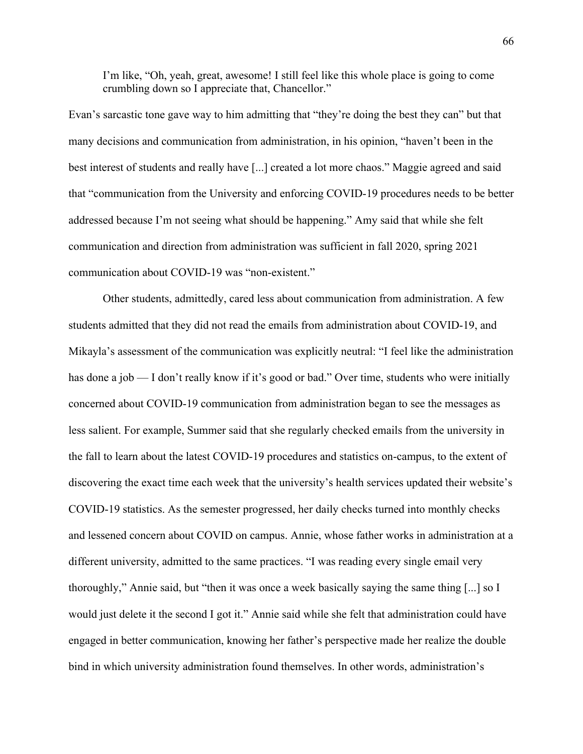I'm like, "Oh, yeah, great, awesome! I still feel like this whole place is going to come crumbling down so I appreciate that, Chancellor."

Evan's sarcastic tone gave way to him admitting that "they're doing the best they can" but that many decisions and communication from administration, in his opinion, "haven't been in the best interest of students and really have [...] created a lot more chaos." Maggie agreed and said that "communication from the University and enforcing COVID-19 procedures needs to be better addressed because I'm not seeing what should be happening." Amy said that while she felt communication and direction from administration was sufficient in fall 2020, spring 2021 communication about COVID-19 was "non-existent."

 Other students, admittedly, cared less about communication from administration. A few students admitted that they did not read the emails from administration about COVID-19, and Mikayla's assessment of the communication was explicitly neutral: "I feel like the administration has done a job — I don't really know if it's good or bad." Over time, students who were initially concerned about COVID-19 communication from administration began to see the messages as less salient. For example, Summer said that she regularly checked emails from the university in the fall to learn about the latest COVID-19 procedures and statistics on-campus, to the extent of discovering the exact time each week that the university's health services updated their website's COVID-19 statistics. As the semester progressed, her daily checks turned into monthly checks and lessened concern about COVID on campus. Annie, whose father works in administration at a different university, admitted to the same practices. "I was reading every single email very thoroughly," Annie said, but "then it was once a week basically saying the same thing [...] so I would just delete it the second I got it." Annie said while she felt that administration could have engaged in better communication, knowing her father's perspective made her realize the double bind in which university administration found themselves. In other words, administration's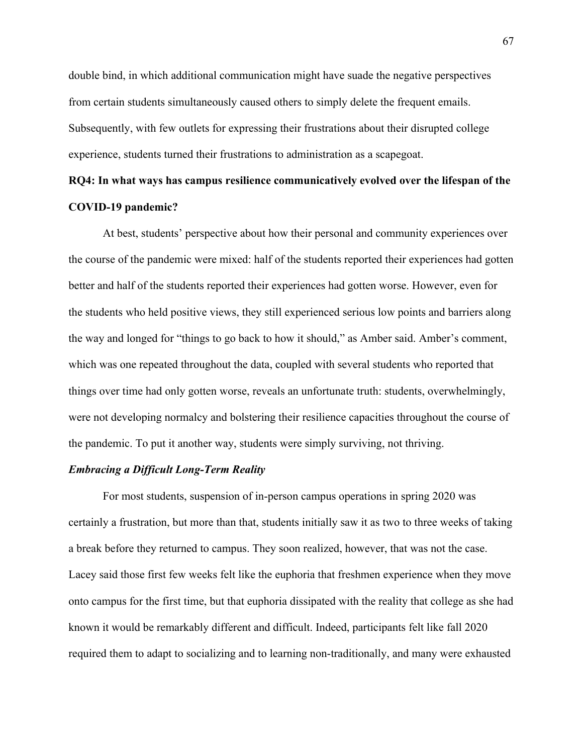double bind, in which additional communication might have suade the negative perspectives from certain students simultaneously caused others to simply delete the frequent emails. Subsequently, with few outlets for expressing their frustrations about their disrupted college experience, students turned their frustrations to administration as a scapegoat.

## **RQ4: In what ways has campus resilience communicatively evolved over the lifespan of the COVID-19 pandemic?**

At best, students' perspective about how their personal and community experiences over the course of the pandemic were mixed: half of the students reported their experiences had gotten better and half of the students reported their experiences had gotten worse. However, even for the students who held positive views, they still experienced serious low points and barriers along the way and longed for "things to go back to how it should," as Amber said. Amber's comment, which was one repeated throughout the data, coupled with several students who reported that things over time had only gotten worse, reveals an unfortunate truth: students, overwhelmingly, were not developing normalcy and bolstering their resilience capacities throughout the course of the pandemic. To put it another way, students were simply surviving, not thriving.

#### *Embracing a Difficult Long-Term Reality*

For most students, suspension of in-person campus operations in spring 2020 was certainly a frustration, but more than that, students initially saw it as two to three weeks of taking a break before they returned to campus. They soon realized, however, that was not the case. Lacey said those first few weeks felt like the euphoria that freshmen experience when they move onto campus for the first time, but that euphoria dissipated with the reality that college as she had known it would be remarkably different and difficult. Indeed, participants felt like fall 2020 required them to adapt to socializing and to learning non-traditionally, and many were exhausted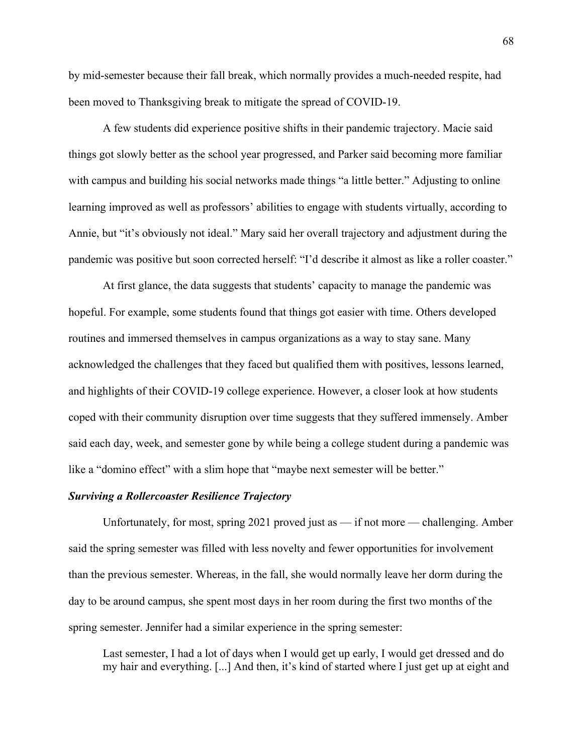by mid-semester because their fall break, which normally provides a much-needed respite, had been moved to Thanksgiving break to mitigate the spread of COVID-19.

 A few students did experience positive shifts in their pandemic trajectory. Macie said things got slowly better as the school year progressed, and Parker said becoming more familiar with campus and building his social networks made things "a little better." Adjusting to online learning improved as well as professors' abilities to engage with students virtually, according to Annie, but "it's obviously not ideal." Mary said her overall trajectory and adjustment during the pandemic was positive but soon corrected herself: "I'd describe it almost as like a roller coaster."

At first glance, the data suggests that students' capacity to manage the pandemic was hopeful. For example, some students found that things got easier with time. Others developed routines and immersed themselves in campus organizations as a way to stay sane. Many acknowledged the challenges that they faced but qualified them with positives, lessons learned, and highlights of their COVID-19 college experience. However, a closer look at how students coped with their community disruption over time suggests that they suffered immensely. Amber said each day, week, and semester gone by while being a college student during a pandemic was like a "domino effect" with a slim hope that "maybe next semester will be better."

### *Surviving a Rollercoaster Resilience Trajectory*

Unfortunately, for most, spring 2021 proved just as — if not more — challenging. Amber said the spring semester was filled with less novelty and fewer opportunities for involvement than the previous semester. Whereas, in the fall, she would normally leave her dorm during the day to be around campus, she spent most days in her room during the first two months of the spring semester. Jennifer had a similar experience in the spring semester:

Last semester, I had a lot of days when I would get up early, I would get dressed and do my hair and everything. [...] And then, it's kind of started where I just get up at eight and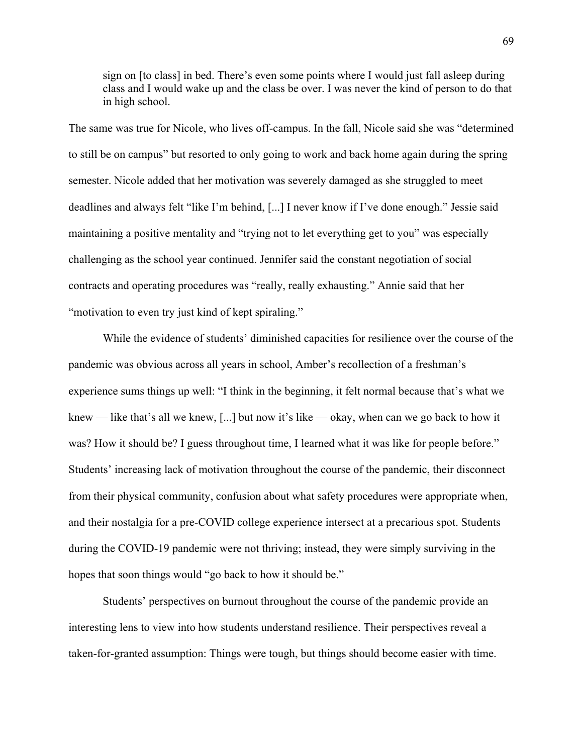sign on [to class] in bed. There's even some points where I would just fall asleep during class and I would wake up and the class be over. I was never the kind of person to do that in high school.

The same was true for Nicole, who lives off-campus. In the fall, Nicole said she was "determined to still be on campus" but resorted to only going to work and back home again during the spring semester. Nicole added that her motivation was severely damaged as she struggled to meet deadlines and always felt "like I'm behind, [...] I never know if I've done enough." Jessie said maintaining a positive mentality and "trying not to let everything get to you" was especially challenging as the school year continued. Jennifer said the constant negotiation of social contracts and operating procedures was "really, really exhausting." Annie said that her "motivation to even try just kind of kept spiraling."

While the evidence of students' diminished capacities for resilience over the course of the pandemic was obvious across all years in school, Amber's recollection of a freshman's experience sums things up well: "I think in the beginning, it felt normal because that's what we knew — like that's all we knew, [...] but now it's like — okay, when can we go back to how it was? How it should be? I guess throughout time, I learned what it was like for people before." Students' increasing lack of motivation throughout the course of the pandemic, their disconnect from their physical community, confusion about what safety procedures were appropriate when, and their nostalgia for a pre-COVID college experience intersect at a precarious spot. Students during the COVID-19 pandemic were not thriving; instead, they were simply surviving in the hopes that soon things would "go back to how it should be."

Students' perspectives on burnout throughout the course of the pandemic provide an interesting lens to view into how students understand resilience. Their perspectives reveal a taken-for-granted assumption: Things were tough, but things should become easier with time.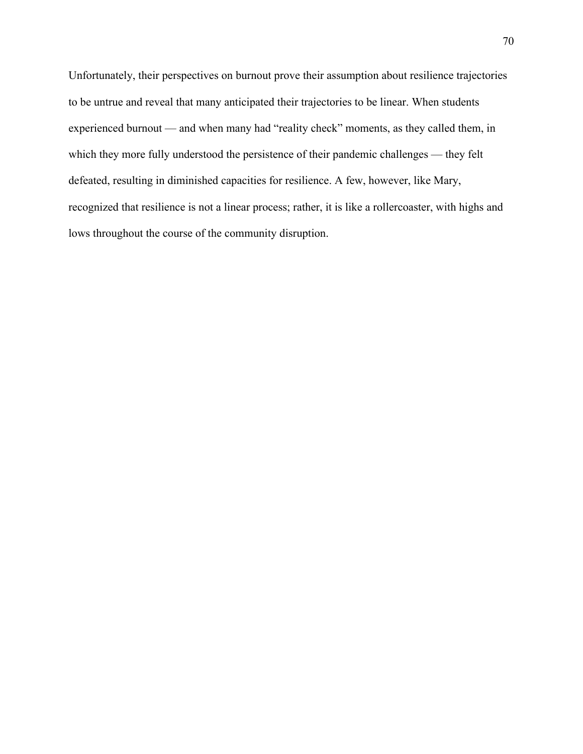Unfortunately, their perspectives on burnout prove their assumption about resilience trajectories to be untrue and reveal that many anticipated their trajectories to be linear. When students experienced burnout — and when many had "reality check" moments, as they called them, in which they more fully understood the persistence of their pandemic challenges — they felt defeated, resulting in diminished capacities for resilience. A few, however, like Mary, recognized that resilience is not a linear process; rather, it is like a rollercoaster, with highs and lows throughout the course of the community disruption.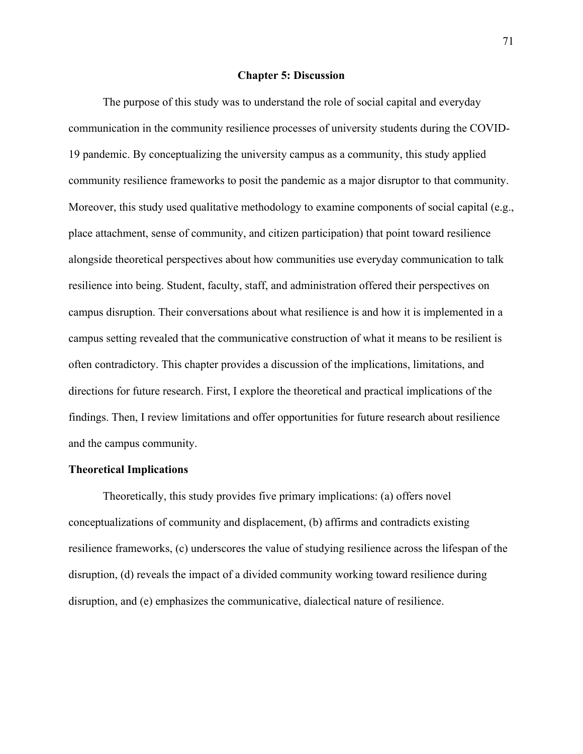#### **Chapter 5: Discussion**

The purpose of this study was to understand the role of social capital and everyday communication in the community resilience processes of university students during the COVID-19 pandemic. By conceptualizing the university campus as a community, this study applied community resilience frameworks to posit the pandemic as a major disruptor to that community. Moreover, this study used qualitative methodology to examine components of social capital (e.g., place attachment, sense of community, and citizen participation) that point toward resilience alongside theoretical perspectives about how communities use everyday communication to talk resilience into being. Student, faculty, staff, and administration offered their perspectives on campus disruption. Their conversations about what resilience is and how it is implemented in a campus setting revealed that the communicative construction of what it means to be resilient is often contradictory. This chapter provides a discussion of the implications, limitations, and directions for future research. First, I explore the theoretical and practical implications of the findings. Then, I review limitations and offer opportunities for future research about resilience and the campus community.

### **Theoretical Implications**

Theoretically, this study provides five primary implications: (a) offers novel conceptualizations of community and displacement, (b) affirms and contradicts existing resilience frameworks, (c) underscores the value of studying resilience across the lifespan of the disruption, (d) reveals the impact of a divided community working toward resilience during disruption, and (e) emphasizes the communicative, dialectical nature of resilience.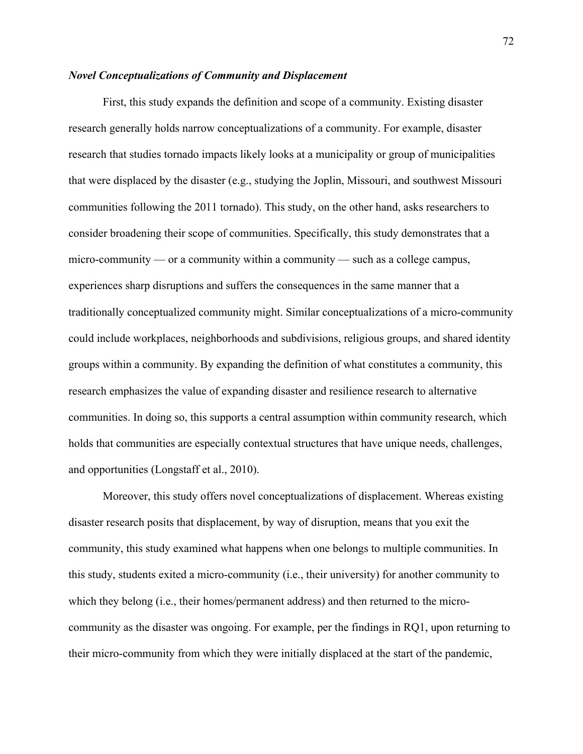## *Novel Conceptualizations of Community and Displacement*

First, this study expands the definition and scope of a community. Existing disaster research generally holds narrow conceptualizations of a community. For example, disaster research that studies tornado impacts likely looks at a municipality or group of municipalities that were displaced by the disaster (e.g., studying the Joplin, Missouri, and southwest Missouri communities following the 2011 tornado). This study, on the other hand, asks researchers to consider broadening their scope of communities. Specifically, this study demonstrates that a micro-community — or a community within a community — such as a college campus, experiences sharp disruptions and suffers the consequences in the same manner that a traditionally conceptualized community might. Similar conceptualizations of a micro-community could include workplaces, neighborhoods and subdivisions, religious groups, and shared identity groups within a community. By expanding the definition of what constitutes a community, this research emphasizes the value of expanding disaster and resilience research to alternative communities. In doing so, this supports a central assumption within community research, which holds that communities are especially contextual structures that have unique needs, challenges, and opportunities (Longstaff et al., 2010).

Moreover, this study offers novel conceptualizations of displacement. Whereas existing disaster research posits that displacement, by way of disruption, means that you exit the community, this study examined what happens when one belongs to multiple communities. In this study, students exited a micro-community (i.e., their university) for another community to which they belong (i.e., their homes/permanent address) and then returned to the microcommunity as the disaster was ongoing. For example, per the findings in RQ1, upon returning to their micro-community from which they were initially displaced at the start of the pandemic,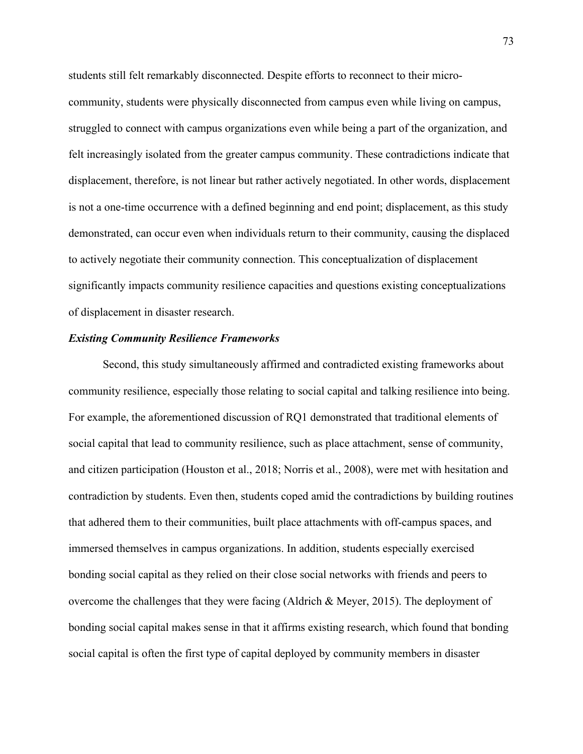students still felt remarkably disconnected. Despite efforts to reconnect to their microcommunity, students were physically disconnected from campus even while living on campus, struggled to connect with campus organizations even while being a part of the organization, and felt increasingly isolated from the greater campus community. These contradictions indicate that displacement, therefore, is not linear but rather actively negotiated. In other words, displacement is not a one-time occurrence with a defined beginning and end point; displacement, as this study demonstrated, can occur even when individuals return to their community, causing the displaced to actively negotiate their community connection. This conceptualization of displacement significantly impacts community resilience capacities and questions existing conceptualizations of displacement in disaster research.

#### *Existing Community Resilience Frameworks*

Second, this study simultaneously affirmed and contradicted existing frameworks about community resilience, especially those relating to social capital and talking resilience into being. For example, the aforementioned discussion of RQ1 demonstrated that traditional elements of social capital that lead to community resilience, such as place attachment, sense of community, and citizen participation (Houston et al., 2018; Norris et al., 2008), were met with hesitation and contradiction by students. Even then, students coped amid the contradictions by building routines that adhered them to their communities, built place attachments with off-campus spaces, and immersed themselves in campus organizations. In addition, students especially exercised bonding social capital as they relied on their close social networks with friends and peers to overcome the challenges that they were facing (Aldrich & Meyer, 2015). The deployment of bonding social capital makes sense in that it affirms existing research, which found that bonding social capital is often the first type of capital deployed by community members in disaster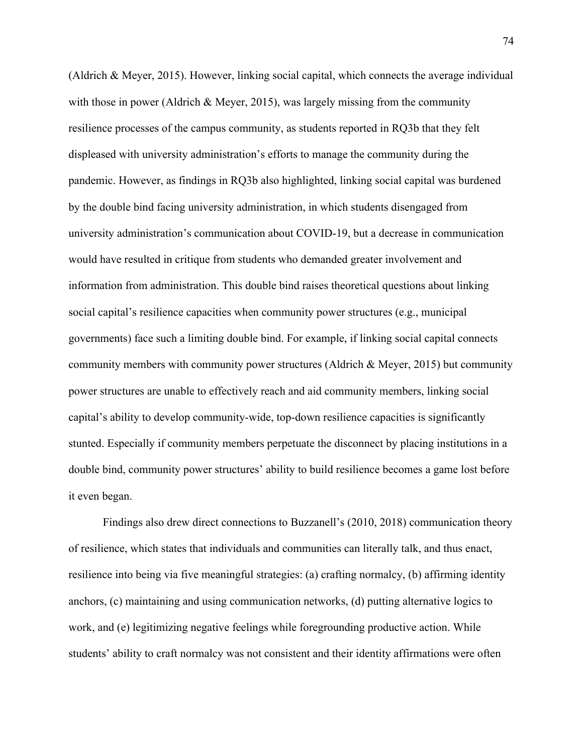(Aldrich & Meyer, 2015). However, linking social capital, which connects the average individual with those in power (Aldrich & Meyer, 2015), was largely missing from the community resilience processes of the campus community, as students reported in RQ3b that they felt displeased with university administration's efforts to manage the community during the pandemic. However, as findings in RQ3b also highlighted, linking social capital was burdened by the double bind facing university administration, in which students disengaged from university administration's communication about COVID-19, but a decrease in communication would have resulted in critique from students who demanded greater involvement and information from administration. This double bind raises theoretical questions about linking social capital's resilience capacities when community power structures (e.g., municipal governments) face such a limiting double bind. For example, if linking social capital connects community members with community power structures (Aldrich & Meyer, 2015) but community power structures are unable to effectively reach and aid community members, linking social capital's ability to develop community-wide, top-down resilience capacities is significantly stunted. Especially if community members perpetuate the disconnect by placing institutions in a double bind, community power structures' ability to build resilience becomes a game lost before it even began.

Findings also drew direct connections to Buzzanell's (2010, 2018) communication theory of resilience, which states that individuals and communities can literally talk, and thus enact, resilience into being via five meaningful strategies: (a) crafting normalcy, (b) affirming identity anchors, (c) maintaining and using communication networks, (d) putting alternative logics to work, and (e) legitimizing negative feelings while foregrounding productive action. While students' ability to craft normalcy was not consistent and their identity affirmations were often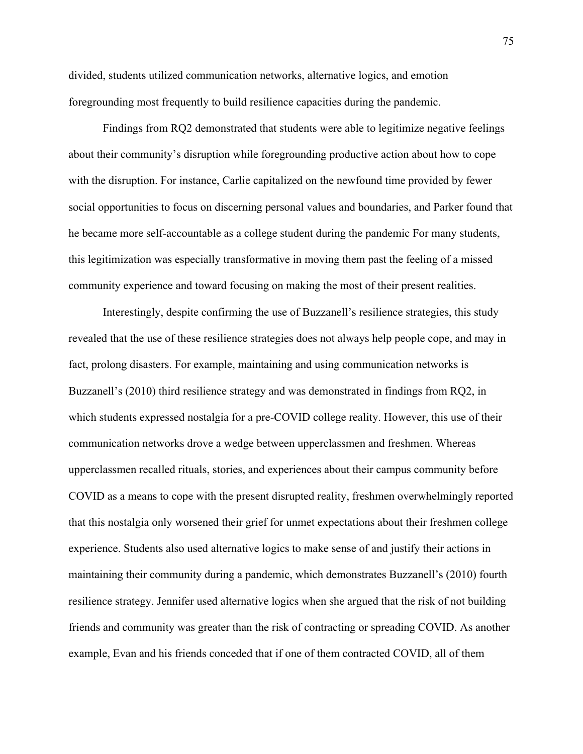divided, students utilized communication networks, alternative logics, and emotion foregrounding most frequently to build resilience capacities during the pandemic.

Findings from RQ2 demonstrated that students were able to legitimize negative feelings about their community's disruption while foregrounding productive action about how to cope with the disruption. For instance, Carlie capitalized on the newfound time provided by fewer social opportunities to focus on discerning personal values and boundaries, and Parker found that he became more self-accountable as a college student during the pandemic For many students, this legitimization was especially transformative in moving them past the feeling of a missed community experience and toward focusing on making the most of their present realities.

Interestingly, despite confirming the use of Buzzanell's resilience strategies, this study revealed that the use of these resilience strategies does not always help people cope, and may in fact, prolong disasters. For example, maintaining and using communication networks is Buzzanell's (2010) third resilience strategy and was demonstrated in findings from RQ2, in which students expressed nostalgia for a pre-COVID college reality. However, this use of their communication networks drove a wedge between upperclassmen and freshmen. Whereas upperclassmen recalled rituals, stories, and experiences about their campus community before COVID as a means to cope with the present disrupted reality, freshmen overwhelmingly reported that this nostalgia only worsened their grief for unmet expectations about their freshmen college experience. Students also used alternative logics to make sense of and justify their actions in maintaining their community during a pandemic, which demonstrates Buzzanell's (2010) fourth resilience strategy. Jennifer used alternative logics when she argued that the risk of not building friends and community was greater than the risk of contracting or spreading COVID. As another example, Evan and his friends conceded that if one of them contracted COVID, all of them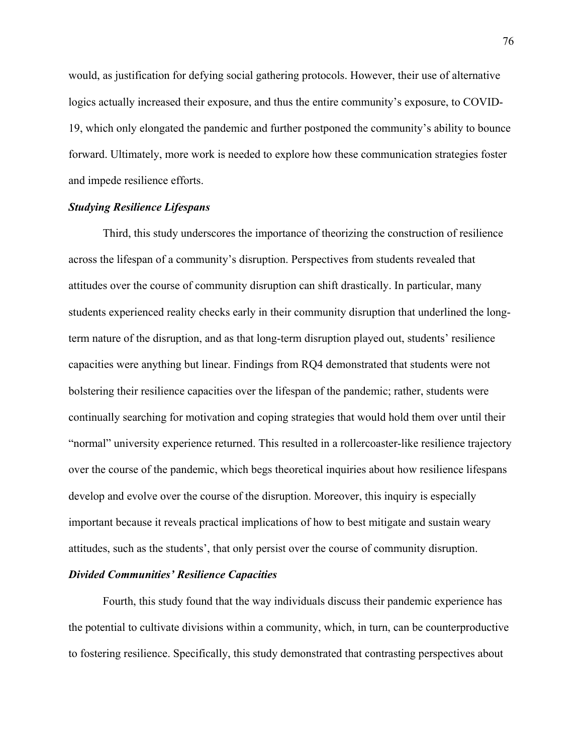would, as justification for defying social gathering protocols. However, their use of alternative logics actually increased their exposure, and thus the entire community's exposure, to COVID-19, which only elongated the pandemic and further postponed the community's ability to bounce forward. Ultimately, more work is needed to explore how these communication strategies foster and impede resilience efforts.

## *Studying Resilience Lifespans*

Third, this study underscores the importance of theorizing the construction of resilience across the lifespan of a community's disruption. Perspectives from students revealed that attitudes over the course of community disruption can shift drastically. In particular, many students experienced reality checks early in their community disruption that underlined the longterm nature of the disruption, and as that long-term disruption played out, students' resilience capacities were anything but linear. Findings from RQ4 demonstrated that students were not bolstering their resilience capacities over the lifespan of the pandemic; rather, students were continually searching for motivation and coping strategies that would hold them over until their "normal" university experience returned. This resulted in a rollercoaster-like resilience trajectory over the course of the pandemic, which begs theoretical inquiries about how resilience lifespans develop and evolve over the course of the disruption. Moreover, this inquiry is especially important because it reveals practical implications of how to best mitigate and sustain weary attitudes, such as the students', that only persist over the course of community disruption.

## *Divided Communities' Resilience Capacities*

Fourth, this study found that the way individuals discuss their pandemic experience has the potential to cultivate divisions within a community, which, in turn, can be counterproductive to fostering resilience. Specifically, this study demonstrated that contrasting perspectives about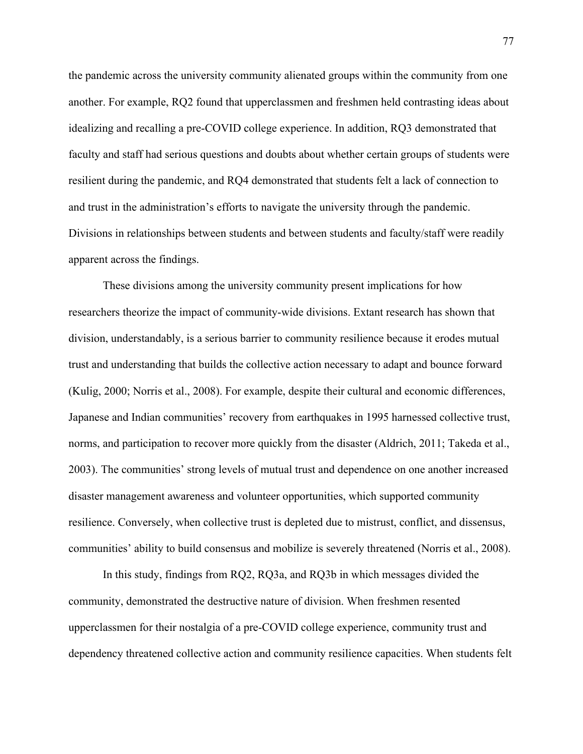the pandemic across the university community alienated groups within the community from one another. For example, RQ2 found that upperclassmen and freshmen held contrasting ideas about idealizing and recalling a pre-COVID college experience. In addition, RQ3 demonstrated that faculty and staff had serious questions and doubts about whether certain groups of students were resilient during the pandemic, and RQ4 demonstrated that students felt a lack of connection to and trust in the administration's efforts to navigate the university through the pandemic. Divisions in relationships between students and between students and faculty/staff were readily apparent across the findings.

These divisions among the university community present implications for how researchers theorize the impact of community-wide divisions. Extant research has shown that division, understandably, is a serious barrier to community resilience because it erodes mutual trust and understanding that builds the collective action necessary to adapt and bounce forward (Kulig, 2000; Norris et al., 2008). For example, despite their cultural and economic differences, Japanese and Indian communities' recovery from earthquakes in 1995 harnessed collective trust, norms, and participation to recover more quickly from the disaster (Aldrich, 2011; Takeda et al., 2003). The communities' strong levels of mutual trust and dependence on one another increased disaster management awareness and volunteer opportunities, which supported community resilience. Conversely, when collective trust is depleted due to mistrust, conflict, and dissensus, communities' ability to build consensus and mobilize is severely threatened (Norris et al., 2008).

In this study, findings from RQ2, RQ3a, and RQ3b in which messages divided the community, demonstrated the destructive nature of division. When freshmen resented upperclassmen for their nostalgia of a pre-COVID college experience, community trust and dependency threatened collective action and community resilience capacities. When students felt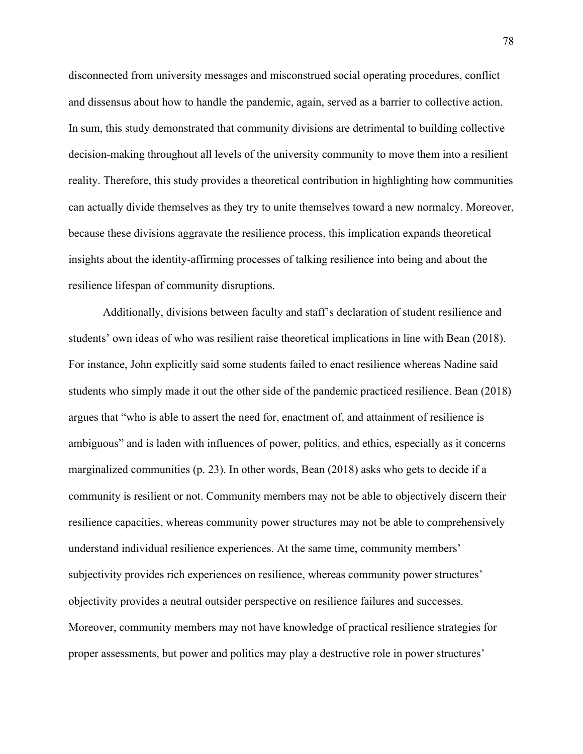disconnected from university messages and misconstrued social operating procedures, conflict and dissensus about how to handle the pandemic, again, served as a barrier to collective action. In sum, this study demonstrated that community divisions are detrimental to building collective decision-making throughout all levels of the university community to move them into a resilient reality. Therefore, this study provides a theoretical contribution in highlighting how communities can actually divide themselves as they try to unite themselves toward a new normalcy. Moreover, because these divisions aggravate the resilience process, this implication expands theoretical insights about the identity-affirming processes of talking resilience into being and about the resilience lifespan of community disruptions.

Additionally, divisions between faculty and staff's declaration of student resilience and students' own ideas of who was resilient raise theoretical implications in line with Bean (2018). For instance, John explicitly said some students failed to enact resilience whereas Nadine said students who simply made it out the other side of the pandemic practiced resilience. Bean (2018) argues that "who is able to assert the need for, enactment of, and attainment of resilience is ambiguous" and is laden with influences of power, politics, and ethics, especially as it concerns marginalized communities (p. 23). In other words, Bean (2018) asks who gets to decide if a community is resilient or not. Community members may not be able to objectively discern their resilience capacities, whereas community power structures may not be able to comprehensively understand individual resilience experiences. At the same time, community members' subjectivity provides rich experiences on resilience, whereas community power structures' objectivity provides a neutral outsider perspective on resilience failures and successes. Moreover, community members may not have knowledge of practical resilience strategies for proper assessments, but power and politics may play a destructive role in power structures'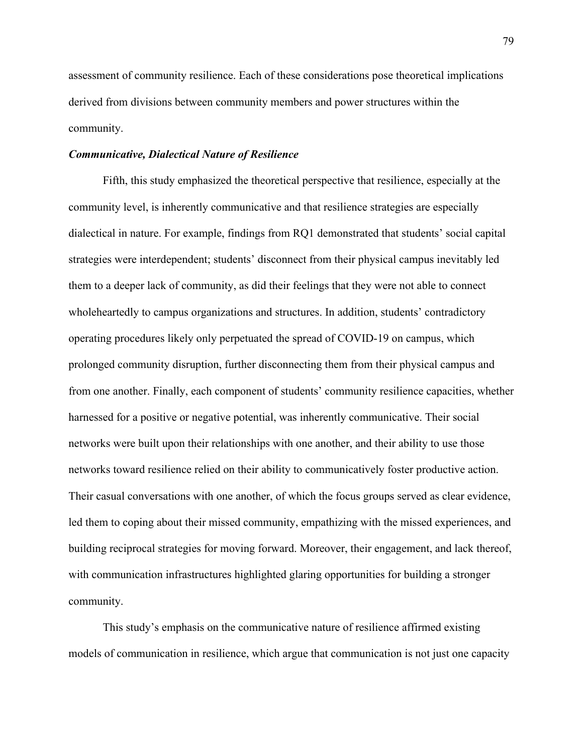assessment of community resilience. Each of these considerations pose theoretical implications derived from divisions between community members and power structures within the community.

#### *Communicative, Dialectical Nature of Resilience*

Fifth, this study emphasized the theoretical perspective that resilience, especially at the community level, is inherently communicative and that resilience strategies are especially dialectical in nature. For example, findings from RQ1 demonstrated that students' social capital strategies were interdependent; students' disconnect from their physical campus inevitably led them to a deeper lack of community, as did their feelings that they were not able to connect wholeheartedly to campus organizations and structures. In addition, students' contradictory operating procedures likely only perpetuated the spread of COVID-19 on campus, which prolonged community disruption, further disconnecting them from their physical campus and from one another. Finally, each component of students' community resilience capacities, whether harnessed for a positive or negative potential, was inherently communicative. Their social networks were built upon their relationships with one another, and their ability to use those networks toward resilience relied on their ability to communicatively foster productive action. Their casual conversations with one another, of which the focus groups served as clear evidence, led them to coping about their missed community, empathizing with the missed experiences, and building reciprocal strategies for moving forward. Moreover, their engagement, and lack thereof, with communication infrastructures highlighted glaring opportunities for building a stronger community.

This study's emphasis on the communicative nature of resilience affirmed existing models of communication in resilience, which argue that communication is not just one capacity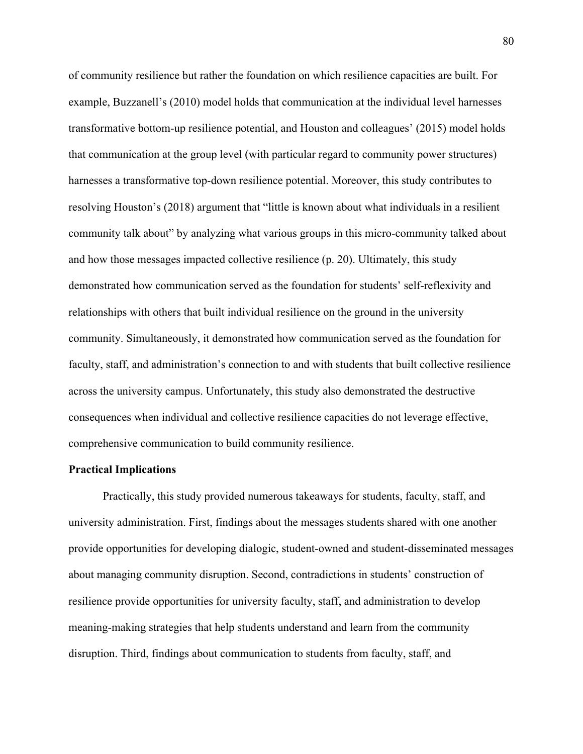of community resilience but rather the foundation on which resilience capacities are built. For example, Buzzanell's (2010) model holds that communication at the individual level harnesses transformative bottom-up resilience potential, and Houston and colleagues' (2015) model holds that communication at the group level (with particular regard to community power structures) harnesses a transformative top-down resilience potential. Moreover, this study contributes to resolving Houston's (2018) argument that "little is known about what individuals in a resilient community talk about" by analyzing what various groups in this micro-community talked about and how those messages impacted collective resilience (p. 20). Ultimately, this study demonstrated how communication served as the foundation for students' self-reflexivity and relationships with others that built individual resilience on the ground in the university community. Simultaneously, it demonstrated how communication served as the foundation for faculty, staff, and administration's connection to and with students that built collective resilience across the university campus. Unfortunately, this study also demonstrated the destructive consequences when individual and collective resilience capacities do not leverage effective, comprehensive communication to build community resilience.

### **Practical Implications**

Practically, this study provided numerous takeaways for students, faculty, staff, and university administration. First, findings about the messages students shared with one another provide opportunities for developing dialogic, student-owned and student-disseminated messages about managing community disruption. Second, contradictions in students' construction of resilience provide opportunities for university faculty, staff, and administration to develop meaning-making strategies that help students understand and learn from the community disruption. Third, findings about communication to students from faculty, staff, and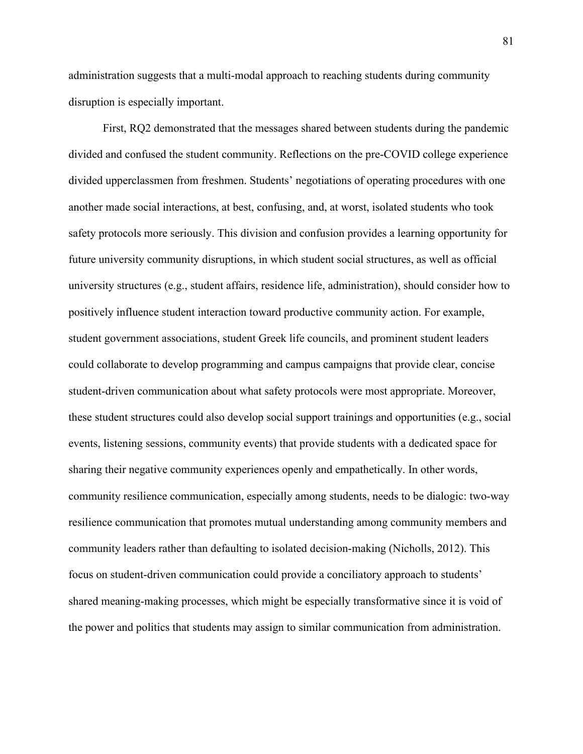administration suggests that a multi-modal approach to reaching students during community disruption is especially important.

First, RQ2 demonstrated that the messages shared between students during the pandemic divided and confused the student community. Reflections on the pre-COVID college experience divided upperclassmen from freshmen. Students' negotiations of operating procedures with one another made social interactions, at best, confusing, and, at worst, isolated students who took safety protocols more seriously. This division and confusion provides a learning opportunity for future university community disruptions, in which student social structures, as well as official university structures (e.g., student affairs, residence life, administration), should consider how to positively influence student interaction toward productive community action. For example, student government associations, student Greek life councils, and prominent student leaders could collaborate to develop programming and campus campaigns that provide clear, concise student-driven communication about what safety protocols were most appropriate. Moreover, these student structures could also develop social support trainings and opportunities (e.g., social events, listening sessions, community events) that provide students with a dedicated space for sharing their negative community experiences openly and empathetically. In other words, community resilience communication, especially among students, needs to be dialogic: two-way resilience communication that promotes mutual understanding among community members and community leaders rather than defaulting to isolated decision-making (Nicholls, 2012). This focus on student-driven communication could provide a conciliatory approach to students' shared meaning-making processes, which might be especially transformative since it is void of the power and politics that students may assign to similar communication from administration.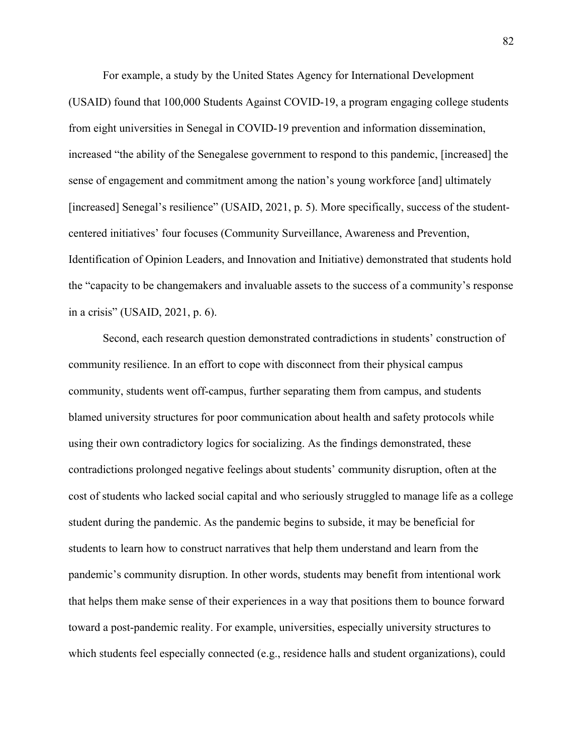For example, a study by the United States Agency for International Development (USAID) found that 100,000 Students Against COVID-19, a program engaging college students from eight universities in Senegal in COVID-19 prevention and information dissemination, increased "the ability of the Senegalese government to respond to this pandemic, [increased] the sense of engagement and commitment among the nation's young workforce [and] ultimately [increased] Senegal's resilience" (USAID, 2021, p. 5). More specifically, success of the studentcentered initiatives' four focuses (Community Surveillance, Awareness and Prevention, Identification of Opinion Leaders, and Innovation and Initiative) demonstrated that students hold the "capacity to be changemakers and invaluable assets to the success of a community's response in a crisis" (USAID, 2021, p. 6).

Second, each research question demonstrated contradictions in students' construction of community resilience. In an effort to cope with disconnect from their physical campus community, students went off-campus, further separating them from campus, and students blamed university structures for poor communication about health and safety protocols while using their own contradictory logics for socializing. As the findings demonstrated, these contradictions prolonged negative feelings about students' community disruption, often at the cost of students who lacked social capital and who seriously struggled to manage life as a college student during the pandemic. As the pandemic begins to subside, it may be beneficial for students to learn how to construct narratives that help them understand and learn from the pandemic's community disruption. In other words, students may benefit from intentional work that helps them make sense of their experiences in a way that positions them to bounce forward toward a post-pandemic reality. For example, universities, especially university structures to which students feel especially connected (e.g., residence halls and student organizations), could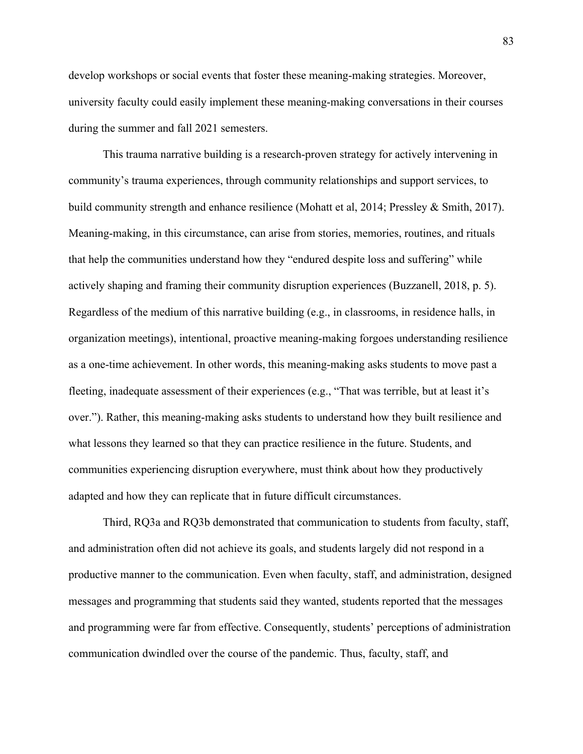develop workshops or social events that foster these meaning-making strategies. Moreover, university faculty could easily implement these meaning-making conversations in their courses during the summer and fall 2021 semesters.

This trauma narrative building is a research-proven strategy for actively intervening in community's trauma experiences, through community relationships and support services, to build community strength and enhance resilience (Mohatt et al, 2014; Pressley & Smith, 2017). Meaning-making, in this circumstance, can arise from stories, memories, routines, and rituals that help the communities understand how they "endured despite loss and suffering" while actively shaping and framing their community disruption experiences (Buzzanell, 2018, p. 5). Regardless of the medium of this narrative building (e.g., in classrooms, in residence halls, in organization meetings), intentional, proactive meaning-making forgoes understanding resilience as a one-time achievement. In other words, this meaning-making asks students to move past a fleeting, inadequate assessment of their experiences (e.g., "That was terrible, but at least it's over."). Rather, this meaning-making asks students to understand how they built resilience and what lessons they learned so that they can practice resilience in the future. Students, and communities experiencing disruption everywhere, must think about how they productively adapted and how they can replicate that in future difficult circumstances.

Third, RQ3a and RQ3b demonstrated that communication to students from faculty, staff, and administration often did not achieve its goals, and students largely did not respond in a productive manner to the communication. Even when faculty, staff, and administration, designed messages and programming that students said they wanted, students reported that the messages and programming were far from effective. Consequently, students' perceptions of administration communication dwindled over the course of the pandemic. Thus, faculty, staff, and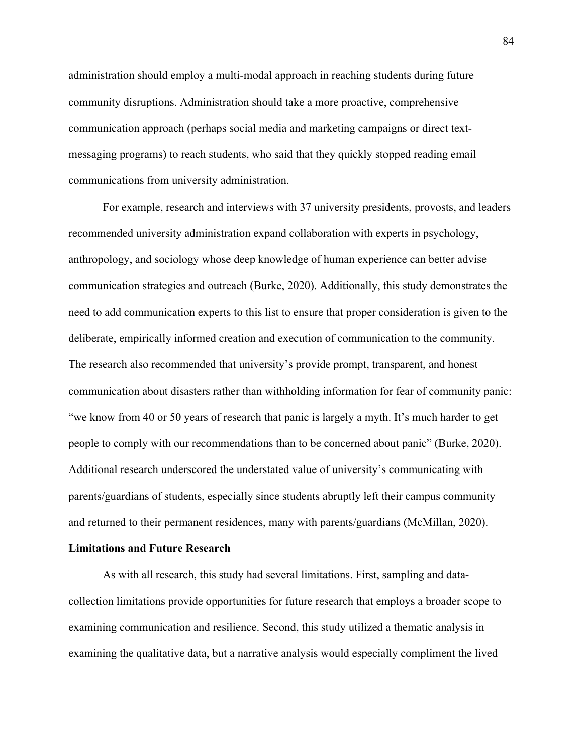administration should employ a multi-modal approach in reaching students during future community disruptions. Administration should take a more proactive, comprehensive communication approach (perhaps social media and marketing campaigns or direct textmessaging programs) to reach students, who said that they quickly stopped reading email communications from university administration.

For example, research and interviews with 37 university presidents, provosts, and leaders recommended university administration expand collaboration with experts in psychology, anthropology, and sociology whose deep knowledge of human experience can better advise communication strategies and outreach (Burke, 2020). Additionally, this study demonstrates the need to add communication experts to this list to ensure that proper consideration is given to the deliberate, empirically informed creation and execution of communication to the community. The research also recommended that university's provide prompt, transparent, and honest communication about disasters rather than withholding information for fear of community panic: "we know from 40 or 50 years of research that panic is largely a myth. It's much harder to get people to comply with our recommendations than to be concerned about panic" (Burke, 2020). Additional research underscored the understated value of university's communicating with parents/guardians of students, especially since students abruptly left their campus community and returned to their permanent residences, many with parents/guardians (McMillan, 2020).

#### **Limitations and Future Research**

As with all research, this study had several limitations. First, sampling and datacollection limitations provide opportunities for future research that employs a broader scope to examining communication and resilience. Second, this study utilized a thematic analysis in examining the qualitative data, but a narrative analysis would especially compliment the lived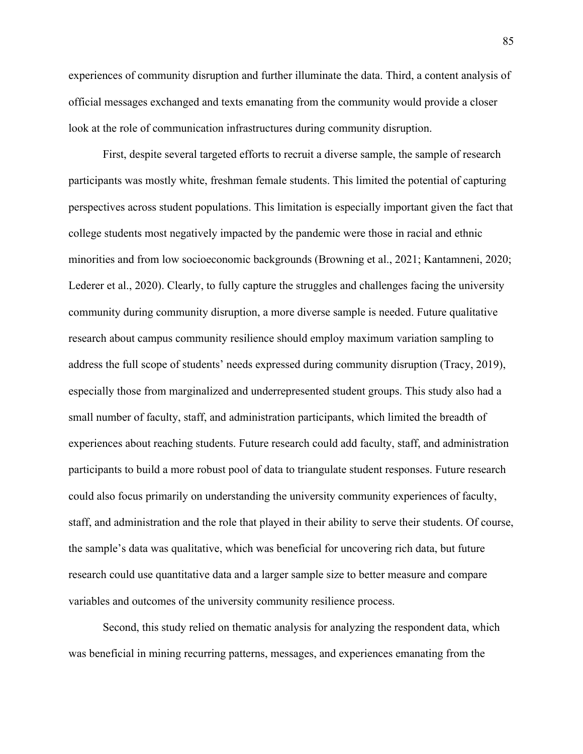experiences of community disruption and further illuminate the data. Third, a content analysis of official messages exchanged and texts emanating from the community would provide a closer look at the role of communication infrastructures during community disruption.

First, despite several targeted efforts to recruit a diverse sample, the sample of research participants was mostly white, freshman female students. This limited the potential of capturing perspectives across student populations. This limitation is especially important given the fact that college students most negatively impacted by the pandemic were those in racial and ethnic minorities and from low socioeconomic backgrounds (Browning et al., 2021; Kantamneni, 2020; Lederer et al., 2020). Clearly, to fully capture the struggles and challenges facing the university community during community disruption, a more diverse sample is needed. Future qualitative research about campus community resilience should employ maximum variation sampling to address the full scope of students' needs expressed during community disruption (Tracy, 2019), especially those from marginalized and underrepresented student groups. This study also had a small number of faculty, staff, and administration participants, which limited the breadth of experiences about reaching students. Future research could add faculty, staff, and administration participants to build a more robust pool of data to triangulate student responses. Future research could also focus primarily on understanding the university community experiences of faculty, staff, and administration and the role that played in their ability to serve their students. Of course, the sample's data was qualitative, which was beneficial for uncovering rich data, but future research could use quantitative data and a larger sample size to better measure and compare variables and outcomes of the university community resilience process.

Second, this study relied on thematic analysis for analyzing the respondent data, which was beneficial in mining recurring patterns, messages, and experiences emanating from the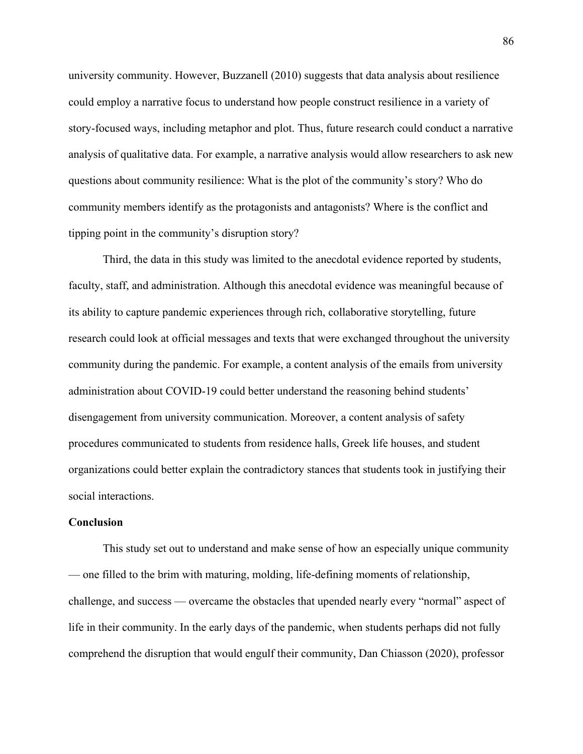university community. However, Buzzanell (2010) suggests that data analysis about resilience could employ a narrative focus to understand how people construct resilience in a variety of story-focused ways, including metaphor and plot. Thus, future research could conduct a narrative analysis of qualitative data. For example, a narrative analysis would allow researchers to ask new questions about community resilience: What is the plot of the community's story? Who do community members identify as the protagonists and antagonists? Where is the conflict and tipping point in the community's disruption story?

Third, the data in this study was limited to the anecdotal evidence reported by students, faculty, staff, and administration. Although this anecdotal evidence was meaningful because of its ability to capture pandemic experiences through rich, collaborative storytelling, future research could look at official messages and texts that were exchanged throughout the university community during the pandemic. For example, a content analysis of the emails from university administration about COVID-19 could better understand the reasoning behind students' disengagement from university communication. Moreover, a content analysis of safety procedures communicated to students from residence halls, Greek life houses, and student organizations could better explain the contradictory stances that students took in justifying their social interactions.

#### **Conclusion**

This study set out to understand and make sense of how an especially unique community — one filled to the brim with maturing, molding, life-defining moments of relationship, challenge, and success — overcame the obstacles that upended nearly every "normal" aspect of life in their community. In the early days of the pandemic, when students perhaps did not fully comprehend the disruption that would engulf their community, Dan Chiasson (2020), professor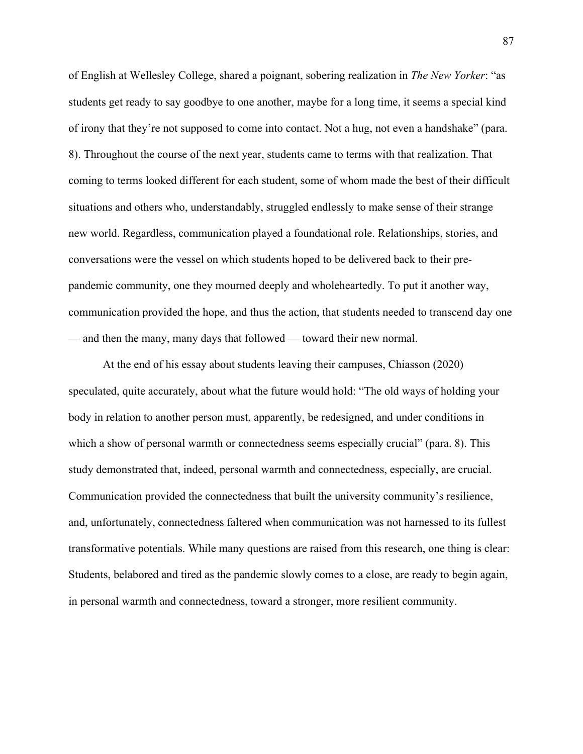of English at Wellesley College, shared a poignant, sobering realization in *The New Yorker*: "as students get ready to say goodbye to one another, maybe for a long time, it seems a special kind of irony that they're not supposed to come into contact. Not a hug, not even a handshake" (para. 8). Throughout the course of the next year, students came to terms with that realization. That coming to terms looked different for each student, some of whom made the best of their difficult situations and others who, understandably, struggled endlessly to make sense of their strange new world. Regardless, communication played a foundational role. Relationships, stories, and conversations were the vessel on which students hoped to be delivered back to their prepandemic community, one they mourned deeply and wholeheartedly. To put it another way, communication provided the hope, and thus the action, that students needed to transcend day one — and then the many, many days that followed — toward their new normal.

At the end of his essay about students leaving their campuses, Chiasson (2020) speculated, quite accurately, about what the future would hold: "The old ways of holding your body in relation to another person must, apparently, be redesigned, and under conditions in which a show of personal warmth or connectedness seems especially crucial" (para. 8). This study demonstrated that, indeed, personal warmth and connectedness, especially, are crucial. Communication provided the connectedness that built the university community's resilience, and, unfortunately, connectedness faltered when communication was not harnessed to its fullest transformative potentials. While many questions are raised from this research, one thing is clear: Students, belabored and tired as the pandemic slowly comes to a close, are ready to begin again, in personal warmth and connectedness, toward a stronger, more resilient community.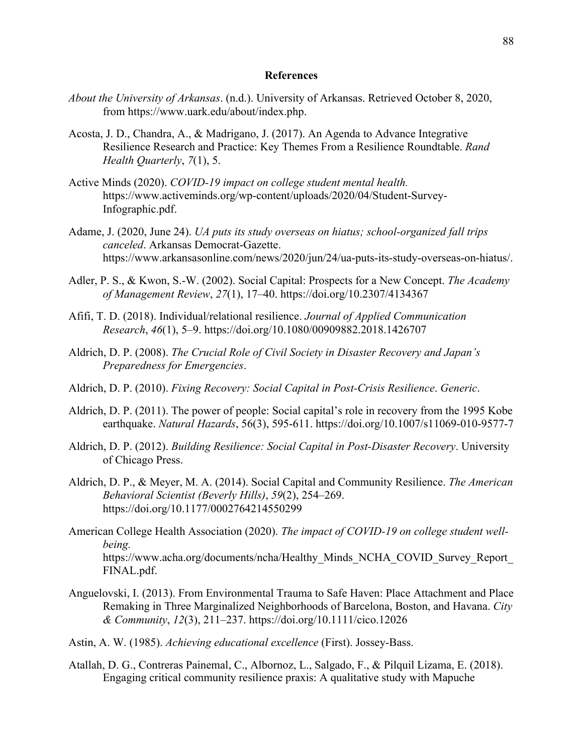### **References**

- *About the University of Arkansas*. (n.d.). University of Arkansas. Retrieved October 8, 2020, from https://www.uark.edu/about/index.php.
- Acosta, J. D., Chandra, A., & Madrigano, J. (2017). An Agenda to Advance Integrative Resilience Research and Practice: Key Themes From a Resilience Roundtable. *Rand Health Quarterly*, *7*(1), 5.
- Active Minds (2020). *COVID-19 impact on college student mental health.*  https://www.activeminds.org/wp-content/uploads/2020/04/Student-Survey-Infographic.pdf.
- Adame, J. (2020, June 24). *UA puts its study overseas on hiatus; school-organized fall trips canceled*. Arkansas Democrat-Gazette. https://www.arkansasonline.com/news/2020/jun/24/ua-puts-its-study-overseas-on-hiatus/.
- Adler, P. S., & Kwon, S.-W. (2002). Social Capital: Prospects for a New Concept. *The Academy of Management Review*, *27*(1), 17–40. https://doi.org/10.2307/4134367
- Afifi, T. D. (2018). Individual/relational resilience. *Journal of Applied Communication Research*, *46*(1), 5–9. https://doi.org/10.1080/00909882.2018.1426707
- Aldrich, D. P. (2008). *The Crucial Role of Civil Society in Disaster Recovery and Japan's Preparedness for Emergencies*.
- Aldrich, D. P. (2010). *Fixing Recovery: Social Capital in Post-Crisis Resilience*. *Generic*.
- Aldrich, D. P. (2011). The power of people: Social capital's role in recovery from the 1995 Kobe earthquake. *Natural Hazards*, 56(3), 595-611. https://doi.org/10.1007/s11069-010-9577-7
- Aldrich, D. P. (2012). *Building Resilience: Social Capital in Post-Disaster Recovery*. University of Chicago Press.
- Aldrich, D. P., & Meyer, M. A. (2014). Social Capital and Community Resilience. *The American Behavioral Scientist (Beverly Hills)*, *59*(2), 254–269. https://doi.org/10.1177/0002764214550299
- American College Health Association (2020). *The impact of COVID-19 on college student wellbeing.* https://www.acha.org/documents/ncha/Healthy\_Minds\_NCHA\_COVID\_Survey\_Report\_ FINAL.pdf.
- Anguelovski, I. (2013). From Environmental Trauma to Safe Haven: Place Attachment and Place Remaking in Three Marginalized Neighborhoods of Barcelona, Boston, and Havana. *City & Community*, *12*(3), 211–237. https://doi.org/10.1111/cico.12026
- Astin, A. W. (1985). *Achieving educational excellence* (First). Jossey-Bass.
- Atallah, D. G., Contreras Painemal, C., Albornoz, L., Salgado, F., & Pilquil Lizama, E. (2018). Engaging critical community resilience praxis: A qualitative study with Mapuche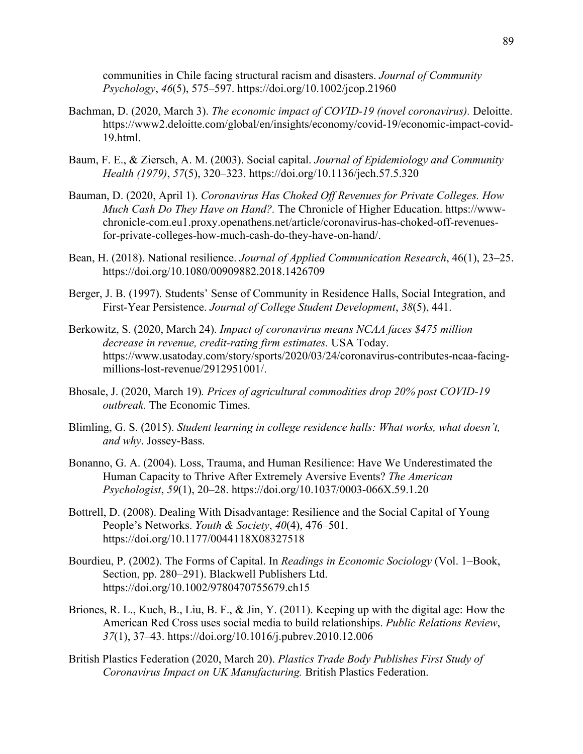communities in Chile facing structural racism and disasters. *Journal of Community Psychology*, *46*(5), 575–597. https://doi.org/10.1002/jcop.21960

- Bachman, D. (2020, March 3). *The economic impact of COVID-19 (novel coronavirus).* Deloitte. https://www2.deloitte.com/global/en/insights/economy/covid-19/economic-impact-covid-19.html.
- Baum, F. E., & Ziersch, A. M. (2003). Social capital. *Journal of Epidemiology and Community Health (1979)*, *57*(5), 320–323. https://doi.org/10.1136/jech.57.5.320
- Bauman, D. (2020, April 1). *Coronavirus Has Choked Off Revenues for Private Colleges. How Much Cash Do They Have on Hand?.* The Chronicle of Higher Education. https://wwwchronicle-com.eu1.proxy.openathens.net/article/coronavirus-has-choked-off-revenuesfor-private-colleges-how-much-cash-do-they-have-on-hand/.
- Bean, H. (2018). National resilience. *Journal of Applied Communication Research*, 46(1), 23–25. https://doi.org/10.1080/00909882.2018.1426709
- Berger, J. B. (1997). Students' Sense of Community in Residence Halls, Social Integration, and First-Year Persistence. *Journal of College Student Development*, *38*(5), 441.
- Berkowitz, S. (2020, March 24). *Impact of coronavirus means NCAA faces \$475 million decrease in revenue, credit-rating firm estimates.* USA Today. https://www.usatoday.com/story/sports/2020/03/24/coronavirus-contributes-ncaa-facingmillions-lost-revenue/2912951001/.
- Bhosale, J. (2020, March 19)*. Prices of agricultural commodities drop 20% post COVID-19 outbreak.* The Economic Times.
- Blimling, G. S. (2015). *Student learning in college residence halls: What works, what doesn't, and why*. Jossey-Bass.
- Bonanno, G. A. (2004). Loss, Trauma, and Human Resilience: Have We Underestimated the Human Capacity to Thrive After Extremely Aversive Events? *The American Psychologist*, *59*(1), 20–28. https://doi.org/10.1037/0003-066X.59.1.20
- Bottrell, D. (2008). Dealing With Disadvantage: Resilience and the Social Capital of Young People's Networks. *Youth & Society*, *40*(4), 476–501. https://doi.org/10.1177/0044118X08327518
- Bourdieu, P. (2002). The Forms of Capital. In *Readings in Economic Sociology* (Vol. 1–Book, Section, pp. 280–291). Blackwell Publishers Ltd. https://doi.org/10.1002/9780470755679.ch15
- Briones, R. L., Kuch, B., Liu, B. F., & Jin, Y. (2011). Keeping up with the digital age: How the American Red Cross uses social media to build relationships. *Public Relations Review*, *37*(1), 37–43. https://doi.org/10.1016/j.pubrev.2010.12.006
- British Plastics Federation (2020, March 20). *Plastics Trade Body Publishes First Study of Coronavirus Impact on UK Manufacturing.* British Plastics Federation.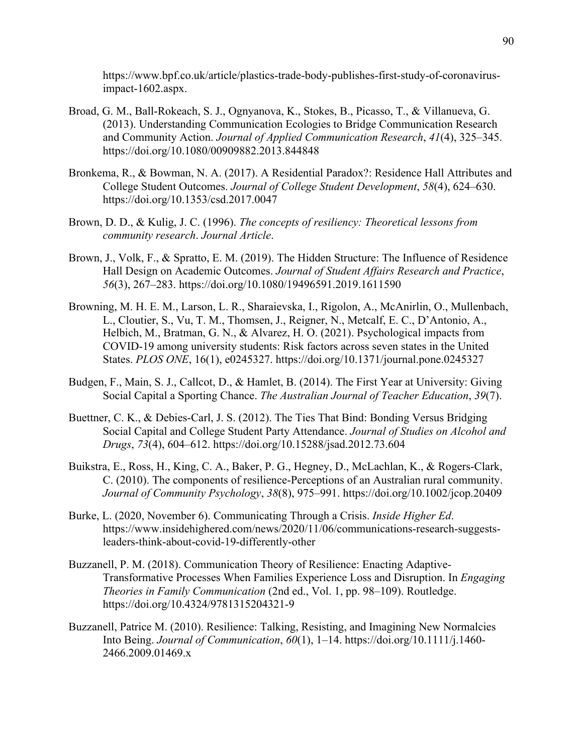https://www.bpf.co.uk/article/plastics-trade-body-publishes-first-study-of-coronavirusimpact-1602.aspx.

- Broad, G. M., Ball-Rokeach, S. J., Ognyanova, K., Stokes, B., Picasso, T., & Villanueva, G. (2013). Understanding Communication Ecologies to Bridge Communication Research and Community Action. *Journal of Applied Communication Research*, *41*(4), 325–345. https://doi.org/10.1080/00909882.2013.844848
- Bronkema, R., & Bowman, N. A. (2017). A Residential Paradox?: Residence Hall Attributes and College Student Outcomes. *Journal of College Student Development*, *58*(4), 624–630. https://doi.org/10.1353/csd.2017.0047
- Brown, D. D., & Kulig, J. C. (1996). *The concepts of resiliency: Theoretical lessons from community research*. *Journal Article*.
- Brown, J., Volk, F., & Spratto, E. M. (2019). The Hidden Structure: The Influence of Residence Hall Design on Academic Outcomes. *Journal of Student Affairs Research and Practice*, *56*(3), 267–283. https://doi.org/10.1080/19496591.2019.1611590
- Browning, M. H. E. M., Larson, L. R., Sharaievska, I., Rigolon, A., McAnirlin, O., Mullenbach, L., Cloutier, S., Vu, T. M., Thomsen, J., Reigner, N., Metcalf, E. C., D'Antonio, A., Helbich, M., Bratman, G. N., & Alvarez, H. O. (2021). Psychological impacts from COVID-19 among university students: Risk factors across seven states in the United States. *PLOS ONE*, 16(1), e0245327. https://doi.org/10.1371/journal.pone.0245327
- Budgen, F., Main, S. J., Callcot, D., & Hamlet, B. (2014). The First Year at University: Giving Social Capital a Sporting Chance. *The Australian Journal of Teacher Education*, *39*(7).
- Buettner, C. K., & Debies-Carl, J. S. (2012). The Ties That Bind: Bonding Versus Bridging Social Capital and College Student Party Attendance. *Journal of Studies on Alcohol and Drugs*, *73*(4), 604–612. https://doi.org/10.15288/jsad.2012.73.604
- Buikstra, E., Ross, H., King, C. A., Baker, P. G., Hegney, D., McLachlan, K., & Rogers-Clark, C. (2010). The components of resilience-Perceptions of an Australian rural community. *Journal of Community Psychology*, *38*(8), 975–991. https://doi.org/10.1002/jcop.20409
- Burke, L. (2020, November 6). Communicating Through a Crisis. *Inside Higher Ed*. https://www.insidehighered.com/news/2020/11/06/communications-research-suggestsleaders-think-about-covid-19-differently-other
- Buzzanell, P. M. (2018). Communication Theory of Resilience: Enacting Adaptive-Transformative Processes When Families Experience Loss and Disruption. In *Engaging Theories in Family Communication* (2nd ed., Vol. 1, pp. 98–109). Routledge. https://doi.org/10.4324/9781315204321-9
- Buzzanell, Patrice M. (2010). Resilience: Talking, Resisting, and Imagining New Normalcies Into Being. *Journal of Communication*, *60*(1), 1–14. https://doi.org/10.1111/j.1460- 2466.2009.01469.x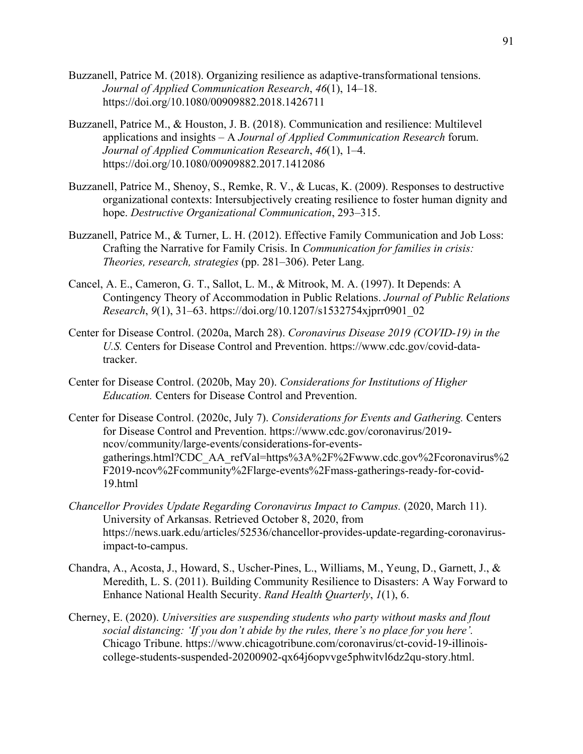- Buzzanell, Patrice M. (2018). Organizing resilience as adaptive-transformational tensions. *Journal of Applied Communication Research*, *46*(1), 14–18. https://doi.org/10.1080/00909882.2018.1426711
- Buzzanell, Patrice M., & Houston, J. B. (2018). Communication and resilience: Multilevel applications and insights – A *Journal of Applied Communication Research* forum. *Journal of Applied Communication Research*, *46*(1), 1–4. https://doi.org/10.1080/00909882.2017.1412086
- Buzzanell, Patrice M., Shenoy, S., Remke, R. V., & Lucas, K. (2009). Responses to destructive organizational contexts: Intersubjectively creating resilience to foster human dignity and hope. *Destructive Organizational Communication*, 293–315.
- Buzzanell, Patrice M., & Turner, L. H. (2012). Effective Family Communication and Job Loss: Crafting the Narrative for Family Crisis. In *Communication for families in crisis: Theories, research, strategies* (pp. 281–306). Peter Lang.
- Cancel, A. E., Cameron, G. T., Sallot, L. M., & Mitrook, M. A. (1997). It Depends: A Contingency Theory of Accommodation in Public Relations. *Journal of Public Relations Research*, *9*(1), 31–63. https://doi.org/10.1207/s1532754xjprr0901\_02
- Center for Disease Control. (2020a, March 28). *Coronavirus Disease 2019 (COVID-19) in the U.S.* Centers for Disease Control and Prevention. https://www.cdc.gov/covid-datatracker.
- Center for Disease Control. (2020b, May 20). *Considerations for Institutions of Higher Education.* Centers for Disease Control and Prevention.
- Center for Disease Control. (2020c, July 7). *Considerations for Events and Gathering.* Centers for Disease Control and Prevention. https://www.cdc.gov/coronavirus/2019 ncov/community/large-events/considerations-for-eventsgatherings.html?CDC\_AA\_refVal=https%3A%2F%2Fwww.cdc.gov%2Fcoronavirus%2 F2019-ncov%2Fcommunity%2Flarge-events%2Fmass-gatherings-ready-for-covid-19.html
- *Chancellor Provides Update Regarding Coronavirus Impact to Campus.* (2020, March 11). University of Arkansas. Retrieved October 8, 2020, from https://news.uark.edu/articles/52536/chancellor-provides-update-regarding-coronavirusimpact-to-campus.
- Chandra, A., Acosta, J., Howard, S., Uscher-Pines, L., Williams, M., Yeung, D., Garnett, J., & Meredith, L. S. (2011). Building Community Resilience to Disasters: A Way Forward to Enhance National Health Security. *Rand Health Quarterly*, *1*(1), 6.
- Cherney, E. (2020). *Universities are suspending students who party without masks and flout social distancing: 'If you don't abide by the rules, there's no place for you here'.*  Chicago Tribune. https://www.chicagotribune.com/coronavirus/ct-covid-19-illinoiscollege-students-suspended-20200902-qx64j6opvvge5phwitvl6dz2qu-story.html.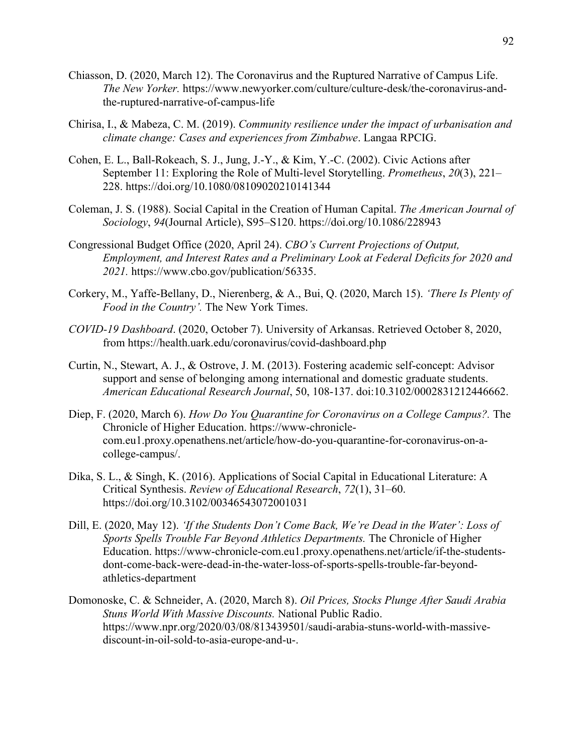- Chiasson, D. (2020, March 12). The Coronavirus and the Ruptured Narrative of Campus Life. *The New Yorker.* https://www.newyorker.com/culture/culture-desk/the-coronavirus-andthe-ruptured-narrative-of-campus-life
- Chirisa, I., & Mabeza, C. M. (2019). *Community resilience under the impact of urbanisation and climate change: Cases and experiences from Zimbabwe*. Langaa RPCIG.
- Cohen, E. L., Ball-Rokeach, S. J., Jung, J.-Y., & Kim, Y.-C. (2002). Civic Actions after September 11: Exploring the Role of Multi-level Storytelling. *Prometheus*, *20*(3), 221– 228. https://doi.org/10.1080/08109020210141344
- Coleman, J. S. (1988). Social Capital in the Creation of Human Capital. *The American Journal of Sociology*, *94*(Journal Article), S95–S120. https://doi.org/10.1086/228943
- Congressional Budget Office (2020, April 24). *CBO's Current Projections of Output, Employment, and Interest Rates and a Preliminary Look at Federal Deficits for 2020 and 2021.* https://www.cbo.gov/publication/56335.
- Corkery, M., Yaffe-Bellany, D., Nierenberg, & A., Bui, Q. (2020, March 15). *'There Is Plenty of Food in the Country'.* The New York Times.
- *COVID-19 Dashboard*. (2020, October 7). University of Arkansas. Retrieved October 8, 2020, from https://health.uark.edu/coronavirus/covid-dashboard.php
- Curtin, N., Stewart, A. J., & Ostrove, J. M. (2013). Fostering academic self-concept: Advisor support and sense of belonging among international and domestic graduate students. *American Educational Research Journal*, 50, 108-137. doi:10.3102/0002831212446662.
- Diep, F. (2020, March 6). *How Do You Quarantine for Coronavirus on a College Campus?.* The Chronicle of Higher Education. https://www-chroniclecom.eu1.proxy.openathens.net/article/how-do-you-quarantine-for-coronavirus-on-acollege-campus/.
- Dika, S. L., & Singh, K. (2016). Applications of Social Capital in Educational Literature: A Critical Synthesis. *Review of Educational Research*, *72*(1), 31–60. https://doi.org/10.3102/00346543072001031
- Dill, E. (2020, May 12). *'If the Students Don't Come Back, We're Dead in the Water': Loss of Sports Spells Trouble Far Beyond Athletics Departments.* The Chronicle of Higher Education. https://www-chronicle-com.eu1.proxy.openathens.net/article/if-the-studentsdont-come-back-were-dead-in-the-water-loss-of-sports-spells-trouble-far-beyondathletics-department
- Domonoske, C. & Schneider, A. (2020, March 8). *Oil Prices, Stocks Plunge After Saudi Arabia Stuns World With Massive Discounts.* National Public Radio. https://www.npr.org/2020/03/08/813439501/saudi-arabia-stuns-world-with-massivediscount-in-oil-sold-to-asia-europe-and-u-.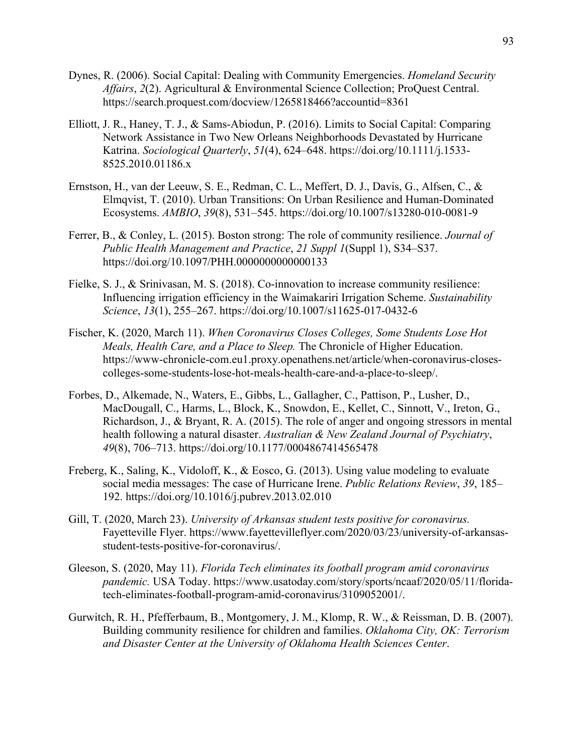- Dynes, R. (2006). Social Capital: Dealing with Community Emergencies. *Homeland Security Affairs*, *2*(2). Agricultural & Environmental Science Collection; ProQuest Central. https://search.proquest.com/docview/1265818466?accountid=8361
- Elliott, J. R., Haney, T. J., & Sams-Abiodun, P. (2016). Limits to Social Capital: Comparing Network Assistance in Two New Orleans Neighborhoods Devastated by Hurricane Katrina. *Sociological Quarterly*, *51*(4), 624–648. https://doi.org/10.1111/j.1533- 8525.2010.01186.x
- Ernstson, H., van der Leeuw, S. E., Redman, C. L., Meffert, D. J., Davis, G., Alfsen, C., & Elmqvist, T. (2010). Urban Transitions: On Urban Resilience and Human-Dominated Ecosystems. *AMBIO*, *39*(8), 531–545. https://doi.org/10.1007/s13280-010-0081-9
- Ferrer, B., & Conley, L. (2015). Boston strong: The role of community resilience. *Journal of Public Health Management and Practice*, *21 Suppl 1*(Suppl 1), S34–S37. https://doi.org/10.1097/PHH.0000000000000133
- Fielke, S. J., & Srinivasan, M. S. (2018). Co-innovation to increase community resilience: Influencing irrigation efficiency in the Waimakariri Irrigation Scheme. *Sustainability Science*, *13*(1), 255–267. https://doi.org/10.1007/s11625-017-0432-6
- Fischer, K. (2020, March 11). *When Coronavirus Closes Colleges, Some Students Lose Hot Meals, Health Care, and a Place to Sleep.* The Chronicle of Higher Education. https://www-chronicle-com.eu1.proxy.openathens.net/article/when-coronavirus-closescolleges-some-students-lose-hot-meals-health-care-and-a-place-to-sleep/.
- Forbes, D., Alkemade, N., Waters, E., Gibbs, L., Gallagher, C., Pattison, P., Lusher, D., MacDougall, C., Harms, L., Block, K., Snowdon, E., Kellet, C., Sinnott, V., Ireton, G., Richardson, J., & Bryant, R. A. (2015). The role of anger and ongoing stressors in mental health following a natural disaster. *Australian & New Zealand Journal of Psychiatry*, *49*(8), 706–713. https://doi.org/10.1177/0004867414565478
- Freberg, K., Saling, K., Vidoloff, K., & Eosco, G. (2013). Using value modeling to evaluate social media messages: The case of Hurricane Irene. *Public Relations Review*, *39*, 185– 192. https://doi.org/10.1016/j.pubrev.2013.02.010
- Gill, T. (2020, March 23). *University of Arkansas student tests positive for coronavirus.*  Fayetteville Flyer. https://www.fayettevilleflyer.com/2020/03/23/university-of-arkansasstudent-tests-positive-for-coronavirus/.
- Gleeson, S. (2020, May 11). *Florida Tech eliminates its football program amid coronavirus pandemic.* USA Today. https://www.usatoday.com/story/sports/ncaaf/2020/05/11/floridatech-eliminates-football-program-amid-coronavirus/3109052001/.
- Gurwitch, R. H., Pfefferbaum, B., Montgomery, J. M., Klomp, R. W., & Reissman, D. B. (2007). Building community resilience for children and families. *Oklahoma City, OK: Terrorism and Disaster Center at the University of Oklahoma Health Sciences Center*.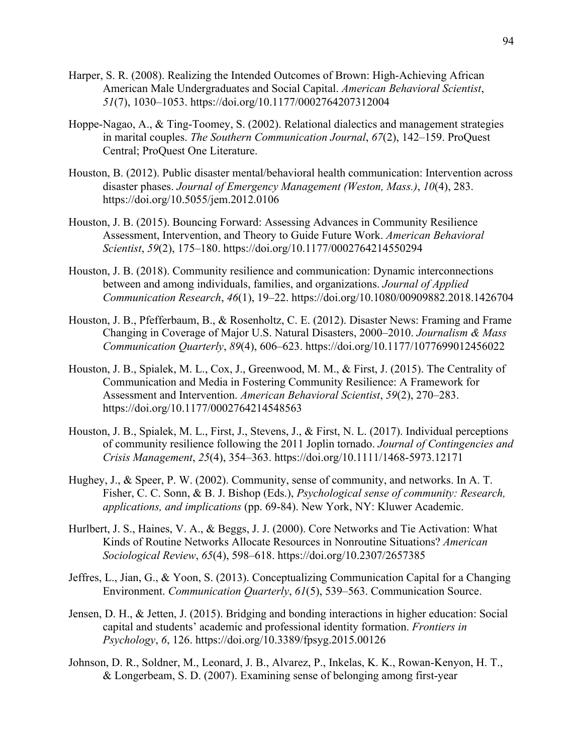- Harper, S. R. (2008). Realizing the Intended Outcomes of Brown: High-Achieving African American Male Undergraduates and Social Capital. *American Behavioral Scientist*, *51*(7), 1030–1053. https://doi.org/10.1177/0002764207312004
- Hoppe-Nagao, A., & Ting-Toomey, S. (2002). Relational dialectics and management strategies in marital couples. *The Southern Communication Journal*, *67*(2), 142–159. ProQuest Central; ProQuest One Literature.
- Houston, B. (2012). Public disaster mental/behavioral health communication: Intervention across disaster phases. *Journal of Emergency Management (Weston, Mass.)*, *10*(4), 283. https://doi.org/10.5055/jem.2012.0106
- Houston, J. B. (2015). Bouncing Forward: Assessing Advances in Community Resilience Assessment, Intervention, and Theory to Guide Future Work. *American Behavioral Scientist*, *59*(2), 175–180. https://doi.org/10.1177/0002764214550294
- Houston, J. B. (2018). Community resilience and communication: Dynamic interconnections between and among individuals, families, and organizations. *Journal of Applied Communication Research*, *46*(1), 19–22. https://doi.org/10.1080/00909882.2018.1426704
- Houston, J. B., Pfefferbaum, B., & Rosenholtz, C. E. (2012). Disaster News: Framing and Frame Changing in Coverage of Major U.S. Natural Disasters, 2000–2010. *Journalism & Mass Communication Quarterly*, *89*(4), 606–623. https://doi.org/10.1177/1077699012456022
- Houston, J. B., Spialek, M. L., Cox, J., Greenwood, M. M., & First, J. (2015). The Centrality of Communication and Media in Fostering Community Resilience: A Framework for Assessment and Intervention. *American Behavioral Scientist*, *59*(2), 270–283. https://doi.org/10.1177/0002764214548563
- Houston, J. B., Spialek, M. L., First, J., Stevens, J., & First, N. L. (2017). Individual perceptions of community resilience following the 2011 Joplin tornado. *Journal of Contingencies and Crisis Management*, *25*(4), 354–363. https://doi.org/10.1111/1468-5973.12171
- Hughey, J., & Speer, P. W. (2002). Community, sense of community, and networks. In A. T. Fisher, C. C. Sonn, & B. J. Bishop (Eds.), *Psychological sense of community: Research, applications, and implications* (pp. 69-84). New York, NY: Kluwer Academic.
- Hurlbert, J. S., Haines, V. A., & Beggs, J. J. (2000). Core Networks and Tie Activation: What Kinds of Routine Networks Allocate Resources in Nonroutine Situations? *American Sociological Review*, *65*(4), 598–618. https://doi.org/10.2307/2657385
- Jeffres, L., Jian, G., & Yoon, S. (2013). Conceptualizing Communication Capital for a Changing Environment. *Communication Quarterly*, *61*(5), 539–563. Communication Source.
- Jensen, D. H., & Jetten, J. (2015). Bridging and bonding interactions in higher education: Social capital and students' academic and professional identity formation. *Frontiers in Psychology*, *6*, 126. https://doi.org/10.3389/fpsyg.2015.00126
- Johnson, D. R., Soldner, M., Leonard, J. B., Alvarez, P., Inkelas, K. K., Rowan-Kenyon, H. T., & Longerbeam, S. D. (2007). Examining sense of belonging among first-year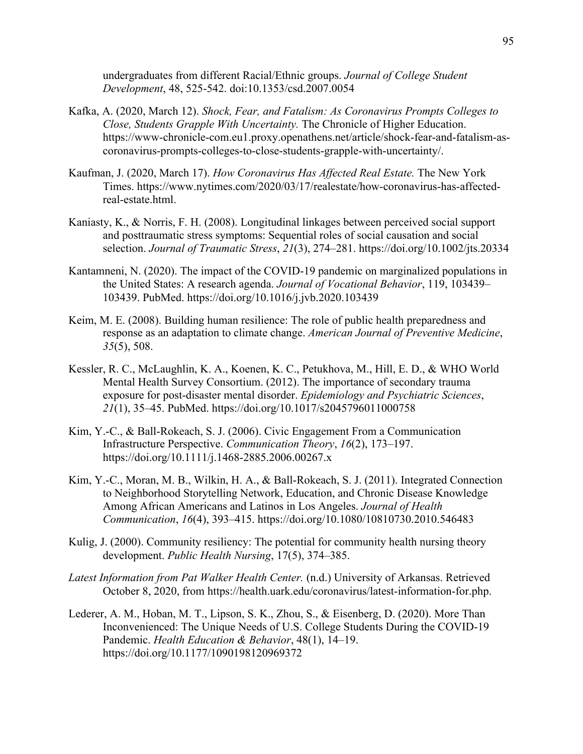undergraduates from different Racial/Ethnic groups. *Journal of College Student Development*, 48, 525-542. doi:10.1353/csd.2007.0054

- Kafka, A. (2020, March 12). *Shock, Fear, and Fatalism: As Coronavirus Prompts Colleges to Close, Students Grapple With Uncertainty.* The Chronicle of Higher Education. https://www-chronicle-com.eu1.proxy.openathens.net/article/shock-fear-and-fatalism-ascoronavirus-prompts-colleges-to-close-students-grapple-with-uncertainty/.
- Kaufman, J. (2020, March 17). *How Coronavirus Has Affected Real Estate.* The New York Times. https://www.nytimes.com/2020/03/17/realestate/how-coronavirus-has-affectedreal-estate.html.
- Kaniasty, K., & Norris, F. H. (2008). Longitudinal linkages between perceived social support and posttraumatic stress symptoms: Sequential roles of social causation and social selection. *Journal of Traumatic Stress*, *21*(3), 274–281. https://doi.org/10.1002/jts.20334
- Kantamneni, N. (2020). The impact of the COVID-19 pandemic on marginalized populations in the United States: A research agenda. *Journal of Vocational Behavior*, 119, 103439– 103439. PubMed. https://doi.org/10.1016/j.jvb.2020.103439
- Keim, M. E. (2008). Building human resilience: The role of public health preparedness and response as an adaptation to climate change. *American Journal of Preventive Medicine*, *35*(5), 508.
- Kessler, R. C., McLaughlin, K. A., Koenen, K. C., Petukhova, M., Hill, E. D., & WHO World Mental Health Survey Consortium. (2012). The importance of secondary trauma exposure for post-disaster mental disorder. *Epidemiology and Psychiatric Sciences*, *21*(1), 35–45. PubMed. https://doi.org/10.1017/s2045796011000758
- Kim, Y.-C., & Ball-Rokeach, S. J. (2006). Civic Engagement From a Communication Infrastructure Perspective. *Communication Theory*, *16*(2), 173–197. https://doi.org/10.1111/j.1468-2885.2006.00267.x
- Kim, Y.-C., Moran, M. B., Wilkin, H. A., & Ball-Rokeach, S. J. (2011). Integrated Connection to Neighborhood Storytelling Network, Education, and Chronic Disease Knowledge Among African Americans and Latinos in Los Angeles. *Journal of Health Communication*, *16*(4), 393–415. https://doi.org/10.1080/10810730.2010.546483
- Kulig, J. (2000). Community resiliency: The potential for community health nursing theory development. *Public Health Nursing*, 17(5), 374–385.
- *Latest Information from Pat Walker Health Center.* (n.d.) University of Arkansas. Retrieved October 8, 2020, from https://health.uark.edu/coronavirus/latest-information-for.php.
- Lederer, A. M., Hoban, M. T., Lipson, S. K., Zhou, S., & Eisenberg, D. (2020). More Than Inconvenienced: The Unique Needs of U.S. College Students During the COVID-19 Pandemic. *Health Education & Behavior*, 48(1), 14–19. https://doi.org/10.1177/1090198120969372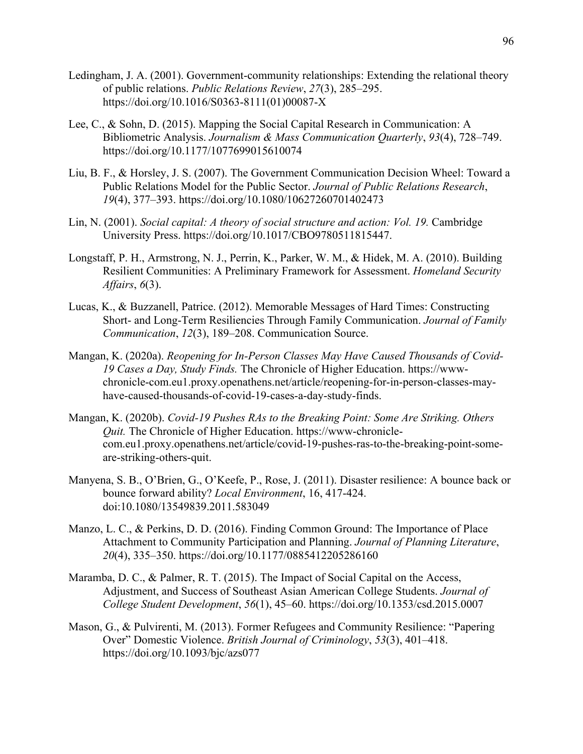- Ledingham, J. A. (2001). Government-community relationships: Extending the relational theory of public relations. *Public Relations Review*, *27*(3), 285–295. https://doi.org/10.1016/S0363-8111(01)00087-X
- Lee, C., & Sohn, D. (2015). Mapping the Social Capital Research in Communication: A Bibliometric Analysis. *Journalism & Mass Communication Quarterly*, *93*(4), 728–749. https://doi.org/10.1177/1077699015610074
- Liu, B. F., & Horsley, J. S. (2007). The Government Communication Decision Wheel: Toward a Public Relations Model for the Public Sector. *Journal of Public Relations Research*, *19*(4), 377–393. https://doi.org/10.1080/10627260701402473
- Lin, N. (2001). *Social capital: A theory of social structure and action: Vol. 19.* Cambridge University Press. https://doi.org/10.1017/CBO9780511815447.
- Longstaff, P. H., Armstrong, N. J., Perrin, K., Parker, W. M., & Hidek, M. A. (2010). Building Resilient Communities: A Preliminary Framework for Assessment. *Homeland Security Affairs*, *6*(3).
- Lucas, K., & Buzzanell, Patrice. (2012). Memorable Messages of Hard Times: Constructing Short- and Long-Term Resiliencies Through Family Communication. *Journal of Family Communication*, *12*(3), 189–208. Communication Source.
- Mangan, K. (2020a). *Reopening for In-Person Classes May Have Caused Thousands of Covid-19 Cases a Day, Study Finds.* The Chronicle of Higher Education. https://wwwchronicle-com.eu1.proxy.openathens.net/article/reopening-for-in-person-classes-mayhave-caused-thousands-of-covid-19-cases-a-day-study-finds.
- Mangan, K. (2020b). *Covid-19 Pushes RAs to the Breaking Point: Some Are Striking. Others Quit.* The Chronicle of Higher Education. https://www-chroniclecom.eu1.proxy.openathens.net/article/covid-19-pushes-ras-to-the-breaking-point-someare-striking-others-quit.
- Manyena, S. B., O'Brien, G., O'Keefe, P., Rose, J. (2011). Disaster resilience: A bounce back or bounce forward ability? *Local Environment*, 16, 417-424. doi:10.1080/13549839.2011.583049
- Manzo, L. C., & Perkins, D. D. (2016). Finding Common Ground: The Importance of Place Attachment to Community Participation and Planning. *Journal of Planning Literature*, *20*(4), 335–350. https://doi.org/10.1177/0885412205286160
- Maramba, D. C., & Palmer, R. T. (2015). The Impact of Social Capital on the Access, Adjustment, and Success of Southeast Asian American College Students. *Journal of College Student Development*, *56*(1), 45–60. https://doi.org/10.1353/csd.2015.0007
- Mason, G., & Pulvirenti, M. (2013). Former Refugees and Community Resilience: "Papering Over" Domestic Violence. *British Journal of Criminology*, *53*(3), 401–418. https://doi.org/10.1093/bjc/azs077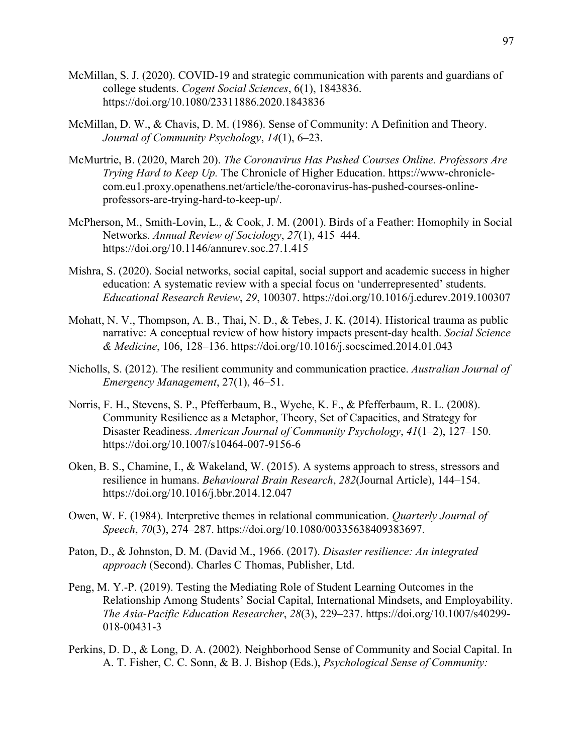- McMillan, S. J. (2020). COVID-19 and strategic communication with parents and guardians of college students. *Cogent Social Sciences*, 6(1), 1843836. https://doi.org/10.1080/23311886.2020.1843836
- McMillan, D. W., & Chavis, D. M. (1986). Sense of Community: A Definition and Theory. *Journal of Community Psychology*, *14*(1), 6–23.
- McMurtrie, B. (2020, March 20). *The Coronavirus Has Pushed Courses Online. Professors Are Trying Hard to Keep Up.* The Chronicle of Higher Education. https://www-chroniclecom.eu1.proxy.openathens.net/article/the-coronavirus-has-pushed-courses-onlineprofessors-are-trying-hard-to-keep-up/.
- McPherson, M., Smith-Lovin, L., & Cook, J. M. (2001). Birds of a Feather: Homophily in Social Networks. *Annual Review of Sociology*, *27*(1), 415–444. https://doi.org/10.1146/annurev.soc.27.1.415
- Mishra, S. (2020). Social networks, social capital, social support and academic success in higher education: A systematic review with a special focus on 'underrepresented' students. *Educational Research Review*, *29*, 100307. https://doi.org/10.1016/j.edurev.2019.100307
- Mohatt, N. V., Thompson, A. B., Thai, N. D., & Tebes, J. K. (2014). Historical trauma as public narrative: A conceptual review of how history impacts present-day health. *Social Science & Medicine*, 106, 128–136. https://doi.org/10.1016/j.socscimed.2014.01.043
- Nicholls, S. (2012). The resilient community and communication practice. *Australian Journal of Emergency Management*, 27(1), 46–51.
- Norris, F. H., Stevens, S. P., Pfefferbaum, B., Wyche, K. F., & Pfefferbaum, R. L. (2008). Community Resilience as a Metaphor, Theory, Set of Capacities, and Strategy for Disaster Readiness. *American Journal of Community Psychology*, *41*(1–2), 127–150. https://doi.org/10.1007/s10464-007-9156-6
- Oken, B. S., Chamine, I., & Wakeland, W. (2015). A systems approach to stress, stressors and resilience in humans. *Behavioural Brain Research*, *282*(Journal Article), 144–154. https://doi.org/10.1016/j.bbr.2014.12.047
- Owen, W. F. (1984). Interpretive themes in relational communication. *Quarterly Journal of Speech*, *70*(3), 274–287. https://doi.org/10.1080/00335638409383697.
- Paton, D., & Johnston, D. M. (David M., 1966. (2017). *Disaster resilience: An integrated approach* (Second). Charles C Thomas, Publisher, Ltd.
- Peng, M. Y.-P. (2019). Testing the Mediating Role of Student Learning Outcomes in the Relationship Among Students' Social Capital, International Mindsets, and Employability. *The Asia-Pacific Education Researcher*, *28*(3), 229–237. https://doi.org/10.1007/s40299- 018-00431-3
- Perkins, D. D., & Long, D. A. (2002). Neighborhood Sense of Community and Social Capital. In A. T. Fisher, C. C. Sonn, & B. J. Bishop (Eds.), *Psychological Sense of Community:*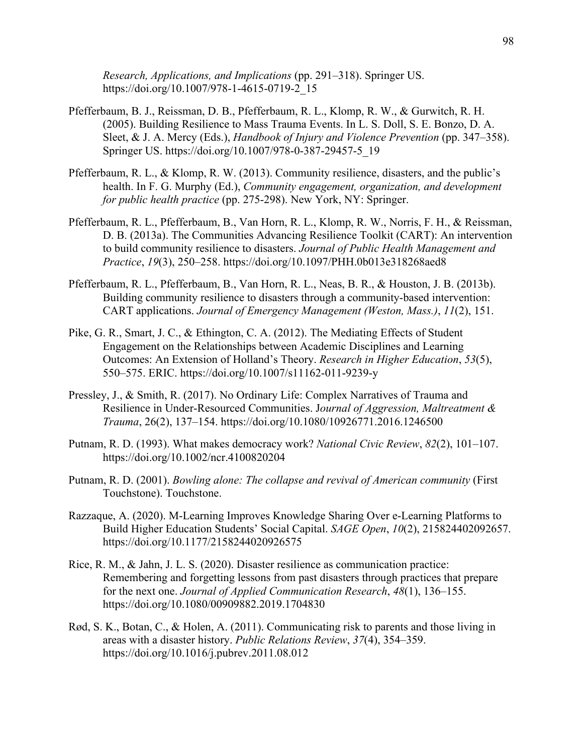*Research, Applications, and Implications* (pp. 291–318). Springer US. https://doi.org/10.1007/978-1-4615-0719-2\_15

- Pfefferbaum, B. J., Reissman, D. B., Pfefferbaum, R. L., Klomp, R. W., & Gurwitch, R. H. (2005). Building Resilience to Mass Trauma Events. In L. S. Doll, S. E. Bonzo, D. A. Sleet, & J. A. Mercy (Eds.), *Handbook of Injury and Violence Prevention* (pp. 347–358). Springer US. https://doi.org/10.1007/978-0-387-29457-5\_19
- Pfefferbaum, R. L., & Klomp, R. W. (2013). Community resilience, disasters, and the public's health. In F. G. Murphy (Ed.), *Community engagement, organization, and development for public health practice* (pp. 275-298). New York, NY: Springer.
- Pfefferbaum, R. L., Pfefferbaum, B., Van Horn, R. L., Klomp, R. W., Norris, F. H., & Reissman, D. B. (2013a). The Communities Advancing Resilience Toolkit (CART): An intervention to build community resilience to disasters. *Journal of Public Health Management and Practice*, *19*(3), 250–258. https://doi.org/10.1097/PHH.0b013e318268aed8
- Pfefferbaum, R. L., Pfefferbaum, B., Van Horn, R. L., Neas, B. R., & Houston, J. B. (2013b). Building community resilience to disasters through a community-based intervention: CART applications. *Journal of Emergency Management (Weston, Mass.)*, *11*(2), 151.
- Pike, G. R., Smart, J. C., & Ethington, C. A. (2012). The Mediating Effects of Student Engagement on the Relationships between Academic Disciplines and Learning Outcomes: An Extension of Holland's Theory. *Research in Higher Education*, *53*(5), 550–575. ERIC. https://doi.org/10.1007/s11162-011-9239-y
- Pressley, J., & Smith, R. (2017). No Ordinary Life: Complex Narratives of Trauma and Resilience in Under-Resourced Communities. J*ournal of Aggression, Maltreatment & Trauma*, 26(2), 137–154. https://doi.org/10.1080/10926771.2016.1246500
- Putnam, R. D. (1993). What makes democracy work? *National Civic Review*, *82*(2), 101–107. https://doi.org/10.1002/ncr.4100820204
- Putnam, R. D. (2001). *Bowling alone: The collapse and revival of American community* (First Touchstone). Touchstone.
- Razzaque, A. (2020). M-Learning Improves Knowledge Sharing Over e-Learning Platforms to Build Higher Education Students' Social Capital. *SAGE Open*, *10*(2), 215824402092657. https://doi.org/10.1177/2158244020926575
- Rice, R. M., & Jahn, J. L. S. (2020). Disaster resilience as communication practice: Remembering and forgetting lessons from past disasters through practices that prepare for the next one. *Journal of Applied Communication Research*, *48*(1), 136–155. https://doi.org/10.1080/00909882.2019.1704830
- Rød, S. K., Botan, C., & Holen, A. (2011). Communicating risk to parents and those living in areas with a disaster history. *Public Relations Review*, *37*(4), 354–359. https://doi.org/10.1016/j.pubrev.2011.08.012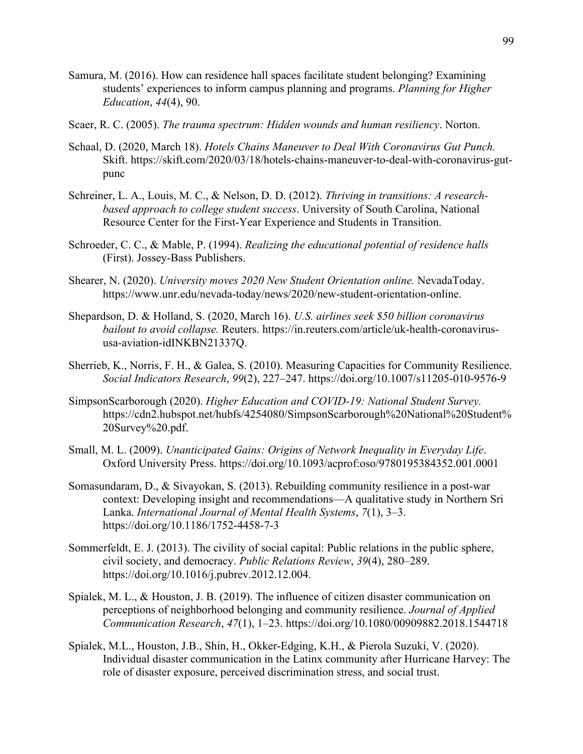- Samura, M. (2016). How can residence hall spaces facilitate student belonging? Examining students' experiences to inform campus planning and programs. *Planning for Higher Education*, *44*(4), 90.
- Scaer, R. C. (2005). *The trauma spectrum: Hidden wounds and human resiliency*. Norton.
- Schaal, D. (2020, March 18). *Hotels Chains Maneuver to Deal With Coronavirus Gut Punch.*  Skift. https://skift.com/2020/03/18/hotels-chains-maneuver-to-deal-with-coronavirus-gutpunc
- Schreiner, L. A., Louis, M. C., & Nelson, D. D. (2012). *Thriving in transitions: A researchbased approach to college student success*. University of South Carolina, National Resource Center for the First-Year Experience and Students in Transition.
- Schroeder, C. C., & Mable, P. (1994). *Realizing the educational potential of residence halls* (First). Jossey-Bass Publishers.
- Shearer, N. (2020). *University moves 2020 New Student Orientation online.* NevadaToday. https://www.unr.edu/nevada-today/news/2020/new-student-orientation-online.
- Shepardson, D. & Holland, S. (2020, March 16). *U.S. airlines seek \$50 billion coronavirus bailout to avoid collapse.* Reuters. https://in.reuters.com/article/uk-health-coronavirususa-aviation-idINKBN21337Q.
- Sherrieb, K., Norris, F. H., & Galea, S. (2010). Measuring Capacities for Community Resilience. *Social Indicators Research*, *99*(2), 227–247. https://doi.org/10.1007/s11205-010-9576-9
- SimpsonScarborough (2020). *Higher Education and COVID-19: National Student Survey.*  https://cdn2.hubspot.net/hubfs/4254080/SimpsonScarborough%20National%20Student% 20Survey%20.pdf.
- Small, M. L. (2009). *Unanticipated Gains: Origins of Network Inequality in Everyday Life*. Oxford University Press. https://doi.org/10.1093/acprof:oso/9780195384352.001.0001
- Somasundaram, D., & Sivayokan, S. (2013). Rebuilding community resilience in a post-war context: Developing insight and recommendations—A qualitative study in Northern Sri Lanka. *International Journal of Mental Health Systems*, *7*(1), 3–3. https://doi.org/10.1186/1752-4458-7-3
- Sommerfeldt, E. J. (2013). The civility of social capital: Public relations in the public sphere, civil society, and democracy. *Public Relations Review*, *39*(4), 280–289. https://doi.org/10.1016/j.pubrev.2012.12.004.
- Spialek, M. L., & Houston, J. B. (2019). The influence of citizen disaster communication on perceptions of neighborhood belonging and community resilience. *Journal of Applied Communication Research*, *47*(1), 1–23. https://doi.org/10.1080/00909882.2018.1544718
- Spialek, M.L., Houston, J.B., Shin, H., Okker-Edging, K.H., & Pierola Suzuki, V. (2020). Individual disaster communication in the Latinx community after Hurricane Harvey: The role of disaster exposure, perceived discrimination stress, and social trust.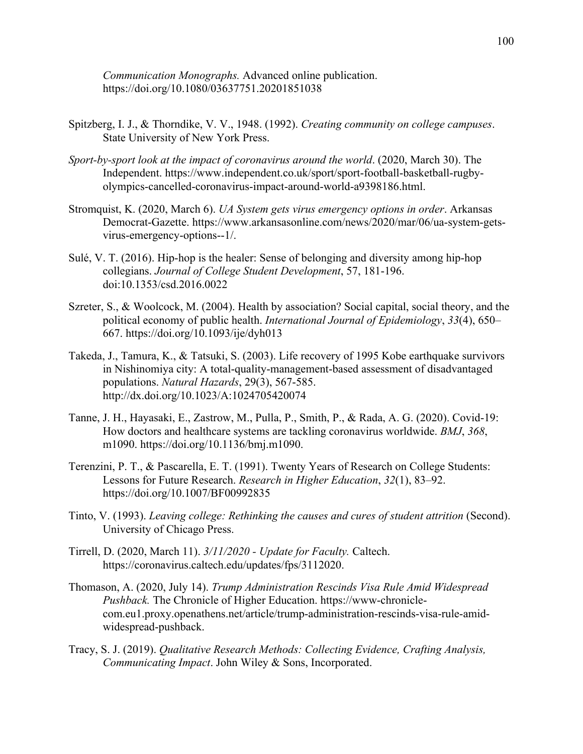*Communication Monographs.* Advanced online publication. https://doi.org/10.1080/03637751.20201851038

- Spitzberg, I. J., & Thorndike, V. V., 1948. (1992). *Creating community on college campuses*. State University of New York Press.
- *Sport-by-sport look at the impact of coronavirus around the world*. (2020, March 30). The Independent. https://www.independent.co.uk/sport/sport-football-basketball-rugbyolympics-cancelled-coronavirus-impact-around-world-a9398186.html.
- Stromquist, K. (2020, March 6). *UA System gets virus emergency options in order*. Arkansas Democrat-Gazette. https://www.arkansasonline.com/news/2020/mar/06/ua-system-getsvirus-emergency-options--1/.
- Sulé, V. T. (2016). Hip-hop is the healer: Sense of belonging and diversity among hip-hop collegians. *Journal of College Student Development*, 57, 181-196. doi:10.1353/csd.2016.0022
- Szreter, S., & Woolcock, M. (2004). Health by association? Social capital, social theory, and the political economy of public health. *International Journal of Epidemiology*, *33*(4), 650– 667. https://doi.org/10.1093/ije/dyh013
- Takeda, J., Tamura, K., & Tatsuki, S. (2003). Life recovery of 1995 Kobe earthquake survivors in Nishinomiya city: A total-quality-management-based assessment of disadvantaged populations. *Natural Hazards*, 29(3), 567-585. http://dx.doi.org/10.1023/A:1024705420074
- Tanne, J. H., Hayasaki, E., Zastrow, M., Pulla, P., Smith, P., & Rada, A. G. (2020). Covid-19: How doctors and healthcare systems are tackling coronavirus worldwide. *BMJ*, *368*, m1090. https://doi.org/10.1136/bmj.m1090.
- Terenzini, P. T., & Pascarella, E. T. (1991). Twenty Years of Research on College Students: Lessons for Future Research. *Research in Higher Education*, *32*(1), 83–92. https://doi.org/10.1007/BF00992835
- Tinto, V. (1993). *Leaving college: Rethinking the causes and cures of student attrition* (Second). University of Chicago Press.
- Tirrell, D. (2020, March 11). *3/11/2020 - Update for Faculty.* Caltech. https://coronavirus.caltech.edu/updates/fps/3112020.
- Thomason, A. (2020, July 14). *Trump Administration Rescinds Visa Rule Amid Widespread Pushback.* The Chronicle of Higher Education. https://www-chroniclecom.eu1.proxy.openathens.net/article/trump-administration-rescinds-visa-rule-amidwidespread-pushback.
- Tracy, S. J. (2019). *Qualitative Research Methods: Collecting Evidence, Crafting Analysis, Communicating Impact*. John Wiley & Sons, Incorporated.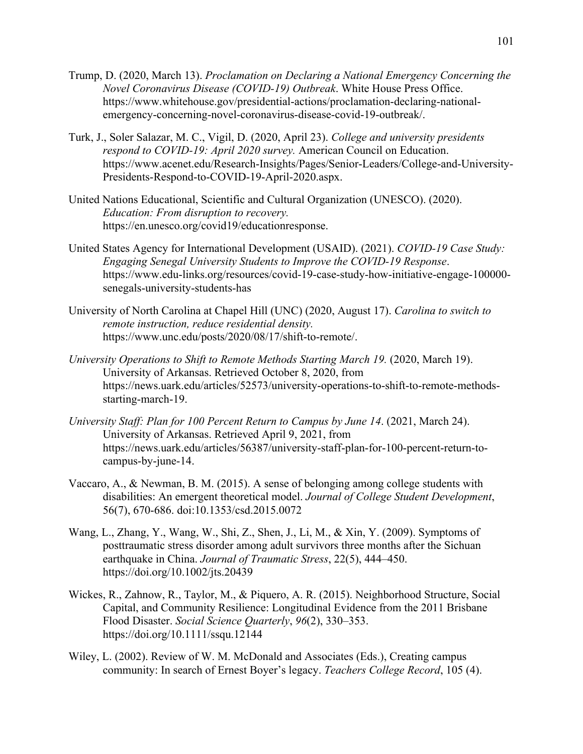- Trump, D. (2020, March 13). *Proclamation on Declaring a National Emergency Concerning the Novel Coronavirus Disease (COVID-19) Outbreak*. White House Press Office. https://www.whitehouse.gov/presidential-actions/proclamation-declaring-nationalemergency-concerning-novel-coronavirus-disease-covid-19-outbreak/.
- Turk, J., Soler Salazar, M. C., Vigil, D. (2020, April 23). *College and university presidents respond to COVID-19: April 2020 survey.* American Council on Education. https://www.acenet.edu/Research-Insights/Pages/Senior-Leaders/College-and-University-Presidents-Respond-to-COVID-19-April-2020.aspx.
- United Nations Educational, Scientific and Cultural Organization (UNESCO). (2020). *Education: From disruption to recovery.*  https://en.unesco.org/covid19/educationresponse.
- United States Agency for International Development (USAID). (2021). *COVID-19 Case Study: Engaging Senegal University Students to Improve the COVID-19 Response*. https://www.edu-links.org/resources/covid-19-case-study-how-initiative-engage-100000 senegals-university-students-has
- University of North Carolina at Chapel Hill (UNC) (2020, August 17). *Carolina to switch to remote instruction, reduce residential density.*  https://www.unc.edu/posts/2020/08/17/shift-to-remote/.
- *University Operations to Shift to Remote Methods Starting March 19.* (2020, March 19). University of Arkansas. Retrieved October 8, 2020, from https://news.uark.edu/articles/52573/university-operations-to-shift-to-remote-methodsstarting-march-19.
- *University Staff: Plan for 100 Percent Return to Campus by June 14*. (2021, March 24). University of Arkansas. Retrieved April 9, 2021, from https://news.uark.edu/articles/56387/university-staff-plan-for-100-percent-return-tocampus-by-june-14.
- Vaccaro, A., & Newman, B. M. (2015). A sense of belonging among college students with disabilities: An emergent theoretical model. *Journal of College Student Development*, 56(7), 670-686. doi:10.1353/csd.2015.0072
- Wang, L., Zhang, Y., Wang, W., Shi, Z., Shen, J., Li, M., & Xin, Y. (2009). Symptoms of posttraumatic stress disorder among adult survivors three months after the Sichuan earthquake in China. *Journal of Traumatic Stress*, 22(5), 444–450. https://doi.org/10.1002/jts.20439
- Wickes, R., Zahnow, R., Taylor, M., & Piquero, A. R. (2015). Neighborhood Structure, Social Capital, and Community Resilience: Longitudinal Evidence from the 2011 Brisbane Flood Disaster. *Social Science Quarterly*, *96*(2), 330–353. https://doi.org/10.1111/ssqu.12144
- Wiley, L. (2002). Review of W. M. McDonald and Associates (Eds.), Creating campus community: In search of Ernest Boyer's legacy. *Teachers College Record*, 105 (4).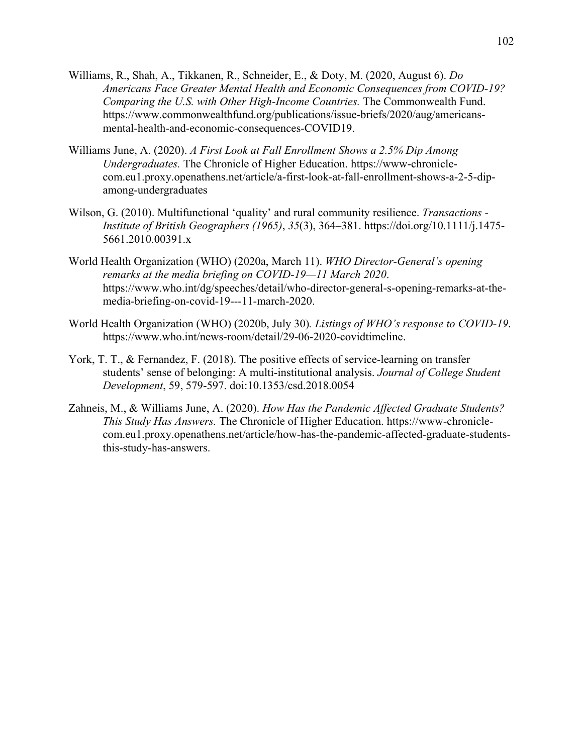- Williams, R., Shah, A., Tikkanen, R., Schneider, E., & Doty, M. (2020, August 6). *Do Americans Face Greater Mental Health and Economic Consequences from COVID-19? Comparing the U.S. with Other High-Income Countries.* The Commonwealth Fund. https://www.commonwealthfund.org/publications/issue-briefs/2020/aug/americansmental-health-and-economic-consequences-COVID19.
- Williams June, A. (2020). *A First Look at Fall Enrollment Shows a 2.5% Dip Among Undergraduates.* The Chronicle of Higher Education. https://www-chroniclecom.eu1.proxy.openathens.net/article/a-first-look-at-fall-enrollment-shows-a-2-5-dipamong-undergraduates
- Wilson, G. (2010). Multifunctional 'quality' and rural community resilience. *Transactions - Institute of British Geographers (1965)*, *35*(3), 364–381. https://doi.org/10.1111/j.1475- 5661.2010.00391.x
- World Health Organization (WHO) (2020a, March 11). *WHO Director-General's opening remarks at the media briefing on COVID-19—11 March 2020*. https://www.who.int/dg/speeches/detail/who-director-general-s-opening-remarks-at-themedia-briefing-on-covid-19---11-march-2020.
- World Health Organization (WHO) (2020b, July 30)*. Listings of WHO's response to COVID-19*. https://www.who.int/news-room/detail/29-06-2020-covidtimeline.
- York, T. T., & Fernandez, F. (2018). The positive effects of service-learning on transfer students' sense of belonging: A multi-institutional analysis. *Journal of College Student Development*, 59, 579-597. doi:10.1353/csd.2018.0054
- Zahneis, M., & Williams June, A. (2020). *How Has the Pandemic Affected Graduate Students? This Study Has Answers.* The Chronicle of Higher Education. https://www-chroniclecom.eu1.proxy.openathens.net/article/how-has-the-pandemic-affected-graduate-studentsthis-study-has-answers.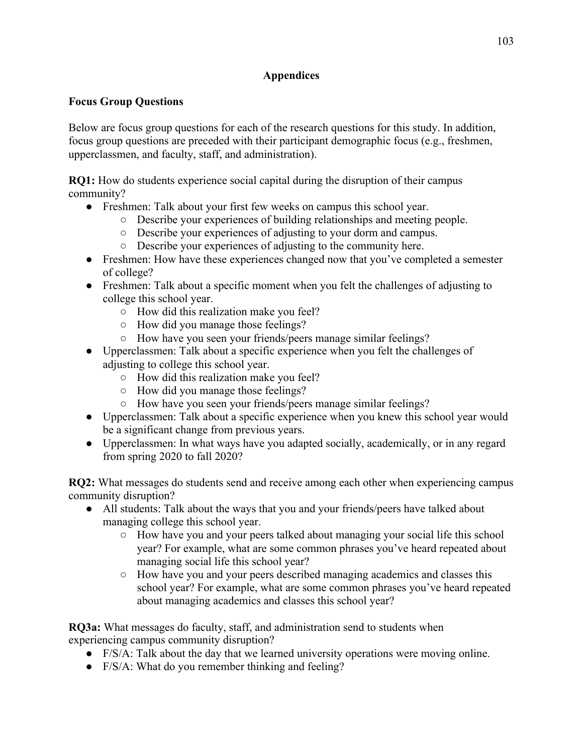# **Appendices**

# **Focus Group Questions**

Below are focus group questions for each of the research questions for this study. In addition, focus group questions are preceded with their participant demographic focus (e.g., freshmen, upperclassmen, and faculty, staff, and administration).

**RQ1:** How do students experience social capital during the disruption of their campus community?

- Freshmen: Talk about your first few weeks on campus this school year.
	- Describe your experiences of building relationships and meeting people.
	- Describe your experiences of adjusting to your dorm and campus.
	- Describe your experiences of adjusting to the community here.
- Freshmen: How have these experiences changed now that you've completed a semester of college?
- Freshmen: Talk about a specific moment when you felt the challenges of adjusting to college this school year.
	- How did this realization make you feel?
	- How did you manage those feelings?
	- How have you seen your friends/peers manage similar feelings?
- Upperclassmen: Talk about a specific experience when you felt the challenges of adjusting to college this school year.
	- How did this realization make you feel?
	- How did you manage those feelings?
	- How have you seen your friends/peers manage similar feelings?
- Upperclassmen: Talk about a specific experience when you knew this school year would be a significant change from previous years.
- Upperclassmen: In what ways have you adapted socially, academically, or in any regard from spring 2020 to fall 2020?

**RQ2:** What messages do students send and receive among each other when experiencing campus community disruption?

- All students: Talk about the ways that you and your friends/peers have talked about managing college this school year.
	- How have you and your peers talked about managing your social life this school year? For example, what are some common phrases you've heard repeated about managing social life this school year?
	- How have you and your peers described managing academics and classes this school year? For example, what are some common phrases you've heard repeated about managing academics and classes this school year?

**RQ3a:** What messages do faculty, staff, and administration send to students when experiencing campus community disruption?

- $\bullet$  F/S/A: Talk about the day that we learned university operations were moving online.
- F/S/A: What do you remember thinking and feeling?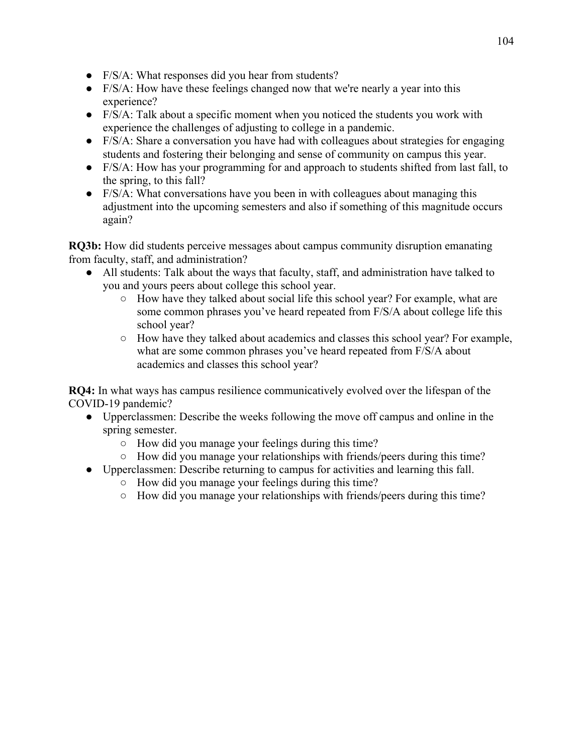- F/S/A: What responses did you hear from students?
- F/S/A: How have these feelings changed now that we're nearly a year into this experience?
- $\bullet$  F/S/A: Talk about a specific moment when you noticed the students you work with experience the challenges of adjusting to college in a pandemic.
- F/S/A: Share a conversation you have had with colleagues about strategies for engaging students and fostering their belonging and sense of community on campus this year.
- F/S/A: How has your programming for and approach to students shifted from last fall, to the spring, to this fall?
- F/S/A: What conversations have you been in with colleagues about managing this adjustment into the upcoming semesters and also if something of this magnitude occurs again?

**RQ3b:** How did students perceive messages about campus community disruption emanating from faculty, staff, and administration?

- All students: Talk about the ways that faculty, staff, and administration have talked to you and yours peers about college this school year.
	- How have they talked about social life this school year? For example, what are some common phrases you've heard repeated from F/S/A about college life this school year?
	- How have they talked about academics and classes this school year? For example, what are some common phrases you've heard repeated from F/S/A about academics and classes this school year?

**RQ4:** In what ways has campus resilience communicatively evolved over the lifespan of the COVID-19 pandemic?

- Upperclassmen: Describe the weeks following the move off campus and online in the spring semester.
	- How did you manage your feelings during this time?
	- $\circ$  How did you manage your relationships with friends/peers during this time?
- Upperclassmen: Describe returning to campus for activities and learning this fall.
	- How did you manage your feelings during this time?
		- How did you manage your relationships with friends/peers during this time?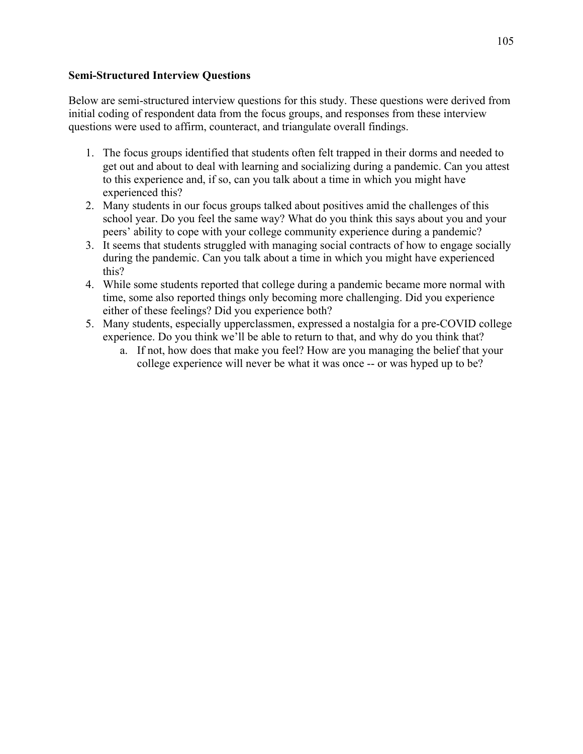## **Semi-Structured Interview Questions**

Below are semi-structured interview questions for this study. These questions were derived from initial coding of respondent data from the focus groups, and responses from these interview questions were used to affirm, counteract, and triangulate overall findings.

- 1. The focus groups identified that students often felt trapped in their dorms and needed to get out and about to deal with learning and socializing during a pandemic. Can you attest to this experience and, if so, can you talk about a time in which you might have experienced this?
- 2. Many students in our focus groups talked about positives amid the challenges of this school year. Do you feel the same way? What do you think this says about you and your peers' ability to cope with your college community experience during a pandemic?
- 3. It seems that students struggled with managing social contracts of how to engage socially during the pandemic. Can you talk about a time in which you might have experienced this?
- 4. While some students reported that college during a pandemic became more normal with time, some also reported things only becoming more challenging. Did you experience either of these feelings? Did you experience both?
- 5. Many students, especially upperclassmen, expressed a nostalgia for a pre-COVID college experience. Do you think we'll be able to return to that, and why do you think that?
	- a. If not, how does that make you feel? How are you managing the belief that your college experience will never be what it was once -- or was hyped up to be?